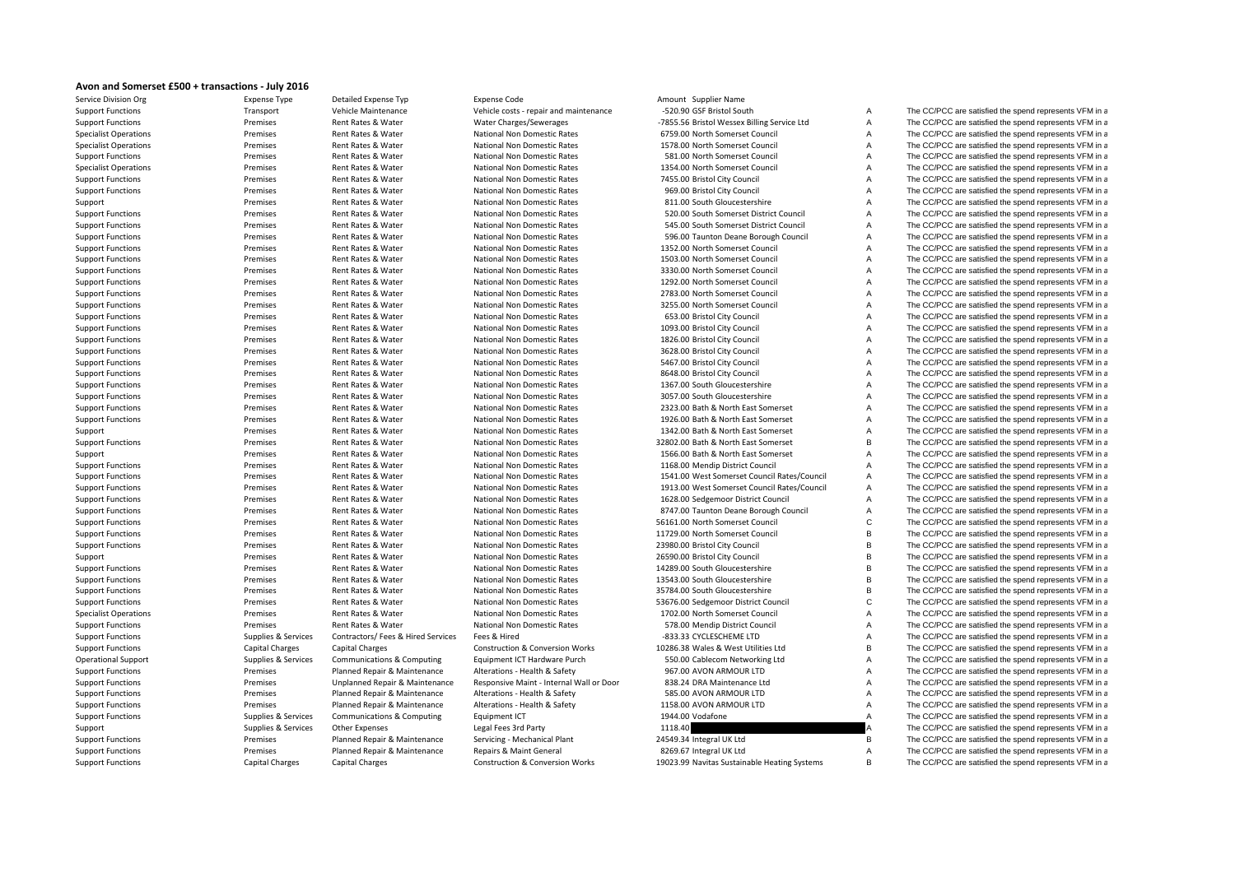## **Avon and Somerset £500 <sup>+</sup> transactions ‐ July 2016**

| Service Division Org         | Expense Type           | Detailed Expense Typ           |
|------------------------------|------------------------|--------------------------------|
| <b>Support Functions</b>     | Transport              | Vehicle Maintenance            |
| <b>Support Functions</b>     | Premises               | Rent Rates & Water             |
| <b>Specialist Operations</b> | Premises               | Rent Rates & Water             |
| <b>Specialist Operations</b> | Premises               | Rent Rates & Water             |
| <b>Support Functions</b>     | Premises               | Rent Rates & Water             |
| <b>Specialist Operations</b> | Premises               | Rent Rates & Water             |
| <b>Support Functions</b>     | Premises               | Rent Rates & Water             |
| <b>Support Functions</b>     | Premises               | Rent Rates & Water             |
| Support                      | Premises               | Rent Rates & Water             |
| <b>Support Functions</b>     | Premises               | Rent Rates & Water             |
| <b>Support Functions</b>     | Premises               | Rent Rates & Water             |
| <b>Support Functions</b>     | Premises               | Rent Rates & Water             |
| <b>Support Functions</b>     | Premises               | Rent Rates & Water             |
| <b>Support Functions</b>     | Premises               | Rent Rates & Water             |
| <b>Support Functions</b>     | Premises               | Rent Rates & Water             |
| <b>Support Functions</b>     | Premises               | Rent Rates & Water             |
| <b>Support Functions</b>     | Premises               | Rent Rates & Water             |
| <b>Support Functions</b>     | Premises               | Rent Rates & Water             |
| <b>Support Functions</b>     | Premises               | Rent Rates & Water             |
| <b>Support Functions</b>     | Premises               | Rent Rates & Water             |
| <b>Support Functions</b>     | Premises               | Rent Rates & Water             |
|                              | Premises               | Rent Rates & Water             |
| <b>Support Functions</b>     |                        |                                |
| <b>Support Functions</b>     | Premises               | Rent Rates & Water             |
| <b>Support Functions</b>     | Premises<br>Premises   | Rent Rates & Water             |
| <b>Support Functions</b>     |                        | Rent Rates & Water             |
| <b>Support Functions</b>     | Premises               | Rent Rates & Water             |
| <b>Support Functions</b>     | Premises               | Rent Rates & Water             |
| <b>Support Functions</b>     | Premises               | Rent Rates & Water             |
| Support                      | Premises               | Rent Rates & Water             |
| <b>Support Functions</b>     | Premises               | Rent Rates & Water             |
| Support                      | Premises               | Rent Rates & Water             |
| <b>Support Functions</b>     | Premises               | Rent Rates & Water             |
| <b>Support Functions</b>     | Premises               | Rent Rates & Water             |
| <b>Support Functions</b>     | Premises               | Rent Rates & Water             |
| <b>Support Functions</b>     | Premises               | Rent Rates & Water             |
| <b>Support Functions</b>     | Premises               | Rent Rates & Water             |
| <b>Support Functions</b>     | Premises               | Rent Rates & Water             |
| <b>Support Functions</b>     | Premises               | Rent Rates & Water             |
| <b>Support Functions</b>     | Premises               | Rent Rates & Water             |
| Support                      | Premises               | Rent Rates & Water             |
| <b>Support Functions</b>     | Premises               | Rent Rates & Water             |
| <b>Support Functions</b>     | Premises               | Rent Rates & Water             |
| <b>Support Functions</b>     | Premises               | Rent Rates & Water             |
| <b>Support Functions</b>     | Premises               | Rent Rates & Water             |
| <b>Specialist Operations</b> | Premises               | Rent Rates & Water             |
| <b>Support Functions</b>     | Premises               | Rent Rates & Water             |
| <b>Support Functions</b>     | Supplies & Services    | Contractors/ Fees & Hired Serv |
| <b>Support Functions</b>     | <b>Capital Charges</b> | <b>Capital Charges</b>         |
| <b>Operational Support</b>   | Supplies & Services    | Communications & Computing     |
| <b>Support Functions</b>     | Premises               | Planned Repair & Maintenance   |
| <b>Support Functions</b>     | Premises               | Unplanned Repair & Maintena    |
| <b>Support Functions</b>     | Premises               | Planned Repair & Maintenance   |
| <b>Support Functions</b>     | Premises               | Planned Repair & Maintenance   |
| <b>Support Functions</b>     | Supplies & Services    | Communications & Computing     |
| Support                      | Supplies & Services    | <b>Other Expenses</b>          |
| <b>Support Functions</b>     | Premises               | Planned Repair & Maintenance   |
|                              |                        |                                |
| <b>Support Functions</b>     | Premises               | Planned Repair & Maintenance   |
| <b>Support Functions</b>     | <b>Capital Charges</b> | Capital Charges                |

Expense Code **Amount Supplier Name** 

Vehicle costs - repair and maintenance **Function COST Bristol South A** The CC/PCC are satisfied the spend represents VFM in a COST Bristol South A The CC/PCC are satisfied the spend represents VFM in a

Water Charges/Sewerages **•••** The CC/PCC are satisfied the spend represents VFM in a Vessex Billing Service Ltd A The CC/PCC are satisfied the spend represents VFM in a National Non Domestic Rates **6759.00 North Somerset Council A** The CC/PCC are satisfied the spend represents VFM in a National Non Domestic Rates **1578.00 North Somerset Council** A The CC/PCC are satisfied the spend represents VFM in a National Non Domestic Rates **681.00 North Somerset Council** A The CC/PCC are satisfied the spend represents VFM in a National Non Domestic Rates **1354.00 North Somerset Council** A The CC/PCC are satisfied the spend represents VFM in a National Non Domestic Rates **7455.00 Bristol City Council** A The CC/PCC are satisfied the spend represents VFM in a National Non Domestic Rates **869.00 Bristol City Council** A The CC/PCC are satisfied the spend represents VFM in a National Non Domestic Rates 811.00 South Gloucestershire A The CC/PCC are satisfied the spend represents VFM in a National Non Domestic Rates **520.00** South Somerset District Council A The CC/PCC are satisfied the spend represents VFM in a National Non Domestic Rates **545.00** South Somerset District Council A The CC/PCC are satisfied the spend represents VFM in a National Non Domestic Rates **600 Taunton Deane Borough Council** A The CC/PCC are satisfied the spend represents VFM in a National Non Domestic Rates **1352.00 North Somerset Council** A The CC/PCC are satisfied the spend represents VFM in a National Non Domestic Rates **1503.00 North Somerset Council** A The CC/PCC are satisfied the spend represents VFM in a National Non Domestic Rates **3330.00 North Somerset Council A** The CC/PCC are satisfied the spend represents VFM in a National Non Domestic Rates **1292.00 North Somerset Council** A The CC/PCC are satisfied the spend represents VFM in a National Non Domestic Rates **2783.00 North Somerset Council** A The CC/PCC are satisfied the spend represents VFM in a National Non Domestic Rates 3255.00 North Somerset Council A The CC/PCC are satisfied the spend represents VFM in a National Non Domestic Rates 653.00 Bristol City Council A The CC/PCC are satisfied the spend represents VFM in a National Non Domestic Rates **1093.00 Bristol City Council** A The CC/PCC are satisfied the spend represents VFM in a National Non Domestic Rates 1826.00 Bristol City Council A The CC/PCC are satisfied the spend represents VFM in a National Non Domestic Rates 3628.00 Bristol City Council A The CC/PCC are satisfied the spend represents VFM in a National Non Domestic Rates **6467.00 Bristol City Council** A The CC/PCC are satisfied the spend represents VFM in a National Non Domestic Rates **8648.00 Bristol City Council** A The CC/PCC are satisfied the spend represents VFM in a National Non Domestic Rates **1367.00 South Gloucestershire** A The CC/PCC are satisfied the spend represents VFM in a National Non Domestic Rates 3057.00 South Gloucestershire A The CC/PCC are satisfied the spend represents VFM in a National Non Domestic Rates 2323.00 Bath & North East Somerset A The CC/PCC are satisfied the spend represents VFM in a National Non Domestic Rates **1926.00 Bath & North East Somerset** A The CC/PCC are satisfied the spend represents VFM in a National Non Domestic Rates 1342.00 Bath & North East Somerset A The CC/PCC are satisfied the spend represents VFM in a National Non Domestic Rates **32802.00 Bath & North East Somerset** B The CC/PCC are satisfied the spend represents VFM in a National Non Domestic Rates 1566.00 Bath & North East Somerset A The CC/PCC are satisfied the spend represents VFM in a National Non Domestic Rates **1168.00 Mendip District Council** A The CC/PCC are satisfied the spend represents VFM in a National Non Domestic Rates **Act Rates** 2541.00 West Somerset Council Rates/Council A The CC/PCC are satisfied the spend represents VFM in a National Non Domestic Rates **Action** Mational Mater Actions 1913.00 West Somerset Council Rates/Council A The CC/PCC are satisfied the spend represents VFM in a National Non Domestic Rates **1628.00 Sedgemoor District Council** A The CC/PCC are satisfied the spend represents VFM in a National Non Domestic Rates **B747.00 Taunton Deane Borough Council** A The CC/PCC are satisfied the spend represents VFM in a National Non Domestic Rates **56161.00 North Somerset Council** C The CC/PCC are satisfied the spend represents VFM in a National Non Domestic Rates 11729.00 North Somerset Council B The CC/PCC are satisfied the spend represents VFM in a National Non Domestic Rates 23980.00 Bristol City Council City Council B The CC/PCC are satisfied the spend represents VFM in a National Non Domestic Rates 26590.00 Bristol City Council The CC/PCC are satisfied the spend represents VFM in a National Non Domestic Rates **14289.00 South Gloucestershire** B The CC/PCC are satisfied the spend represents VFM in a National Non Domestic Rates 13543.00 South Gloucestershire B The CC/PCC are satisfied the spend represents VFM in a National Non Domestic Rates **35784.00** South Gloucestershire B The CC/PCC are satisfied the spend represents VFM in a National Non Domestic Rates **53676.00** Sedgemoor District Council C The CC/PCC are satisfied the spend represents VFM in a National Non Domestic Rates **1702.00 North Somerset Council** A The CC/PCC are satisfied the spend represents VFM in a National Non Domestic Rates **60 Server Rates 578.00** Mendip District Council **A** The CC/PCC are satisfied the spend represents VFM in a vices Fees & Hired **Supplies Supplies Supplies Contractors** Functions Supplies Fees & Services Fees & Services Fees & Hired Services Fees & Hired Services Fees & Hired Services Fees & Services Fees & Services Fees & Servic Construction & Conversion Works 10286.38 Wales & West Utilities Ltd B The CC/PCC are satisfied the spend represents VFM in a Equipment ICT Hardware Purch 550.00 Cablecom Networking Ltd A The CC/PCC are satisfied the spend represents VFM in a Alterations - Health & Safety **967.00 AVON ARMOUR LTD** A The CC/PCC are satisfied the spend represents VFM in a support Functions Premier Maint - Internal Wall or Door 838.24 DRA Maintenance Ltd A The CC/PCC are satisfied the spend represents VFM in a Alterations - Health & Safety 585.00 AVON ARMOUR LTD A The CC/PCC are satisfied the spend represents VFM in a Alterations - Health & Safety 1158.00 AVON ARMOUR LTD A The CC/PCC are satisfied the spend represents VFM in a Faulpment ICT **Example 2018** 1944.00 Vodafone **A** The CC/PCC are satisfied the spend represents VFM in a The CC/PCC are satisfied the spend represents VFM in a Legal Fees 3rd Party **CALC FEES 2006 A** The CC/PCC are satisfied the spend represents VFM in a Servicing - Mechanical Plant The Maintenance Servicing 24549.34 Integral UK Ltd B The CC/PCC are satisfied the spend represents VFM in a Repairs & Maint General **Support Function Contrary Repairs Premises** Premises Premises Planned Repairs A The CC/PCC are satisfied the spend represents VFM in a Construction & Conversion Works 19023.99 Navitas Sustainable Heating Systems B The CC/PCC are satisfied the spend represents VFM in a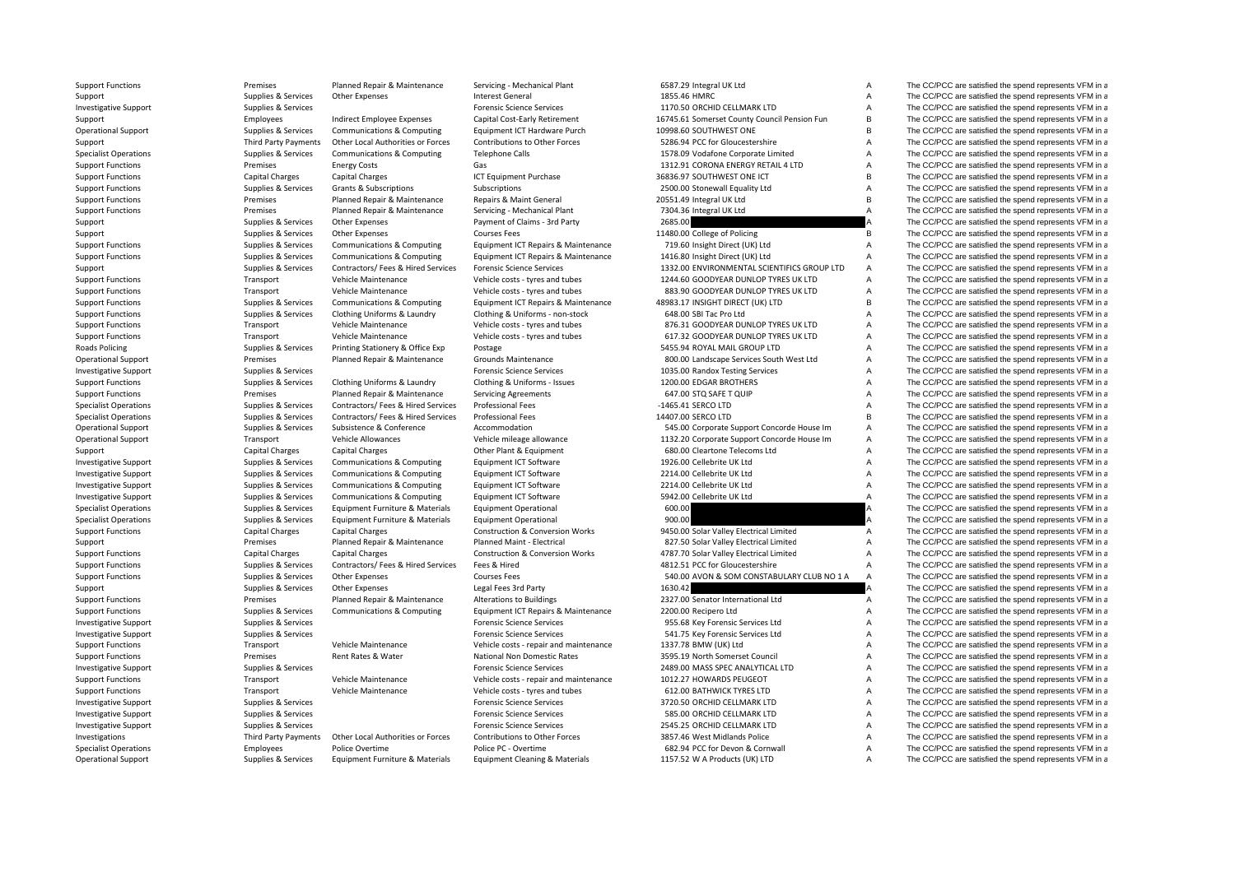**Roads Policing** 

Support Functions Premises Planned Repair & Maintenance Servicing - Mechanical Plant 6587.29 Integral UK Ltd A The CC/PCC are satisfied the spend represents VFM in a

| 387.29 integral OK Ltu                     |  |
|--------------------------------------------|--|
| 355.46 HMRC                                |  |
| 170.50 ORCHID CELLMARK LTD                 |  |
| 745.61 Somerset County Council Pension Fun |  |
| 998.60 SOUTHWEST ONE                       |  |
| 286.94 PCC for Gloucestershire             |  |
| 578.09 Vodafone Corporate Limited          |  |
| 312.91 CORONA ENERGY RETAIL 4 LTD          |  |
| 336.97 SOUTHWEST ONE ICT                   |  |
| 500.00 Stonewall Equality Ltd              |  |
| 551.49 Integral UK Ltd                     |  |
| 304.36 Integral UK Ltd                     |  |
| 585.00                                     |  |
| 480.00 College of Policing                 |  |
| 719.60 Insight Direct (UK) Ltd             |  |
| 416.80 Insight Direct (UK) Ltd             |  |
| 332.00 ENVIRONMENTAL SCIENTIFICS GROUP LTD |  |
| 244.60 GOODYEAR DUNLOP TYRES UK LTD        |  |
| 383.90 GOODYEAR DUNLOP TYRES UK LTD        |  |
| 983.17 INSIGHT DIRECT (UK) LTD             |  |
| 548.00 SBI Tac Pro Ltd                     |  |
| 376.31 GOODYEAR DUNLOP TYRES UK LTD        |  |
| 517.32 GOODYEAR DUNLOP TYRES UK LTD        |  |
| <b>155.94 ROYAL MAIL GROUP LTD</b>         |  |
| 300.00 Landscape Services South West Ltd   |  |
| 035.00 Randox Testing Services             |  |
| 200.00 EDGAR BROTHERS                      |  |
| 547.00 STQ SAFE T QUIP                     |  |
| 465.41 SERCO LTD                           |  |
| 407.00 SERCO LTD                           |  |
| 545.00 Corporate Support Concorde House Im |  |
| 132.20 Corporate Support Concorde House Im |  |
| 580.00 Cleartone Telecoms Ltd              |  |
| 926.00 Cellebrite UK Ltd                   |  |
| 214.00 Cellebrite UK Ltd                   |  |
| 214.00 Cellebrite UK Ltd                   |  |
| 942.00 Cellebrite UK Ltd                   |  |
| 500.00                                     |  |
| 900.00                                     |  |
| 450.00 Solar Valley Electrical Limited     |  |
| 327.50 Solar Valley Electrical Limited     |  |
| 787.70 Solar Valley Electrical Limited     |  |
| 812.51 PCC for Gloucestershire             |  |
| 540.00 AVON & SOM CONSTABULARY CLUB NO 1 A |  |
| 530.42                                     |  |
| 327.00 Senator International Ltd           |  |
| 200.00 Recipero Ltd                        |  |
| 955.68 Key Forensic Services Ltd           |  |
| 541.75 Key Forensic Services Ltd           |  |
| 337.78 BMW (UK) Ltd                        |  |
| 595.19 North Somerset Council              |  |
| 189.00 MASS SPEC ANALYTICAL LTD            |  |
| 012.27 HOWARDS PEUGEOT                     |  |
| <b>512.00 BATHWICK TYRES LTD</b>           |  |
| 720.50 ORCHID CELLMARK LTD                 |  |
| 585.00 ORCHID CELLMARK LTD                 |  |
| 545.25 ORCHID CELLMARK LTD                 |  |
| 357.46 West Midlands Police                |  |
| 582.94 PCC for Devon & Cornwall            |  |
| 157 52 W A Products (LIK) LTD              |  |

Support Supplies & Services Other Expenses Interest General 1855.46 HMRC A The CC/PCC are satisfied the spend represents VFM in a Investigative Support Support Support Support Support Services Forensic Science Services Forensic Science Services 1170.50 ORCHID CELLMARK LTD A The CC/PCC are satisfied the spend represents VFM in a Support Employees Indirect Employee Expenses Capital Cost‐Early Retirement 16745.61 Somerset County Council Pension Fun B The CC/PCC are satisfied the spend represents VFM in a Operational Support Supplies & Services Communications & Computing Equipment ICT Hardware Purch 10998.60 SOUTHWEST ONE B The CC/PCC are satisfied the spend represents VFM in a Support Third Party Payments Other Local Authorities or Forces Contributions to Other Forces 5286.94 PCC for Gloucestershire A The CC/PCC are satisfied the spend represents VFM in a Specialist Operations Supplies & Services Communications & Computing Telephone Calls 1578.09 Vodafone Corporate Limited A The CC/PCC are satisfied the spend represents VFM in a Support Functions energy Costs Energy Costs Gas Gas The CORONA ENERGY RETAIL 4 LTD A The CC/PCC are satisfied the spend represents VFM in a Support Functions Capital Charges Capital Charges Capital Charges ICT Equipment Purchase 36836.97 SOUTHWEST ONE ICT B The CC/PCC are satisfied the spend represents VFM in a Support Functions Supplies A Services Grants & Subscriptions Subscriptions Subscriptions 2500.00 Stonewall Equality Ltd A The CC/PCC are satisfied the spend represents VFM in a Support Functions **Premises** Planned Repair & Maintenance Repairs & Maint General 20551.49 Integral UK Ltd B The CC/PCC are satisfied the spend represents VFM in a Support Functions Premises Planned Repair & Maintenance Servicing - Mechanical Plant 7304.36 Integral UK Ltd A The CC/PCC are satisfied the spend represents VFM in a Support Support Supporters Supporters Support of Claims and Party Claims and Party 2685.00 A The CC/PCC are satisfied the spend represents VFM in a Support Supplies & Services Other Expenses Courses Fees Courses Fees 11480.00 College of Policing B The CC/PCC are satisfied the spend represents VFM in a Support Functions Supplies Supplies & Services Communications & Computing Faultoment ICT Repairs & Maintenance 719.60 Insight Direct (UK) Ltd A The CC/PCC are satisfied the spend represents VFM in a Support Functions Supplies Supplies & Services Communications & Computing Faultoment ICT Repairs & Maintenance 1416.80 Insight Direct (UK) Ltd A The CC/PCC are satisfied the spend represents VFM in a Support Supplies & Services Contractors/ Fees & Hired Services Forensic Science Services 1332.00 ENVIRONMENTAL SCIENTIFICS GROUP LTD A The CC/PCC are satisfied the spend represents VFM in a Support Functions Transport Vehicle Maintenance Vehicle costs - tyres and tubes 1244.60 GOODYEAR DUNLOP TYRES UK LTD A The CC/PCC are satisfied the spend represents VFM in a Support Functions Transport Vehicle Maintenance Vehicle costs - tyres and tubes 883.90 GOODYEAR DUNLOP TYRES UK LTD A The CC/PCC are satisfied the spend represents VFM in a Support Functions Supplies & Services Communications & Computing Equipment ICT Repairs & Maintenance 48983.17 INSIGHT DIRECT (UK) LTD B The CC/PCC are satisfied the spend represents VFM in a Support Functions Supplies & Services Clothing Uniforms & Laundry Clothing & Uniforms - non-stock 648.00 SBI Tac Pro Ltd A The CC/PCC are satisfied the spend represents VFM in a Support Functions Transport Vehicle Maintenance Vehicle costs - tyres and tubes 876.31 GOODYEAR DUNLOP TYRES UK LTD A The CC/PCC are satisfied the spend represents VFM in a Support Functions Transport Vehicle Maintenance Vehicle costs - tyres and tubes 617.32 GOODYEAR DUNLOP TYRES UK LTD A The CC/PCC are satisfied the spend represents VFM in a Supplies & Services Printing Stationery & Office Exp Postage 30 Postage 5455.94 ROYAL MAIL GROUP LTD 3455.94 ROYAL MAIL GROUP LTD 3455.94 ROYAL MAIL GROUP LTD 35 A The CC/PCC are satisfied the spend represents VFM in a Operational Support **Premises** Planned Repair & Maintenance Grounds Maintenance 800.00 Landscape Services South West Ltd A The CC/PCC are satisfied the spend represents VFM in a Investigative Support Support Supplies & Services Forensic Science Services Forensic Science Services Forensic Science Services A The CC/PCC are satisfied the spend represents VFM in a Support Functions Supplies Supplies & Services Clothing Uniforms & Laundry Clothing & Uniforms - Issues 1200.00 EDGAR BROTHERS A The CC/PCC are satisfied the spend represents VFM in a Supplies & Services Planned Repair & M Support Functions **Premises** Planned Repair & Maintenance Servicing Agreements 647.00 STO SAFE T QUIP A The CC/PCC are satisfied the spend represents VFM in a Specialist Operations Supplies & Services Contractors/ Fees & Hired Services Professional Fees – 1465.41 SERCO LTD – A The CC/PCC are satisfied the spend represents VFM in a Specialist Operations Supplies & Services Contractors/ Fees & Hired Services Professional Fees 14407.00 SERCO LTD B The CC/PCC are satisfied the spend represents VFM in a Operational Support Supplies & Services Subsistence & Conference Accommodation Subsistence Accommodation 545.00 Corporate Support Concorde House Im A The CC/PCC are satisfied the spend represents VFM in a Operational Support Transport Vehicle Allowances Vehicle mileage allowance 1132.20 Corporate Support Concorde House Im A The CC/PCC are satisfied the spend represents VFM in a Support Capital Charges Capital Charges Capital Charges Other Plant & Equipment 680.00 Cleartone Telecoms Ltd A The CC/PCC are satisfied the spend represents VFM in a Investigative Support Support Support Supporter Supporters Supporting Supporters Communications & Computing Equipment ICT Software 1926.00 Cellebrite UK Ltd A The CC/PCC are satisfied the spend represents VFM in a Investigative Support Support Supplies & Services Communications & Computing Equipment ICT Software 2214.00 Cellebrite UK Ltd A The CC/PCC are satisfied the spend represents VFM in a Investigative Support Support Support Supporter Supporters Supporting Supporters Communications & Computing Equipment ICT Software 2214.00 Cellebrite UK Ltd A The CC/PCC are satisfied the spend represents VFM in a Investigative Support Support Supplies & Services Communications & Computing Equipment ICT Software 5942.00 Cellebrite UK Ltd A The CC/PCC are satisfied the spend represents VFM in a Specialist Operations Supplies & Services Equipment Furniture & Materials Equipment Operational 600.00 600.00 A The CC/PCC are satisfied the spend represents VFM in a Specialist Operations Supplies & Services Equipment Furniture & Materials Equipment Operational 900.00 900.00 A The CC/PCC are satisfied the spend represents VFM in a Support Functions Capital Charges Capital Charges Capital Charges Construction & Conversion Works 9450.00 Solar Valley Electrical Limited A The CC/PCC are satisfied the spend represents VFM in a Support Premises Planned Repair & Maintenance Planned Maint - Electrical 827.50 Solar Valley Electrical Limited A The CC/PCC are satisfied the spend represents VFM in a Support Functions Capital Charges Capital Charges Capital Charges Construction & Conversion Works 4787.70 Solar Valley Electrical Limited A The CC/PCC are satisfied the spend represents VFM in a Support Functions Supplies & Services Contractors/ Fees & Hired Services Fees & Hired 4812.51 PCC for Gloucestershire A The CC/PCC are satisfied the spend represents VFM in a Support Functions Supplies Asservices Other Expenses Courses Fees Courses Fees 540.00 AVON & SOM CONSTABULARY CLUB NO 1 A The CC/PCC are satisfied the spend represents VFM in a Support Supplies & Services Other Expenses Legal Fees 3rd Party 1630.42 1630.42 A The CC/PCC are satisfied the spend represents VFM in a Support Functions Premises Planned Repair & Maintenance Alterations to Buildings 2327.00 Senator International Ltd A The CC/PCC are satisfied the spend represents VFM in a Support Functions Supplies A Services Communications & Computing Equipment ICT Repairs & Maintenance 2200.00 Recipero Ltd A The CC/PCC are satisfied the spend represents VFM in a Investigative Support Support Supplies & Services Forensic Science Services Forensic Science Services 955.68 Key Forensic Services 955.68 Key Forensic Services Ltd A The CC/PCC are satisfied the spend represents VFM in a Investigative Support Support Support Support Support Support Support Support Support Support Support Support Support Support Support Support Support Support Support Support Support Support Support Support Support Support Support Functions Transport Vehicle Maintenance Vehicle costs - repair and maintenance 1337.78 BMW (UK) Ltd A The CC/PCC are satisfied the spend represents VFM in a Support Functions **Premises** Premises Rent Rates & Water National Non Domestic Rates 3595.19 North Somerset Council A The CC/PCC are satisfied the spend represents VFM in a Investigative Support Support Supplies & Services Forensic Science Services Forensic Science Services Forensic Science Services 2489.00 MASS SPEC ANALYTICAL LTD A The CC/PCC are satisfied the spend represents VFM in a Support Functions Transport Vehicle Maintenance Vehicle costs - repair and maintenance 1012.27 HOWARDS PEUGEOT A The CC/PCC are satisfied the spend represents VFM in a Support Functions Transport Vehicle Maintenance Vehicle costs - tyres and tubes 612.00 BATHWICK TYRES LTD A The CC/PCC are satisfied the spend represents VFM in a Investigative Support Support Supplies & Services Support Support Support Support Support Support Support Support Support Support Support Support Support Support Support Support Support Support Support Support Support Supp Investigative Support Support Supplies & Services Forensic Science Services Forensic Science Services Forensic Science Services Forensic Science Services 585.00 ORCHID CELLMARK LTD A The CC/PCC are satisfied the spend repr Investigative Support Support Supplies & Services Support Support Support Support Support Support Support Support Support Support Support Support Support Support Support Support Support Support Support Support Support Supp Investigations Third Party Payments Other Local Authorities or Forces Contributions to Other Forces 3857.46 West Midlands Police A The CC/PCC are satisfied the spend represents VFM in a Specialist Operations Specialist Operations Employees Police Overtime Police PC - Overtime Police PC - Overtime 682.94 PCC for Devon & Cornwall A The CC/PCC are satisfied the spend represents VFM in a Operational Support Supplies & Services Faulipment Furniture & Materials Faulipment Cleaning & Materials 1157.52 W A Products (UK) LTD A The CC/PCC are satisfied the spend represents VFM in a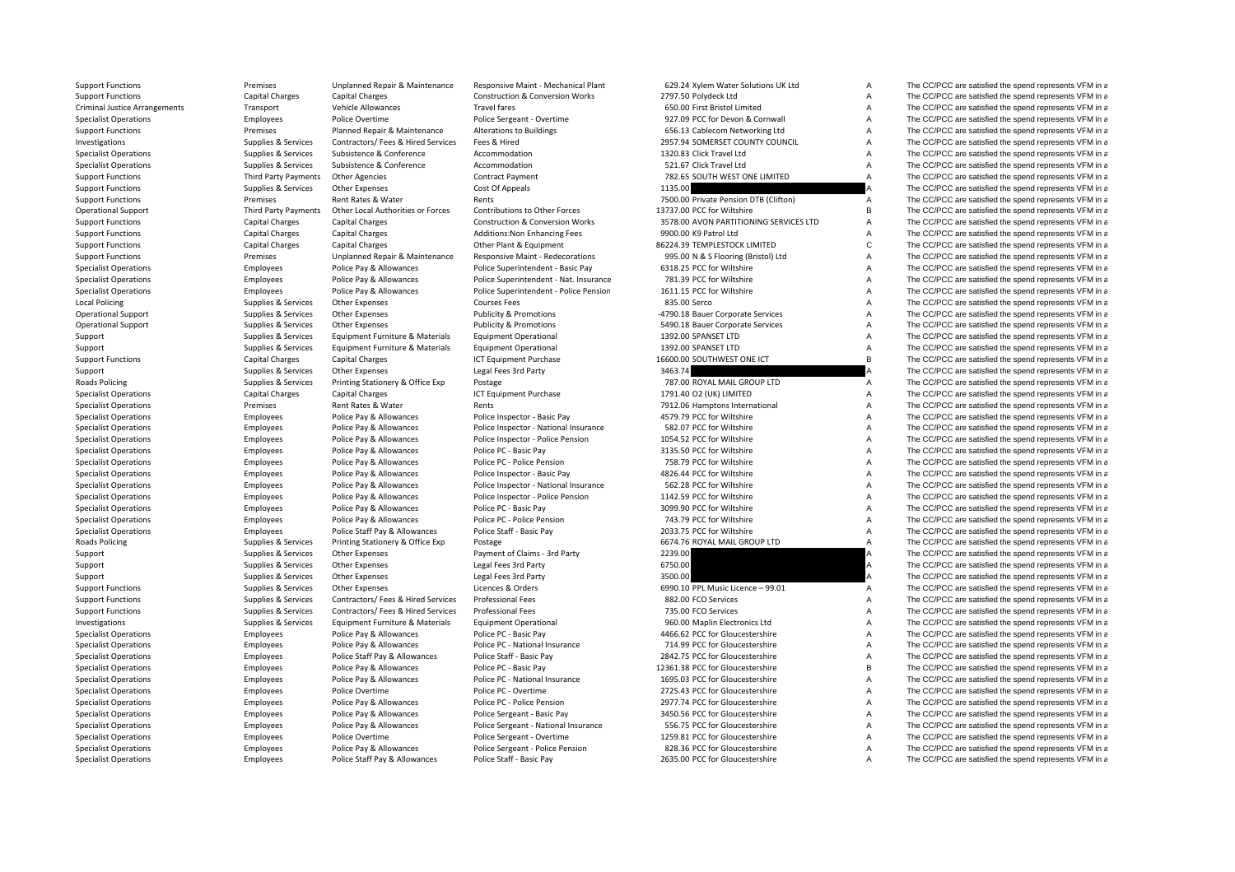Criminal Justice**Local Policing Roads Policing Roads Policing** 

Support Functions Premises Unplanned Repair & Maintenance Responsive Maint - Mechanical Plant 629.24 Xylem Water Solutions UK Ltd A The CC/PCC are satisfied the spend represents VFM in a

|              | 629.24 Xylem Water Solutions UK Ltd    |
|--------------|----------------------------------------|
|              | 2797.50 Polydeck Ltd                   |
|              | 650.00 First Bristol Limited           |
|              | 927.09 PCC for Devon & Cornwall        |
|              | 656.13 Cablecom Networking Ltd         |
|              | 2957.94 SOMERSET COUNTY COUNCIL        |
|              | 1320.83 Click Travel Ltd               |
|              | 521.67 Click Travel Ltd                |
|              | 782.65 SOUTH WEST ONE LIMITED          |
| 1135.00      |                                        |
|              | 7500.00 Private Pension DTB (Clifton)  |
|              | 13737.00 PCC for Wiltshire             |
|              | 3578.00 AVON PARTITIONING SERVICES LTD |
|              | 9900.00 K9 Patrol Ltd                  |
|              | 86224.39 TEMPLESTOCK LIMITED           |
|              | 995.00 N & S Flooring (Bristol) Ltd    |
|              | 6318.25 PCC for Wiltshire              |
|              | 781.39 PCC for Wiltshire               |
|              | 1611.15 PCC for Wiltshire              |
| 835.00 Serco |                                        |
|              | -4790.18 Bauer Corporate Services      |
|              | 5490.18 Bauer Corporate Services       |
|              | 1392.00 SPANSET LTD                    |
|              | 1392.00 SPANSET LTD                    |
|              | 16600.00 SOUTHWEST ONE ICT             |
| 3463.74      |                                        |
|              | 787.00 ROYAL MAIL GROUP LTD            |
|              | 1791.40 O2 (UK) LIMITED                |
|              | 7912.06 Hamptons International         |
|              | 4579.79 PCC for Wiltshire              |
|              | 582.07 PCC for Wiltshire               |
|              | 1054.52 PCC for Wiltshire              |
|              | 3135.50 PCC for Wiltshire              |
|              | 758.79 PCC for Wiltshire               |
|              | 4826.44 PCC for Wiltshire              |
|              | 562.28 PCC for Wiltshire               |
|              | 1142.59 PCC for Wiltshire              |
|              | 3099.90 PCC for Wiltshire              |
|              | 743.79 PCC for Wiltshire               |
|              | 2033.75 PCC for Wiltshire              |
|              | 6674.76 ROYAL MAIL GROUP LTD           |
| 2239.00      |                                        |
| 6750.00      |                                        |
| 3500.00      |                                        |
|              | 6990.10 PPL Music Licence - 99.01      |
|              | 882.00 FCO Services                    |
|              | 735.00 FCO Services                    |
|              | 960.00 Maplin Electronics Ltd          |
|              | 4466.62 PCC for Gloucestershire        |
|              | 714.99 PCC for Gloucestershire         |
|              | 2842.75 PCC for Gloucestershire        |
|              | 12361.38 PCC for Gloucestershire       |
|              | 1695.03 PCC for Gloucestershire        |
|              | 2725.43 PCC for Gloucestershire        |
|              | 2977.74 PCC for Gloucestershire        |
|              | 3450.56 PCC for Gloucestershire        |
|              | 556.75 PCC for Gloucestershire         |
|              | 1259.81 PCC for Gloucestershire        |
|              | 828.36 PCC for Gloucestershire         |
|              | <b>DERE OR BEC for Claugastarship</b>  |

Support Functions Capital Charges Capital Charges Capital Charges Construction & Conversion Works 2797.50 Polydeck Ltd A The CC/PCC are satisfied the spend represents VFM in a Transport Vehicle Allowances Travel fares Travel fares 650.00 First Bristol Limited A The CC/PCC are satisfied the spend represents VFM in a Specialist Operations Specialist Operations Employees Police Overtime Police Sergeant - Overtime 927.09 PCC for Devon & Cornwall A The CC/PCC are satisfied the spend represents VFM in a Support Functions **Premises** Planned Repair & Maintenance Alterations to Buildings 656.13 Cablecom Networking Ltd A The CC/PCC are satisfied the spend represents VFM in a Investigations Supplies & Services Contractors/ Fees & Hired Services Fees & Hired 2957.94 SOMERSET COUNTY COUNCIL A The CC/PCC are satisfied the spend represents VFM in a Specialist Operations Supplies & Services Subsistence & Conference Accommodation Accommodation 1320.83 Click Travel Ltd A The CC/PCC are satisfied the spend represents VFM in a Specialist Operations Supplies & Services Subsistence & Conference Accommodation 521.67 Click Travel Ltd A The CC/PCC are satisfied the spend represents VFM in a Support Functions Third Party Payments Other Agencies Contract Payment 782.65 SOUTH WEST ONE LIMITED A The CC/PCC are satisfied the spend represents VFM in a Support Functions Supplies & Services Other Expenses Cost Of Appeals Cost Of Appeals 1135.00 A The CC/PCC are satisfied the spend represents VFM in a Support Functions Premises Rent Rates & Water Rents 7500.00 Private Pension DTB (Clifton) A The CC/PCC are satisfied the spend represents VFM in a Operational Support Third Party Payments Other Local Authorities or Forces Contributions to Other Forces 13737.00 PCC for Wiltshire The CC/PCC are satisfied the spend represents VFM in a Support Functions Capital Charges Capital Charges Capital Charges Construction & Conversion Works 3578.00 AVON PARTITIONING SERVICES LTD A The CC/PCC are satisfied the spend represents VFM in a Support Functions Support Capital Charges Capital Charges Capital Charges Additions:Non Enhancing Fees 9900.00 K9 Patrol Ltd A The CC/PCC are satisfied the spend represents VFM in a Support Functions Capital Charges Capita Support Functions Capital Charges Capital Charges Capital Charges Other Plant & Foulnment 86224.39 TEMPLESTOCK LIMITED C The CC/PCC are satisfied the spend represents VFM in a Support Functions Premises Premises Unplanned Repair & Maintenance Responsive Maint - Redecorations 995.00 N & S Flooring (Bristol) Ltd A The CC/PCC are satisfied the spend represents VFM in a Specialist Operations Specialist Operations Employees Police Pay & Allowances Police Superintendent - Basic Pay 6318.25 PCC for Wiltshire A The CC/PCC are satisfied the spend represents VFM in a Specialist Operations Specialist Operations Employees Police Pay & Allowances Police Superintendent - Nat. Insurance 781.39 PCC for Wiltshire A The CC/PCC are satisfied the spend represents VFM in a Specialist Operations Specialist Operations Employees Police Pay & Allowances Police Pay and Police Pay Built and the Superintendent - Police Pension 1611.15 PCC for Wiltshire A The CC/PCC are satisfied the spend represent Policing Supplies & Services Other Expenses Supplies A Courses Fees 835.00 Serco Base and Courses Fees 835.00 Serco A The CC/PCC are satisfied the spend represents VFM in a Operational Support Supplies & Services Other Expenses Publicity & Promotions **4790.18 Bauer Corporate Services** A The CC/PCC are satisfied the spend represents VFM in a Operational Support Supplies & Services Other Expenses Publicity & Promotions 5490.18 Bauer Corporate Services A The CC/PCC are satisfied the spend represents VFM in a Support Supplies & Services Equipment Furniture & Materials Equipment Operational 1392.00 SPANSET LTD A The CC/PCC are satisfied the spend represents VFM in a Support Supplies & Services Equipment Furniture & Materials Equipment Operational 1392.00 SPANSET LTD A The CC/PCC are satisfied the spend represents VFM in a Support Functions Capital Charges Capital Charges Capital Charges ICT Equipment Purchase 16600.00 SOUTHWEST ONE ICT B The CC/PCC are satisfied the spend represents VFM in a Support Supplies & Services Other Expenses Legal Fees 3rd Party 3463.74 3463.74 A The CC/PCC are satisfied the spend represents VFM in a Supplies & Services Printing Stationery & Office Exp Postage Printing Principles 287.00 ROYAL MAIL GROUP LTD A The CC/PCC are satisfied the spend represents VFM in a Specialist Operations Capital Charges Capital Charges Capital Charges ICT Equipment Purchase 1791.40 O2 (UK) LIMITED A The CC/PCC are satisfied the spend represents VFM in a Specialist Operations **Specialist Operations** Premises Rent Rent Rents Rents Rents Rents 7912.06 Hamptons International A The CC/PCC are satisfied the spend represents VFM in a Specialist Operations Employees Police Pay & Allowances Police Inspector - Basic Pay 4579.79 PCC for Wiltshire A The CC/PCC are satisfied the spend represents VFM in a Specialist Operations Employees Police Pay & Allowances Police Inspector - National Insurance 582.07 PCC for Wiltshire A The CC/PCC are satisfied the spend represents VFM in a Specialist Operations Employees Police Pay & Allowances Police Inspector - Police Pension 1054.52 PCC for Wiltshire A The CC/PCC are satisfied the spend represents VFM in a Specialist Operations Specialist Operations Employees Police Pay & Allowances Police PC - Basic Pay 3135.50 PCC for Wiltshire A The CC/PCC are satisfied the spend represents VFM in a Specialist Operations Specialist Operations Employees Police Pay & Allowances Police Pension Police Pension 758.79 PCC for Wiltshire 758.79 PCC for Wiltshire A The CC/PCC are satisfied the spend represents VFM in a Specialist Operations Employees Police Pay & Allowances Police Inspector - Basic Pay 4826.44 PCC for Wiltshire A The CC/PCC are satisfied the spend represents VFM in a Specialist Operations Employees Police Pay & Allowances Police Inspector - National Insurance 562.28 PCC for Wiltshire A The CC/PCC are satisfied the spend represents VFM in a Specialist Operations Employees Police Pay & Allowances Police Inspector - Police Pension 1142.59 PCC for Wiltshire A The CC/PCC are satisfied the spend represents VFM in a Specialist Operations Specialist Operations Employees Police Pay & Allowances Police PC - Basic Pay 3009.90 PCC for Wiltshire A The CC/PCC are satisfied the spend represents VFM in a Specialist Operations Specialist Operations Employees Police Pay & Allowances Police Per-Police Pension 743.79 PCC for Wiltshire A The CC/PCC are satisfied the spend represents VFM in a Specialist Operations Employees Police Staff Pay & Allowances Police Staff - Basic Pay 2033.75 PCC for Wiltshire A The CC/PCC are satisfied the spend represents VFM in a Supplies & Services Printing Stationery & Office Exp Postage Principles and Supplies A Services Printing Stationery & Office Exp Postage Principles and Services of A The CC/PCC are satisfied the spend represents VFM in a Support Supplies & Services Other Expenses Payment of Claims - 3rd Party 2239.00 239.00 A The CC/PCC are satisfied the spend represents VFM in a Support Supplies & Services Other Expenses Legal Fees 3rd Party 6750.00 6750.00 A The CC/PCC are satisfied the spend represents VFM in a Support Supplies & Services Other Expenses Legal Fees 3rd Party 3500.00 3500.00 A The CC/PCC are satisfied the spend represents VFM in a Support Functions Supplies Supplies & Services Other Expenses Licences & Orders 6990.10 PPL Music Licence – 99.01 A The CC/PCC are satisfied the spend represents VFM in a Support Functions Supplies Supplies & Services Contractors/ Fees & Hired Services Professional Fees 882.00 FCO Services A The CC/PCC are satisfied the spend represents VFM in a Support Functions Supplies A Services Contractors/ Fees & Hired Services Professional Fees 735.00 FCO Services 735.00 FCO Services A The CC/PCC are satisfied the spend represents VFM in a Investigations Supplies & Services Equipment Furniture & Materials Equipment Operational 960.00 Maplin Electronics Ltd A The CC/PCC are satisfied the spend represents VFM in a Specialist Operations Employees Police Pay & Allowances Police PC - Basic Pay 4466.62 PCC for Gloucestershire A The CC/PCC are satisfied the spend represents VFM in a Specialist Operations Employees Police Pay & Allowances Police PC - National Insurance 714.99 PCC for Gloucestershire A The CC/PCC are satisfied the spend represents VFM in a Specialist Operations Employees Police Staff Pay & Allowances Police Staff - Basic Pay 2842.75 PCC for Gloucestershire A The CC/PCC are satisfied the spend represents VFM in a Specialist Operations Employees Police Pay & Allowances Police PC - Basic Pay 12361.38 PCC for Gloucestershire B The CC/PCC are satisfied the spend represents VFM in a Specialist Operations Specialist Operations Employees Police Pay & Allowances Police PC - National Insurance 1695.03 PCC for Gloucestershire A The CC/PCC are satisfied the spend represents VFM in a Specialist Operations Specialist Operations Employees Police Overtime Police PC - Overtime Police PC - Overtime 2725.43 PCC for Gloucestershire A The CC/PCC are satisfied the spend represents VFM in a Specialist Operations Specialist Operations Employees Police Pay & Allowances Police Persion Police Pension 2977.74 PCC for Gloucestershire A The CC/PCC are satisfied the spend represents VFM in a Specialist Operations Specialist Operations Employees Police Pay & Allowances Police Sergeant - Basic Pay 3450.56 PCC for Gloucestershire A The CC/PCC are satisfied the spend represents VFM in a Specialist Operations Specialist Operations Employees Police Pay & Allowances Police Sergeant - National Insurance 556.75 PCC for Gloucestershire A The CC/PCC are satisfied the spend represents VFM in a Specialist Operations Specialist Operations Specialist Operations Employees Police Overtime Police Police Sergeant - Overtime 1259.81 PCC for Gloucestershire A The CC/PCC are satisfied the spend represents VFM in a Special Employees Police Pay & Allowances Police Sergeant ‐ Police Pension 828.36 PCC for Gloucestershire A The CC/PCC are satisfied the spend represents VFM in a Specialist Operations Employees Police Staff Pay & Allowances Police Staff - Basic Pay 2635.00 PCC for Gloucestershire A The CC/PCC are satisfied the spend represents VFM in a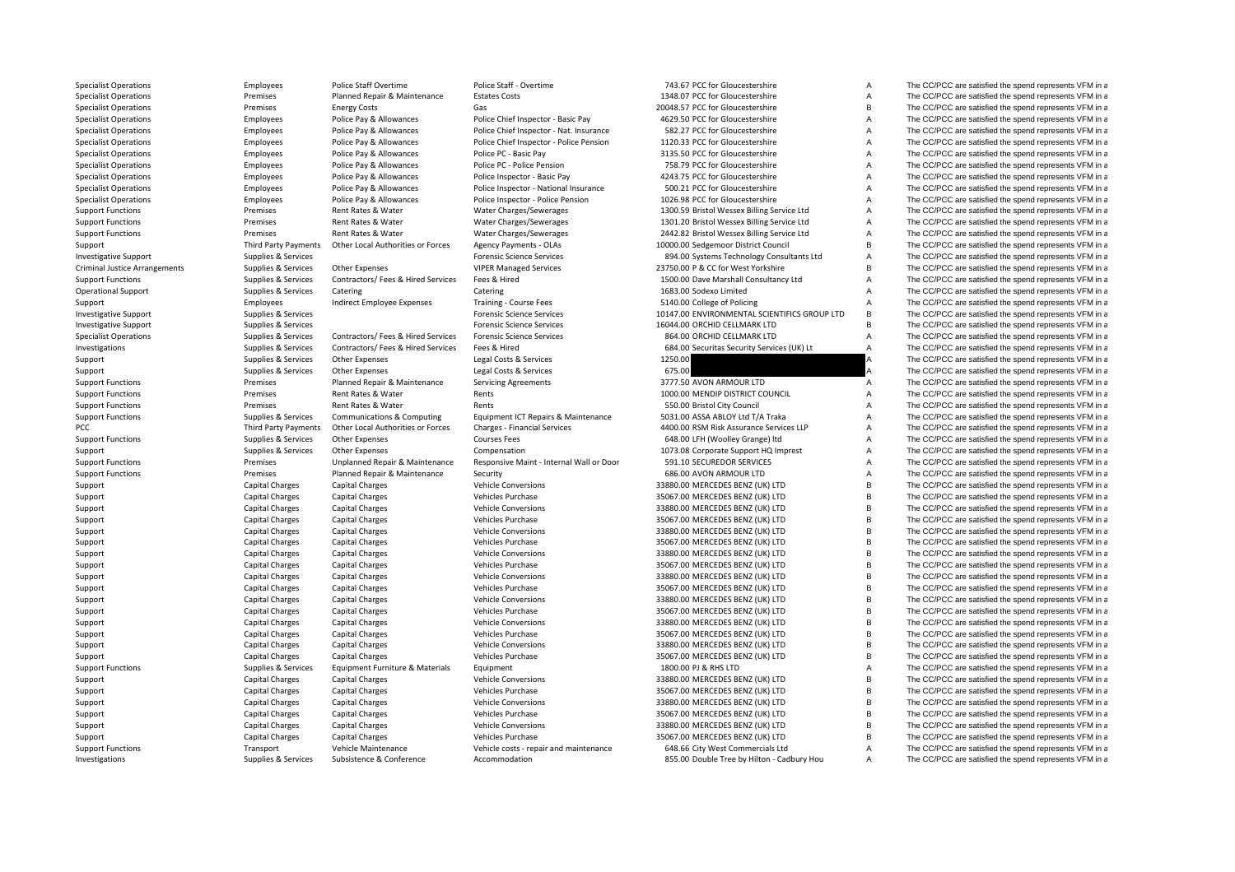Criminal JusticePCC Third Party Payments

Specialist Operations Employees Police Staff Overtime Police Staff - Overtime 743.67 PCC for Gloucestershire A The CC/PCC are satisfied the spend represents VFM in a Investigations Supplies & Services Subsistence  $\&$  Conference Accommodation 855.00 Double Tree by Hilton • Cadbury Hou A The CC/PCC are satisfied the spend represents VFM in a

Specialist Operations Specialist Operations Premises Planned Repair & Maintenance Estates Costs 1348.07 PCC for Gloucestershire A The CC/PCC are satisfied the spend represents VFM in a<br>Specialist Operations Specialist Oper Specialist Operations **Energy Costs** Energy Costs Gas Gas 20048.57 PCC for Gloucestershire B The CC/PCC are satisfied the spend represents VFM in a Specialist Operations Specialist Operations Police Pay & Allowances Police Chief Inspector - Basic Pay 4629.50 PCC for Gloucestershire A The CC/PCC are satisfied the spend represents VFM in a Specialist Operations Specialist Operations Employees Police Pay & Allowances Police Chief Inspector - Nat. Insurance 582.27 PCC for Gloucestershire A The CC/PCC are satisfied the spend represents VFM in a Specialist Operations Employees Police Pay & Allowances Police Chief Inspector - Police Pension 1120.33 PCC for Gloucestershire A The CC/PCC are satisfied the spend represents VFM in a Specialist Operations Specialist Operations Employees Police Pay & Allowances Police PC - Basic Pay 3135.50 PCC for Gloucestershire A The CC/PCC are satisfied the spend represents VFM in a Specialist Operations Employees Police Pay & Allowances Police PC ‐ Police Pension 758.79 PCC for Gloucestershire A The CC/PCC are satisfied the spend represents VFM in a Specialist Operations Employees Police Pay & Allowances Police Inspector - Basic Pay 423.75 PCC for Gloucestershire A The CC/PCC are satisfied the spend represents VFM in a Specialist Operations Employees Police Pay & Allowances Police Inspector - National Insurance 500.21 PCC for Gloucestershire A The CC/PCC are satisfied the spend represents VFM in a<br>Specialist Operations Police Pay & Allow Specialist Operations Employees Police Pay & Allowances Police Inspector - Police Pension 1026.98 PCC for Gloucestershire A The CC/PCC are satisfied the spend represents VFM in a Support Functions Support Functions Premises Rent Rates & Water Water Charges/Sewerages 1300.59 Bristol Wessex Billing Service Ltd A The CC/PCC are satisfied the spend represents VFM in a Support Functions Premises Rent Ra Premises Functions Premises Rent Rates & Water Water Charges/Sewerages 1301.20 Bristol Wessex Billing Service Ltd A The CC/PCC are satisfied the spend represents VFM in a Support Functions **Premises** Premises Rent Rates & Water Water Charges/Sewerages 2442.82 Bristol Wessex Billing Service Ltd A The CC/PCC are satisfied the spend represents VFM in a Support Third Party Payments Other Local Authorities or Forces Agency Payments - OLAs 10000.00 Sedgemoor District Council B The CC/PCC are satisfied the spend represents VFM in a<br>Investigative Support Support Support Suppo Investigative Support Support Support Support Support Services Services Forensic Science Services Forensic Science Services 894.00 Systems Technology Consultants Ltd A The CC/PCC are satisfied the spend represents VFM in a Supplies & Services Other Expenses VIPER Managed Services 23750.00 P & CC for West Yorkshire B The CC/PCC are satisfied the spend represents VFM in a Support Functions Supplies A Services Contractors/ Fees & Hired Services Fees & Hired 1500.00 Dave Marshall Consultancy Ltd A The CC/PCC are satisfied the spend represents VFM in a Operational Support Supplies American Catering Catering Catering Catering Catering Catering Course Fees and the Support and the CC/PCC are satisfied the spend represents VFM in a Support of the Support of the Support of th Support Support Employees Employees Indirect Employee Expenses Training ‐ Course Fees 5140.00 College of Policing A The CC/PCC are satisfied the spend represents VFM in a<br>Supplies & Services Services For the Section of the Investigative Support Support Supplies & Services Forensic Science Services Forensic Science Services Forensic Science Services and The CO/PCC are satisfied the spend represents VFM in a Investigative Support Support Supplies & Services Forensic Science Services Forensic Science Services Forensic Science Services and Support and Support Support Support Support Support Support Support Support Support Suppor Specialist Operations Supplies & Services Contractors/ Fees & Hired Services Forensic Science Services 864.00 ORCHID CELLMARK LTD A The CC/PCC are satisfied the spend represents VFM in a Investigations Supplies & Services Contractors/ Fees & Hired Services Fees & Hired Contractors/ Fees & Hired Services Fees & Hired 684.00 Securitas Security Services (UK) Lt A The CC/PCC are satisfied the spend represents Support Supplies & Services Other Expenses Legal Costs & Services 1250.00 1250.00 A The CC/PCC are satisfied the spend represents VFM in a Support Supplies & Services Other Expenses Legal Costs & Services 675.00 675.00 A The CC/PCC are satisfied the spend represents VFM in a Support Functions Support Functions Planned Repair & Maintenance Servicing Agreements 3777.50 AVON ARMOUR LTD A The CC/PCC are satisfied the spend represents VFM in a Support Functions of the spend represents VFM in a spen Support Functions **Examples A** Premises Rent Rates & Water Rents Rents Rent Rents 1000.00 MENDIP DISTRICT COUNCIL A The CC/PCC are satisfied the spend represents VFM in a Support Functions **Examples ARTES ARTES Rent Rates & Water** Rents Rents Rents **Rents Article COVID City Council** A The CC/PCC are satisfied the spend represents VFM in a Support Functions Supplies Services Communications & Computing Faultoment ICT Repairs & Maintenance 5031.00 ASSA ABLOY Ltd T/A Traka A The CC/PCC are satisfied the spend represents VFM in a Other Local Authorities or Forces Charges - Financial Services 4400.00 RSM Risk Assurance Services LLP A The CC/PCC are satisfied the spend represents VFM in a Support Functions Supplies A Services Other Expenses Courses Fees Courses Fees 648.00 LFH (Woolley Grange) ltd A The CC/PCC are satisfied the spend represents VFM in a Support Supplies & Services Other Expenses Compensation Compensation Compensation 1073.08 Corporate Support HQ Imprest A The CC/PCC are satisfied the spend represents VFM in a Support Functions Premises Premises Unplanned Repair & Maintenance Responsive Maint ‐ Internal Wall or Door 591.10 SECUREDOR SERVICES A The CC/PCC are satisfied the spend represents VFM in a Support Functions **Support Functions** Premises Planned Repair & Maintenance Security 686.00 AVON ARMOUR LTD A The CC/PCC are satisfied the spend represents VFM in a Support Capital Charges Capital Charges Capital Charges Vehicle Conversions 33880.00 MERCEDES BENZ (UK) LTD B The CC/PCC are satisfied the spend represents VFM in a Support Capital Charges Capital Charges Vehicles Purchase Vehicles Purchase 35067.00 MERCEDES BENZ (UK) LTD B The CC/PCC are satisfied the spend represents VFM in a<br>Support Capital Charges Capital Charges Vehicle Conversio Support Capital Charges Capital Charges Capital Charges Vehicle Conversions 33880.00 MERCEDES BENZ (UK) LTD B The CC/PCC are satisfied the spend represents VFM in a Support Capital Charges Capital Charges Capital Charges Vehicles Purchase Vehicles Purchase 35067.00 MERCEDES BENZ (UK) LTD B The CC/PCC are satisfied the spend represents VFM in a<br>Support Capital Charges Capital Charges V Support Capital Charges Capital Charges Capital Charges Vehicle Conversions 33880.00 MERCEDES BENZ (UK) LTD B The CC/PCC are satisfied the spend represents VFM in a Support Capital Charges Capital Charges Capital Charges Vehicles Purchase Vehicles Purchase 35067.00 MERCEDES BENZ (UK) LTD B The CC/PCC are satisfied the spend represents VFM in a<br>Support Capital Charges Capital Charges V Support Capital Charges Capital Charges Vehicle Conversions Vehicle Conversions 33880.00 MERCEDES BENZ (UK) LTD B The CC/PCC are satisfied the spend represents VFM in a Support Capital Charges Capital Charges Capital Charges Vehicles Purchase Vehicles Purchase 35067.00 MERCEDES BENZ (UK) LTD B The CC/PCC are satisfied the spend represents VFM in a Support Capital Charges Capital Charges Vehicle Conversions 33880.00 MERCEDES BENZ (UK) LTD B The CC/PCC are satisfied the spend represents VFM in a Support Capital Charges Capital Charges Capital Charges Vehicles Purchase Vehicles Purchase 35067.00 MERCEDES BENZ (UK) LTD B The CC/PCC are satisfied the spend represents VFM in a Support Capital Charges Capital Charges Vehicle Conversions 33880.00 MERCEDES BENZ (UK) LTD B The CC/PCC are satisfied the spend represents VFM in a Support Capital Charges Capital Charges Capital Charges Vehicles Purchase Vehicles Purchase 35067.00 MERCEDES BENZ (UK) LTD B The CC/PCC are satisfied the spend represents VFM in a Support Capital Charges Capital Charges Capital Charges Vehicle Conversions 33880.00 MERCEDES BENZ (UK) LTD B The CC/PCC are satisfied the spend represents VFM in a Support Capital Charges Capital Charges Capital Charges Vehicles Purchase Vehicles Purchase 35067.00 MERCEDES BENZ (UK) LTD B The CC/PCC are satisfied the spend represents VFM in a Support Capital Charges Capital Charges Capital Charges Vehicle Conversions 33880.00 MERCEDES BENZ (UK) LTD B The CC/PCC are satisfied the spend represents VFM in a Support Capital Charges Capital Charges Capital Charges Vehicles Purchase Vehicles Purchase 35067.00 MERCEDES BENZ (UK) LTD B The CC/PCC are satisfied the spend represents VFM in a Support Functions Supplies & Services Equipment Furniture & Materials Equipment Current 1800.00 PJ & RHS LTD A The CC/PCC are satisfied the spend represents VFM in a Support Capital Charges Capital Charges Capital Charges Vehicle Conversions 33880.00 MERCEDES BENZ (UK) LTD B The CC/PCC are satisfied the spend represents VFM in a Support Capital Charges Capital Charges Capital Charges Vehicles Purchase 35067.00 MERCEDES BENZ (UK) LTD B The CC/PCC are satisfied the spend represents VFM in a Support Capital Charges Capital Charges Vehicle Conversions 33880.00 MERCEDES BENZ (UK) LTD B The CC/PCC are satisfied the spend represents VFM in a Support Capital Charges Capital Charges Capital Charges Vehicles Purchase 35067.00 MERCEDES BENZ (UK) LTD B The CC/PCC are satisfied the spend represents VFM in a Support Capital Charges Capital Charges Vehicle Conversions Vehicle Conversions 33880.00 MERCEDES BENZ (UK) LTD B The CC/PCC are satisfied the spend represents VFM in a Support Capital Charges Capital Charges Capital Charges Vehicles Purchase Vehicles Purchase 35067.00 MERCEDES BENZ (UK) LTD B The CC/PCC are satisfied the spend represents VFM in a Support Vehicle Maintenance Vehicle Maint Support Functions Transport Vehicle Maintenance Vehicle costs ‐ repair and maintenance 648.66 City West Commercials Ltd A The CC/PCC are satisfied the spend represents VFM in a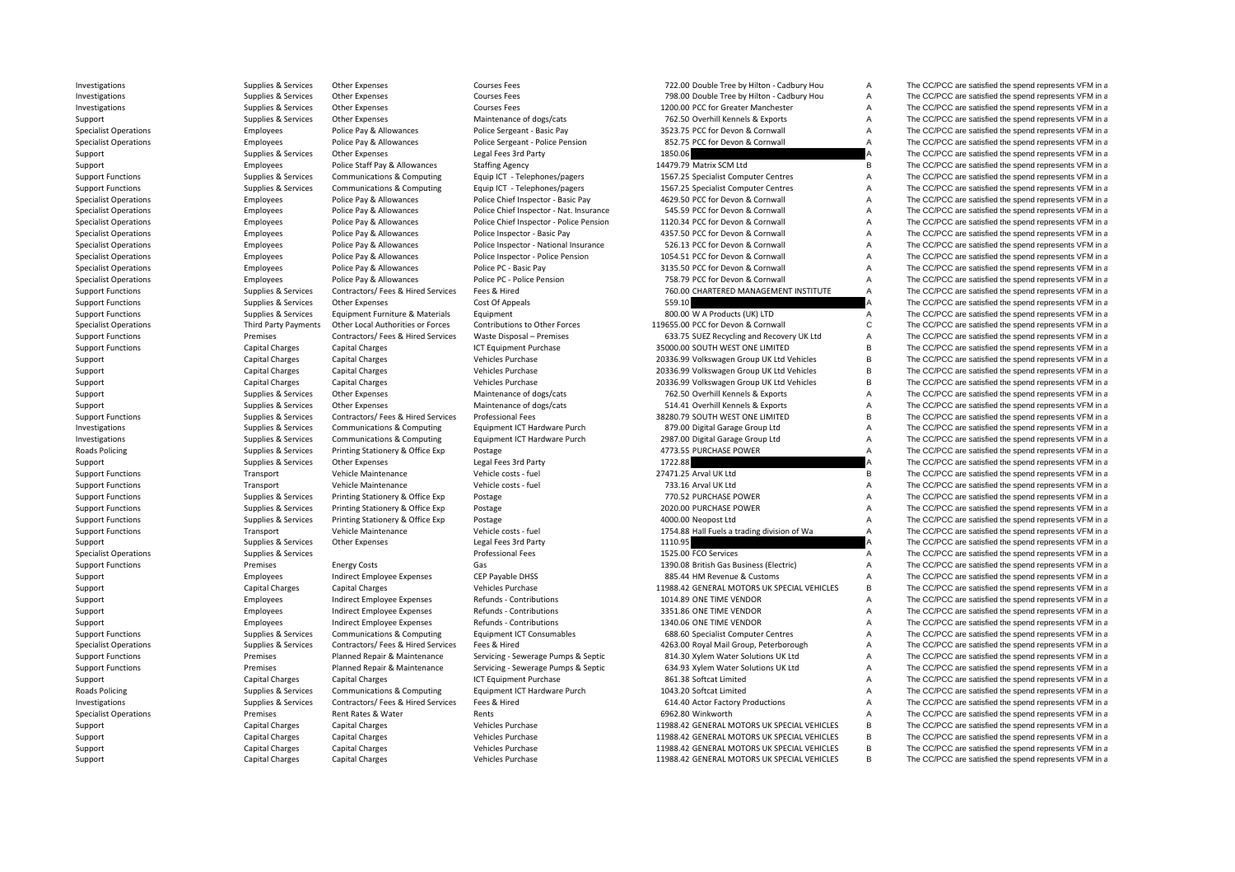**Roads Policing Roads Policing** 

Investigations Supplies & Services Other Expenses Courses Fees Courses Fees 722.00 Double Tree by Hilton - Cadbury Hou A The CC/PCC are satisfied the spend represents VFM in a

Investigations Supplies Alternatives Courses Courses Courses Fees The COURC Courses Fees The COVEC Are assusted the spend represents VFM in a Tree Development of the Spend represents VFM in a The CC/PCC are satisfied the s Investigations Supplies Services Other Expenses Courses Fees Courses Fees 1200.00 PCC for Greater Manchester A The CC/PCC are satisfied the spend represents VFM in a Support Supplies & Services Other Expenses Maintenance of dogs/cats 762.50 Overhill Kennels & Exports A The CC/PCC are satisfied the spend represents VFM in a Specialist Operations Specialist Operations Employees Police Pay & Allowances Police Sergeant - Basic Pay 3523.75 PCC for Devon & Cornwall A The CC/PCC are satisfied the spend represents VFM in a Specialist Operations Employees Police Pay & Allowances Police Sergeant - Police Pension 852.75 PCC for Devon & Cornwall A The CC/PCC are satisfied the spend represents VFM in a Support Supplies Supplies A Services Other Expenses Legal Fees 3rd Party 1850.06 A The CC/PCC are satisfied the spend represents VFM in a substitute of the Support of the CC/PCC are satisfied the spend represents VFM in a Support Employees Police Staff Pay & Allowances Staffing Agency 14479.79 Matrix SCM Ltd B The CC/PCC are satisfied the spend represents VFM in a Support Functions Supplies & Services Communications & Computing Equip ICT - Telephones/pagers 1567.25 Specialist Computer Centres A The CC/PCC are satisfied the spend represents VFM in a Support Functions Supplies & Services Communications & Computing Equip ICT - Telephones/pagers 1567.25 Specialist Computer Centres A The CC/PCC are satisfied the spend represents VFM in a Specialist Operations Specialist Operations Employees Police Pay & Allowances Police Chief Inspector - Basic Pay 4629.50 PCC for Devon & Cornwall A The CC/PCC are satisfied the spend represents VFM in a Specialist Operations Specialist Operations Employees Police Pay & Allowances Police Chief Inspector - Nat. Insurance 545.59 PCC for Devon & Cornwall A The CC/PCC are satisfied the spend represents VFM in a Specialist Oper Specialist Operations **Employees** Police Pay & Allowances Police Chief Inspector - Police Pension 1120.34 PCC for Devon & Cornwall A The CC/PCC are satisfied the spend represents VFM in a Specialist Operations Specialist Operations Employees Police Pay & Allowances Police Inspector - Basic Pay 4357.50 PCC for Devon & Cornwall A The CC/PCC are satisfied the spend represents VFM in a Specialist Operations Specialist Operations Employees Police Pay & Allowances Police Inspector - National Insurance 526.13 PCC for Devon & Cornwall A The CC/PCC are satisfied the spend represents VFM in a Specialist Operat Specialist Operations Employees Police Pay & Allowances Police Inspector - Police Pension 1054.51 PCC for Devon & Cornwall A The CC/PCC are satisfied the spend represents VFM in a Specialist Operations Employees Police Pay & Allowances Police PC - Basic Pay 3135.50 PCC for Devon & Cornwall A The CC/PCC are satisfied the spend represents VFM in a Specialist Operations Specialist Operations Employees Police Pay & Allowances Police Per-Police Pension 758.79 PCC for Devon & Cornwall A The CC/PCC are satisfied the spend represents VFM in a Support Functions Supplies Supplies & Services Contractors/ Fees & Hired Services Fees & Hired 760.00 CHARTERED MANAGEMENT INSTITUTE A The CC/PCC are satisfied the spend represents VFM in a Support Functions Supplies A Services Other Expenses Cost Of Appeals Cost Of Appeals 559.10 559.10 A The CC/PCC are satisfied the spend represents VFM in a Support Functions Supplies & Services Equipment Furniture & Materials Equipment Curricum Equipment and the SOO.00 W A Products (UK) LTD A The CC/PCC are satisfied the spend represents VFM in a Specialist Operations Third Party Payments Other Local Authorities or Forces Contributions to Other Forces 119655.00 PCC for Devon & Cornwall C The CC/PCC are satisfied the spend represents VFM in a Support Functions **Exercices** Premises Contractors/ Fees & Hired Services Waste Disposal – Premises 633.75 SUEZ Recycling and Recovery UK Ltd A The CC/PCC are satisfied the spend represents VFM in a Support Functions Capital Charges Capital Charges Capital Charges Capital Charges Capital Charges Capital Charges ICT Equipment Purchase 35000.00 SOUTH WEST ONE LIMITED B The CC/PCC are satisfied the spend represents VFM i Support Capital Charges Capital Charges Capital Charges Vehicles Purchase Vehicles 20336.99 Volkswagen Group UK Ltd Vehicles B The CC/PCC are satisfied the spend represents VFM in a Support Capital Charges Capital Charges Support Capital Charges Capital Charges Vehicles Purchase Vehicles Purchase 20336.99 Volkswagen Group UK Ltd Vehicles B The CC/PCC are satisfied the spend represents VFM in a Support Capital Charges Capital Charges Vehicles Purchase Vehicles Purchase 20336.99 Volkswagen Group UK Ltd Vehicles B The CC/PCC are satisfied the spend represents VFM in a<br>Support Supplies & Services Other Expenses Main Support Supplies & Services Other Expenses Maintenance of dogs/cats 762.50 Overhill Kennels & Exports A The CC/PCC are satisfied the spend represents VFM in a Support Supplies & Services Other Expenses Maintenance of dogs/cats 514.41 Overhill Kennels & Exports A The CC/PCC are satisfied the spend represents VFM in a Support Functions Supplies Services Contractors/ Fees & Hired Services Professional Fees 38280.79 SOUTH WEST ONE LIMITED B The CC/PCC are satisfied the spend represents VFM in a Investigations Supplies & Services Communications & Computing Equipment ICT Hardware Purch 879.00 Digital Garage Group Ltd A The CC/PCC are satisfied the spend represents VFM in a Investigations Supplies & Services Communications & Computing Equipment ICT Hardware Purch 2987.00 Digital Garage Group Ltd A The CC/PCC are satisfied the spend represents VFM in a Supplies & Services Printing Stationery & Office Exp Postage exp Postage and the State 4773.55 PURCHASE POWER A The CC/PCC are satisfied the spend represents VFM in a Support Supplies & Services Other Expenses Legal Fees 3rd Party 1722.88 A The CC/PCC are satisfied the spend represents VFM in a Support Functions Transport Vehicle Maintenance Vehicle costs - fuel 27471.25 Arval UK Ltd B The CC/PCC are satisfied the spend represents VFM in a Support Functions Transport Vehicle Maintenance Vehicle costs - fuel 733.16 Arval UK Ltd A The CC/PCC are satisfied the spend represents VFM in a Support Functions Supplies A Services Printing Stationery & Office Exp Postage Prince 20 Postage 770.52 PURCHASE POWER A The CC/PCC are satisfied the spend represents VFM in a Support Functions Supplies & Services Printing Stationery & Office Exp Postage 2020.00 PURCHASE POWER A The CC/PCC are satisfied the spend represents VFM in a Support Functions Supplies Americans Supplies Americans Critics Printing Stationery & Office Exp Postage Principality Principality and the A The CC/PCC are satisfied the spend represents VFM in a Support Transport Vehicle Support Functions Transport Vehicle Maintenance Vehicle costs - fuel 1754.88 Hall Fuels a trading division of Wa A The CC/PCC are satisfied the spend represents VFM in a Support Supplies Supplies & Services Other Expenses Companies Cupped Regal Fees 3rd Party and the Support 1110.95 Conservices A The CC/PCC are satisfied the spend represents VFM in a Supplies & Services Supplies & Services Specialist Operations Supplies & Services Supplies A Services A The CC/PCC are satisfied the spend represents VFM in a Support Functions Premises Premises Energy Costs Gas Gas Cases Costs Cases Cases Costs Costs Gas 1390.08 British Gas Business (Flectric) A The CC/PCC are satisfied the spend represents VFM in a Support Customs CEP Payable DHSS 885.44 HM Revenue & Customs A The CC/PCC are satisfied the spend represents VFM in a Support Capital Charges Capital Charges Vehicles Purchase 11988.42 GENERAL MOTORS UK SPECIAL VEHICLES B The CC/PCC are satisfied the spend represents VFM in a Support Employees Support Employees And the Employee Expenses Refunds - Contributions and the Support The CO/PCC are satisfied the spend represents VFM in a substitutions of the Support of the Support of the Support of the Support Employees Indirect Employee Expenses Refunds - Contributions 3351.86 ONE TIME VENDOR A The CC/PCC are satisfied the spend represents VFM in a Support Employees Indirect Employee Expenses Refunds - Contributions 1340.06 ONE TIME VENDOR A The CC/PCC are satisfied the spend represents VFM in a Support Functions Supplies & Services Communications & Computing Equipment ICT Consumables 688.60 Specialist Computer Centres A The CC/PCC are satisfied the spend represents VFM in a Specialist Operations Supplies & Services Contractors/ Fees & Hired Services Fees & Hired 4263.00 Royal Mail Group, Peterborough A The CC/PCC are satisfied the spend represents VFM in a Support Functions **Premises** Planned Repair & Maintenance Servicing - Sewerage Pumps & Septic 814.30 Xylem Water Solutions UK Ltd A The CC/PCC are satisfied the spend represents VFM in a Support Functions Premises Premises Planned Repair & Maintenance Servicing - Sewerage Pumps & Septic 634.93 Xylem Water Solutions UK Ltd A The CC/PCC are satisfied the spend represents VFM in a Support Capital Charges Capital Charges Capital Charges ICT Equipment Purchase 861.38 Softcat Limited A The CC/PCC are satisfied the spend represents VFM in a Supplies & Services Communications & Computing Equipment ICT Hardware Purch 1043.20 Softcat Limited A The CC/PCC are satisfied the spend represents VFM in a Investigations Supplies & Services Contractors/ Fees & Hired Services Fees & Hired 614.40 Actor Factory Productions A The CC/PCC are satisfied the spend represents VFM in a Specialist Operations Specialist Operations Premises Rent Rates & Water Rents Rents Rents Rent Rents Rent Rent<br>Support Rental Charges Capital Charges Capital Charges Weblicks Purchase Vertalist Charges Capital Charges Capi Support Capital Charges Capital Charges Vehicles Purchase Vehicles Purchase 11988.42 GENERAL MOTORS UK SPECIAL VEHICLES B The CC/PCC are satisfied the spend represents VFM in a Support Capital Charges Capital Charges Vehicles Purchase Vehicles Purchase 11988.42 GENERAL MOTORS UK SPECIAL VEHICLES B The CC/PCC are satisfied the spend represents VFM in a<br>Support Capital Charges Capital Charges Vehic Support Capital Charges Capital Charges Vehicles Purchase Vehicles Purchase 11988.42 GENERAL MOTORS UK SPECIAL VEHICLES B The CC/PCC are satisfied the spend represents VFM in a Support Capital Charges Capital Charges Vehicles Purchase 11988.42 GENERAL MOTORS UK SPECIAL VEHICLES B The CC/PCC are satisfied the spend represents VFM in a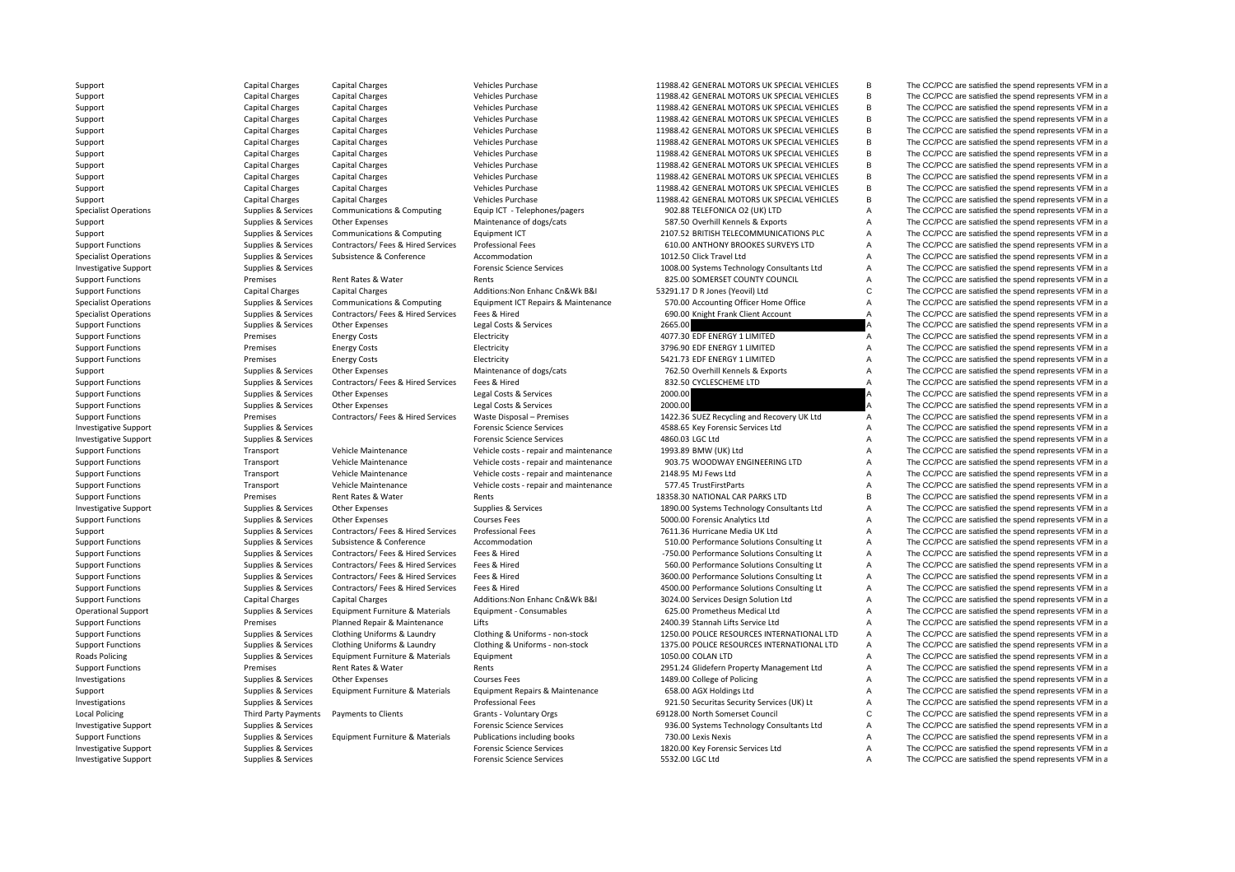**Roads Policing Local Policing** 

Support Capital Charges Capital Charges Vehicles Purchase 11988.42 GENERAL MOTORS UK SPECIAL VEHICLES B The CC/PCC are satisfied the spend represents VFM in a Support Capital Charges Capital Charges Vehicles Purchase Vehicles Purchase 11988.42 GENERAL MOTORS UK SPECIAL VEHICLES B The CC/PCC are satisfied the spend represents VFM in a Support Capital Charges Capital Charges Vehicles Purchase 11988.42 GENERAL MOTORS UK SPECIAL VEHICLES B The CC/PCC are satisfied the spend represents VFM in a Support Capital Charges Capital Charges Vehicles Purchase 11988.42 GENERAL MOTORS UK SPECIAL VEHICLES B The CC/PCC are satisfied the spend represents VFM in a Support Capital Charges Capital Charges Vehicles Purchase Vehicles Purchase 11988.42 GENERAL MOTORS UK SPECIAL VEHICLES B The CC/PCC are satisfied the spend represents VFM in a Support Capital Charges Capital Charges Vehicles Purchase Vehicles Purchase 11988.42 GENERAL MOTORS UK SPECIAL VEHICLES B The CC/PCC are satisfied the spend represents VFM in a Support Capital Charges Capital Charges Vehicles Purchase Vehicles Purchase 11988.42 GENERAL MOTORS UK SPECIAL VEHICLES B The CC/PCC are satisfied the spend represents VFM in a Support Capital Charges Capital Charges Vehicles Purchase Vehicles Purchase 11988.42 GENERAL MOTORS UK SPECIAL VEHICLES B The CC/PCC are satisfied the spend represents VFM in a Support Capital Charges Capital Charges Vehicles Purchase 11988.42 GENERAL MOTORS UK SPECIAL VEHICLES B The CC/PCC are satisfied the spend represents VFM in a Support Capital Charges Capital Charges Vehicles Purchase Vehicles Purchase 11988.42 GENERAL MOTORS UK SPECIAL VEHICLES B The CC/PCC are satisfied the spend represents VFM in a Support Capital Charges Capital Charges Vehicles Purchase Vehicles Purchase 11988.42 GENERAL MOTORS UK SPECIAL VEHICLES B The CC/PCC are satisfied the spend represents VFM in a Specialist Operations Supplies & Services Communications & Computing Equip ICT - Telephones/pagers 902.88 TELEFONICA O2 (UK) LTD A The CC/PCC are satisfied the spend represents VFM in a Support Supplies & Services Other Expenses Maintenance of dogs/cats 587.50 Overhill Kennels & Exports A The CC/PCC are satisfied the spend represents VFM in a Support Supplies & Services Communications & Computing Equipment ICT 2107.52 BRITISH TELECOMMUNICATIONS PLC A The CC/PCC are satisfied the spend represents VFM in a Support Functions Supplies A Services Contractors/ Fees & Hired Services Professional Fees 610.00 ANTHONY BROOKES SURVEYS LTD A The CC/PCC are satisfied the spend represents VFM in a Specialist Operations Supplies & Services Subsistence & Conference Accommodation 1012.50 Click Travel Ltd A The CC/PCC are satisfied the spend represents VFM in a Investigative Support Support Supplies & Services Forensic Science Services Forensic Science Services Forensic Science Services and Support and Support Support Support Support Support Support Support Support Support Suppor Support Functions examples and the Premises Rent Rates & Water Rents Rents Rents 825.00 SOMERSET COUNTY COUNCIL A The CC/PCC are satisfied the spend represents VFM in a Support Functions Capital Charges Capital Charges Additions:Non Enhanc Cn&Wk B&I 53291.17 D R Jones (Yeovil) Ltd C The CC/PCC are satisfied the spend represents VFM in a Specialist Operations Supplies & Services Communications & Computing Equipment ICT Repairs & Maintenance 570.00 Accounting Office The CC/PCC are satisfied the spend represents VFM in a Supplies Alternations Supplies & Services Contractors/ Fees & Hired Services Fees & Hired 690.00 Knight Frank Client Account A The CC/PCC are satisfied the spend represents VFM in a Support Functions Supplies A Services Other Expenses Legal Costs & Services 2665.00 2665.00 A The CC/PCC are satisfied the spend represents VFM in a Support Functions energy Costs Energy Costs Electricity Electricity A The CC/PCC are satisfied the spend represents VFM in a Support Functions energy Costs Energy Costs Electricity Electricity and the Support Electricity 3796.90 EDF ENERGY 1 LIMITED A The CC/PCC are satisfied the spend represents VFM in a Support Functions Support Energy Costs Energy Costs Electricity Electricity Electricity Support Energy Costs Energy Costs Energy Costs Electricity Electricity 5421.73 EDF ENERGY 1 LIMITED A The CC/PCC are satisfied the spe Support Supplies & Services Other Expenses Maintenance of dogs/cats 762.50 Overhill Kennels & Exports A The CC/PCC are satisfied the spend represents VFM in a Support Functions Supplies Supplies & Services Contractors/ Fees & Hired Services Fees & Hired Services Fees & Hired Services Fees & Hired 832.50 CYCLESCHEME LTD A The CC/PCC are satisfied the spend represents VFM in a sup Support Functions Supplies Services Other Expenses Legal Costs & Services 2000.00 2000.00 A The CC/PCC are satisfied the spend represents VFM in a Support Functions Supplies A Services Other Expenses Legal Costs & Services 2000.00 2000.00 A The CC/PCC are satisfied the spend represents VFM in a Support Functions Premises Contractors/ Fees & Hired Services Waste Disposal – Premises 1422.36 SUEZ Recycling and Recovery UK Ltd A The CC/PCC are satisfied the spend represents VFM in a Investigative Support The CC/PCC are satisfied the spend represents VFM in a Support Support Support Support Support Support Support Support Support Support Support Support Support Support Support Support Support Support S Investigative Support The CC/PCC are satisfied the spend represents VFM in a Support Support Support Support Support Support Support Support Support Support Support Support Support Support Support Support Support Support S Support Functions Transport Vehicle Maintenance Vehicle costs - repair and maintenance 1993.89 BMW (UK) Ltd A The CC/PCC are satisfied the spend represents VFM in a Support Functions Transport Vehicle Maintenance Vehicle costs - repair and maintenance 903.75 WOODWAY ENGINEERING LTD A The CC/PCC are satisfied the spend represents VFM in a Support Functions Transport Vehicle Maintenance Vehicle costs - repair and maintenance 2148.95 MJ Fews Ltd A The CC/PCC are satisfied the spend represents VFM in a Support Functions Transport Vehicle Maintenance Vehicle costs - repair and maintenance 577.45 TrustFirstParts A The CC/PCC are satisfied the spend represents VFM in a Support Functions examples and the Premises Rent Rates & Water Rents Rents Rents Rents 18358.30 NATIONAL CAR PARKS LTD B The CC/PCC are satisfied the spend represents VFM in a Investigative Support Supplies & Services Other Expenses Supplies & Services Supplies & Services 1890.00 Systems Technology Consultants Ltd A The CC/PCC are satisfied the spend represents VFM in a Support Functions Supplies A Services Other Expenses Courses Fees Courses Fees 5000.00 Forensic Analytics Ltd A The CC/PCC are satisfied the spend represents VFM in a Support Supplies & Services Contractors/ Fees & Hired Services Professional Fees 7611.36 Hurricane Media UK Ltd A The CC/PCC are satisfied the spend represents VFM in a Support Functions Supplies & Services Subsistence & Conference Accommodation 510.00 Performance Solutions Consulting Lt A The CC/PCC are satisfied the spend represents VFM in a Support Functions Supplies & Services Contractors/ Fees & Hired Services Fees & Hired **Function Consultions** -750.00 Performance Solutions Consulting Lt A The CC/PCC are satisfied the spend represents VFM in a Support Functions Supplies & Services Contractors/ Fees & Hired Services Fees & Hired Services Fees & Hired Services Fees & Hired 560.00 Performance Solutions Consulting Lt A The CC/PCC are satisfied the spend represents V Support Functions Supplies & Services Contractors/ Fees & Hired Services Fees & Hired 3600.00 Performance Solutions Consulting Lt A The CC/PCC are satisfied the spend represents VFM in a Support Functions Supplies Services Contractors/ Fees & Hired Services Fees & Hired 4500.00 Performance Solutions Consulting Lt A The CC/PCC are satisfied the spend represents VFM in a Support Functions Capital Charges Capital Charges Additions:Non Enhanc Cn&Wk B&I 3024.00 Services Design Solution Ltd A The CC/PCC are satisfied the spend represents VFM in a Design Solution Ltd Communical Ltd Communical L Operational Support Supplies & Services Equipment Furniture & Materials Equipment - Consumables 625.00 Prometheus Medical Ltd A The CC/PCC are satisfied the spend represents VFM in a Support Functions 2002 Premises Planned Repair & Maintenance Lifts 2400.39 Stannah Lifts Service Ltd A The CC/PCC are satisfied the spend represents VFM in a Support Functions Supplies & Services Clothing Uniforms & Laundry Clothing & Uniforms - non-stock 1250.00 POLICE RESOURCES INTERNATIONAL LTD A The CC/PCC are satisfied the spend represents VFM in a Support Functions Supplies & Services Clothing Uniforms & Laundry Clothing & Uniforms - non-stock 1375.00 POLICE RESOURCES INTERNATIONAL LTD A The CC/PCC are satisfied the spend represents VFM in a Policing Supplies & Services Equipment Furniture & Materials Equipment 1050.00 COLAN LTD A The CC/PCC are satisfied the spend represents VFM in a Support Functions **Exercises** Premises Rent Rates & Water Rents Rents Rents 2951.24 Glidefern Property Management Ltd A The CC/PCC are satisfied the spend represents VFM in a Investigations Supplies & Services Other Expenses Courses Fees Courses Fees 1489.00 College of Policing A The CC/PCC are satisfied the spend represents VFM in a Support Supplies & Services Equipment Furniture & Materials Equipment Repairs & Maintenance 658.00 AGX Holdings Ltd A The CC/PCC are satisfied the spend represents VFM in a Investigations Supplies & Services Supplies & Services Professional Fees Professional Fees 921.50 Securitas Security Services (UK) Lt A The CC/PCC are satisfied the spend represents VFM in a Policing Third Party Payments Payments to Clients Grants ‐ Voluntary Orgs 69128.00 North Somerset Council C The CC/PCC are satisfied the spend represents VFM in a Investigative Support Support Supplies & Services Forensic Science Services Forensic Science Services Forensic Science Services 936.00 Systems Technology Consultants Ltd A The CC/PCC are satisfied the spend represents VFM Support Functions Supplies Americans Supplies & Services Equipment Furniture & Materials Publications including books 730.00 Lexis Nexis Nexis A The CC/PCC are satisfied the spend represents VFM in a The CC/PCC are satisfi Investigative Support Support Support Support Support Support Support Support Support Support Support Support Support Support Support Support Support Support Support Support Support Support Support Support Support Support Investigative Support Support Support Support Support Services Forensic Science Services Forensic Science Services 5532.00 LGC Ltd A The CC/PCC are satisfied the spend represents VFM in a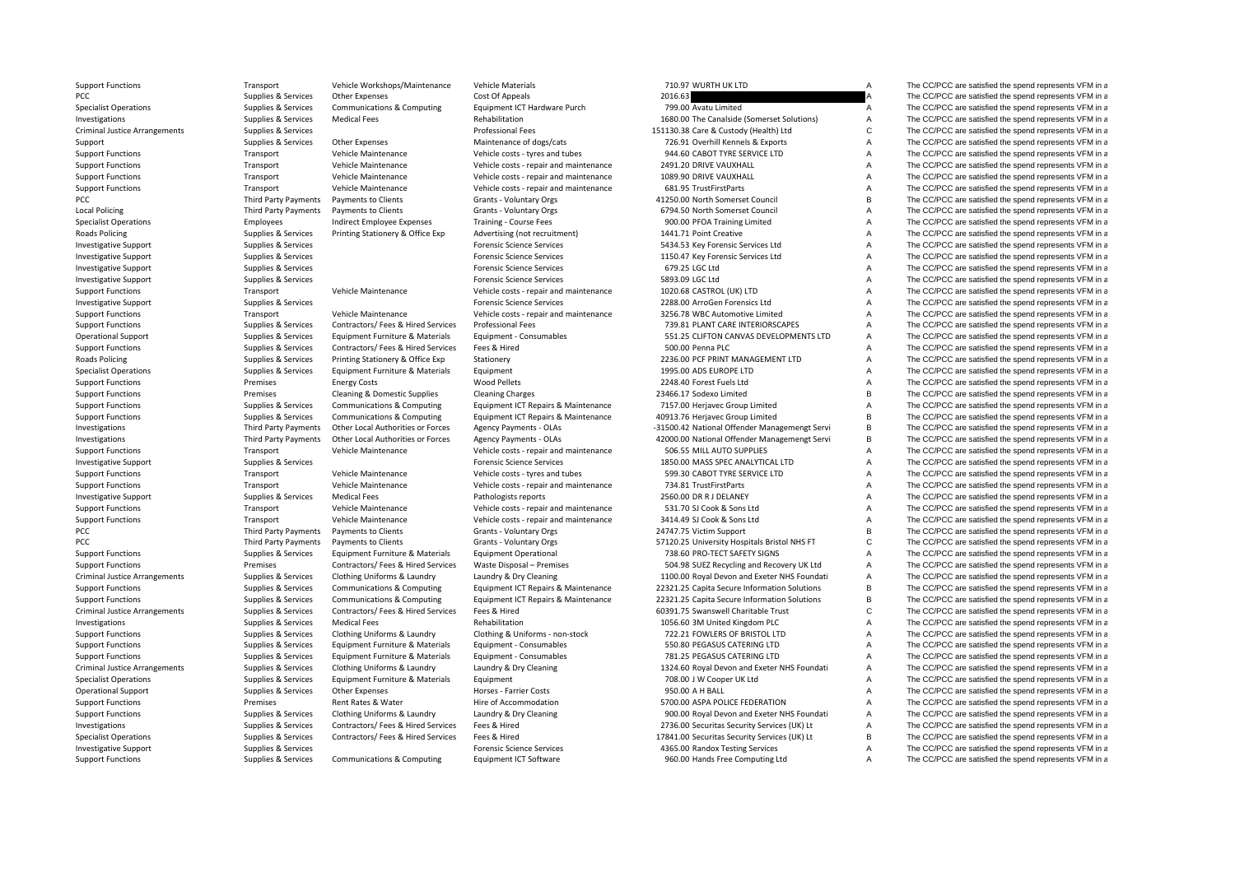Criminal JusticePCC Third Party Payments **Local Policing Roads Policing Roads Policing** PCC Third Party Payments PCC Third Party Payments Criminal JusticeCriminal JusticeCriminal Justice

Support Functions Transport Vehicle Workshops/Maintenance Vehicle Materials 710.97 WURTH UK LTD A The CC/PCC are satisfied the spend represents VFM in a

PCC PCC Supplies According Supplies Associates Other Expenses Cost Of Appeals Cost Of Appeals 2016.63 A The CC/PCC are satisfied the spend represents VFM in a<br>2016.63 A The CC/PCC are satisfied the spend represents VFM in Specialist Operations Supplies & Services Communications & Computing Equipment ICT Hardware Purch 799.00 Avatu Limited A The CC/PCC are satisfied the spend represents VFM in a Investigations Supplies & Services Medical Fees Rehabilitation 1680.00 The Canalside (Somerset Solutions) A The CC/PCC are satisfied the spend represents VFM in a Arrangements Supplies & Services Professional Fees 151130.38 Care & Custody (Health) Ltd C The CC/PCC are satisfied the spend represents VFM in a Support Supplies & Services Other Expenses Maintenance of dogs/cats 726.91 Overhill Kennels & Exports A The CC/PCC are satisfied the spend represents VFM in a Support Functions Transport Vehicle Maintenance Vehicle costs - tyres and tubes 944.60 CABOT TYRE SERVICE LTD A The CC/PCC are satisfied the spend represents VFM in a Support Functions Transport Vehicle Maintenance Vehicle costs - repair and maintenance 2491.20 DRIVE VAUXHALL A The CC/PCC are satisfied the spend represents VFM in a Support Functions Transport Vehicle Maintenance Vehicle costs - repair and maintenance 1089.90 DRIVE VAUXHALL A The CC/PCC are satisfied the spend represents VFM in a Support Functions Transport Vehicle Maintenance Vehicle costs - repair and maintenance 681.95 TrustFirstParts A The CC/PCC are satisfied the spend represents VFM in a<br>
Party Developments a Developments of Clients Cleants V Payments to Clients Cramber of Cramber of Cramber of Cramber of Cramber of Cramber of Cramber of Cramber of Cramber of Cramber of Cramber of Cramber of Cramber of Cramber of Cramber of Cramber of Cramber of Cramber of Cram Policing Third Party Payments Payments to Clients Clients Grants - Voluntary Orgs 6794.50 North Somerset Council Council A The CC/PCC are satisfied the spend represents VFM in a The CC/PCC are satisfied the spend represent Specialist Operations Specialist Operations Employees Indirect Employee Expenses Training - Course Fees 900.00 PFOA Training Limited A The CC/PCC are satisfied the spend represents VFM in a Supplies & Services Printing Stationery & Office Exp Advertising (not recruitment) 1441.71 Point Creative A The CC/PCC are satisfied the spend represents VFM in a Investigative Support Support Support Support Support Support Support Support Support Support Support Support Support Support Services Services Services Services Services Services Services Services Services Services Servic Investigative Support Support Support Support Support Services Forensic Science Services Forensic Services 1150.47 Key Forensic Services 1150.47 Key Forensic Services Ltd A The CC/PCC are satisfied the spend represents VFM Investigative Support The CC/PCC are satisfied the spend represents VFM in a Support of the Support Support Support Support Support Support Support Support Support Support Support Support Support Support Support Support Su Investigative Support Support Support Support Support Support Support Support Support Support Support Support Support Support Support Support Support Support Support Support Support Support Support Support Support Support Support Functions Transport Vehicle Maintenance Vehicle costs - repair and maintenance 1020.68 CASTROL (UK) LTD A The CC/PCC are satisfied the spend represents VFM in a Investigative Support Support Supplies & Services Forensics Forensic Science Services Forensics Creates Proven Forensics Ltd A The CC/PCC are satisfied the spend represents VFM in a Support Functions Transport Vehicle Maintenance Vehicle costs - repair and maintenance 3256.78 WBC Automotive Limited A The CC/PCC are satisfied the spend represents VFM in a Support Functions Supplies A Services Contractors/ Fees & Hired Services Professional Fees 759.81 PLANT CARE INTERIORSCAPES A The CC/PCC are satisfied the spend represents VFM in a Operational Support Supplies & Services Equipment Furniture & Materials Equipment - Consumables 551.25 CLIFTON CANVAS DEVELOPMENTS LTD A The CC/PCC are satisfied the spend represents VFM in a Support Functions Supplies Supplies & Services Contractors/ Fees & Hired Services Fees & Hired Services Fees & Hired Services Fees & Hired Services Fees & Hired Services Fees & Hired Services Fees & Hired Services Statione Policing Supplies & Services Printing Stationery & Office Exp Stationery Supplies and Supplies & Services Printing Stationery & Office Exp Stationery 2236.00 PCF PRINT MANAGEMENT LTD A The CC/PCC are satisfied the spend re Supplies & Services Faultoment Furniture & Materials Faultoment 1995.00 ADS EUROPE LTD 1995.00 ADS EUROPE LTD A The CC/PCC are satisfied the spend represents VFM in a Support Functions Support Energy Costs Energy Costs and Mode Pellets Wood Pellets 2248.40 Forest Fuels Ltd A The CC/PCC are satisfied the spend represents VFM in a Support Functions of the School of Pellets Cleaning A Dome Support Functions **Premises** Cleaning & Domestic Supplies Cleaning Charges 23466.17 Sodexo Limited B The CC/PCC are satisfied the spend represents VFM in a Support Functions Supplies & Services Communications & Computing Equipment ICT Repairs & Maintenance 7157.00 Herjavec Group Limited A The CC/PCC are satisfied the spend represents VFM in a Support Functions Supplies Services Communications & Computing Faultoment ICT Repairs & Maintenance 40913.76 Heriavec Group Limited B The CC/PCC are satisfied the spend represents VFM in a Investigations Third Party Payments Other Local Authorities or Forces Agency Payments - OLAs – 31500.42 National Offender Managemengt Servi B The CC/PCC are satisfied the spend represents VFM in a Investigations Third Party Payments Other Local Authorities or Forces Agency Payments - OLAs 42000.00 National Offender Managemengt Servi B The CC/PCC are satisfied the spend represents VFM in a Support Functions Transport Vehicle Maintenance Vehicle costs - repair and maintenance 506.55 MILL AUTO SUPPLIES A The CC/PCC are satisfied the spend represents VFM in a Investigative Support Support Support Support Support Support Support Support Support Support Support Support Support Support Support Support Support Support Support Support Support Support Support Support Support Support Support Functions Transport Vehicle Maintenance Vehicle costs - tyres and tubes 599.30 CABOT TYRE SERVICE LTD A The CC/PCC are satisfied the spend represents VFM in a Support Functions Transport Vehicle Maintenance Vehicle costs - repair and maintenance 734.81 TrustFirstParts A The CC/PCC are satisfied the spend represents VFM in a Investigative Support Support Supplies & Services Medical Fees Pathologists reports Pathologists reports 2560.00 DR R J DELANEY A The CC/PCC are satisfied the spend represents VFM in a Support Functions Transport Vehicle Maintenance Vehicle costs - repair and maintenance 531.70 SJ Cook & Sons Ltd A The CC/PCC are satisfied the spend represents VFM in a Support Functions Transport Vehicle Maintenance Vehicle costs - repair and maintenance 3414.49 SJ Cook & Sons Ltd A The CC/PCC are satisfied the spend represents VFM in a Payments to Clients Grants - Voluntary Orgs 24747.75 Victim Support B The CC/PCC are satisfied the spend represents VFM in a Payments to Clients Clients Clients Crants - Voluntary Orgs 57120.25 University Hospitals Bristol NHS FT C The CC/PCC are satisfied the spend represents VFM in a computational control of the SC/PCC are satisfied the spend Support Functions Supplies & Services Equipment Furniture & Materials Equipment Operational 738.60 PRO‐TECT SAFETY SIGNS A The CC/PCC are satisfied the spend represents VFM in a Support Functions Support Functions Premises Contractors/ Fees & Hired Services Waste Disposal – Premises 704.98 SUEZ Recycling and Recovery UK Ltd A The CC/PCC are satisfied the spend represents VFM in a Supplies & Services Clothing Uniforms & Laundry Laundry & Dry Cleaning 1100.00 Royal Devon and Exeter NHS Foundati A The CC/PCC are satisfied the spend represents VFM in a Support Functions Supplies Services Communications & Computing Faultoment ICT Repairs & Maintenance 22321.25 Capita Secure Information Solutions B The CC/PCC are satisfied the spend represents VFM in a Support Functions Supplies & Services Communications & Computing Equipment ICT Repairs & Maintenance 22321.25 Capita Secure Information Solutions B The CC/PCC are satisfied the spend represents VFM in a Supplies & Services Contractors/ Fees & Hired Services Fees & Hired 60391.75 Swanswell Charitable Trust C The CC/PCC are satisfied the spend represents VFM in a Investigations Supplies & Services Medical Fees Rehabilitation Rehabilitation 1056.60 3M United Kingdom PLC A The CC/PCC are satisfied the spend represents VFM in a Support Functions Supplies & Services Clothing Uniforms & Laundry Clothing & Uniforms - non-stock 722.21 FOWLERS OF BRISTOL LTD A The CC/PCC are satisfied the spend represents VFM in a Support Functions Supplies & Services Faultoment Furniture & Materials Faultoment • Consumables 550.80 PEGASUS CATERING LTD A The CC/PCC are satisfied the spend represents VFM in a Support Functions Supplies & Services Equipment Furniture & Materials Equipment - Consumables 781.25 PEGASUS CATERING LTD A The CC/PCC are satisfied the spend represents VFM in a Supplies & Services Clothing Uniforms & Laundry Laundry & Dry Cleaning 1324.60 Royal Devon and Exeter NHS Foundati A The CC/PCC are satisfied the spend represents VFM in a Specialist Operations Supplies & Services Equipment Furniture & Materials Equipment Furniture and the Supplies & Services Equipment Furniture & Materials Equipment The CO/PCC are satisfied the spend represents VFM in a Operational Support Supplies & Services Other Expenses Horses - Farrier Costs 950.00 A H BALL A The CC/PCC are satisfied the spend represents VFM in a Support Functions **Support Functions** Premises Rent Rates & Water Hire of Accommodation **Function** 5700.00 ASPA POLICE FEDERATION A The CC/PCC are satisfied the spend represents VFM in a Support Functions Supplies & Services Clothing Uniforms & Laundry Laundry & Dry Cleaning 900.00 Royal Devon and Exeter NHS Foundati A The CC/PCC are satisfied the spend represents VFM in a Investigations Supplies & Services Contractors/ Fees & Hired Services Fees & Hired 2736.00 Securitas Security Services (UK) Lt A The CC/PCC are satisfied the spend represents VFM in a Specialist Operations Supplies Americas Contractors/ Fees & Hired Services Fees & Hired Services Fees & Hired Services Fees & Hired 2013 and the Security Services (UK) Lt B The CC/PCC are satisfied the spend represents VFM Investigative Support Support Support Support Support Support Support Support Support Support Support Support Support Support Support Support Support Support Support Support Support Support Support Support Support Support Support Functions Supplies Supplies & Services Communications & Computing Faultoment ICT Software 960.00 Hands Free Computing Ltd A The CC/PCC are satisfied the spend represents VFM in a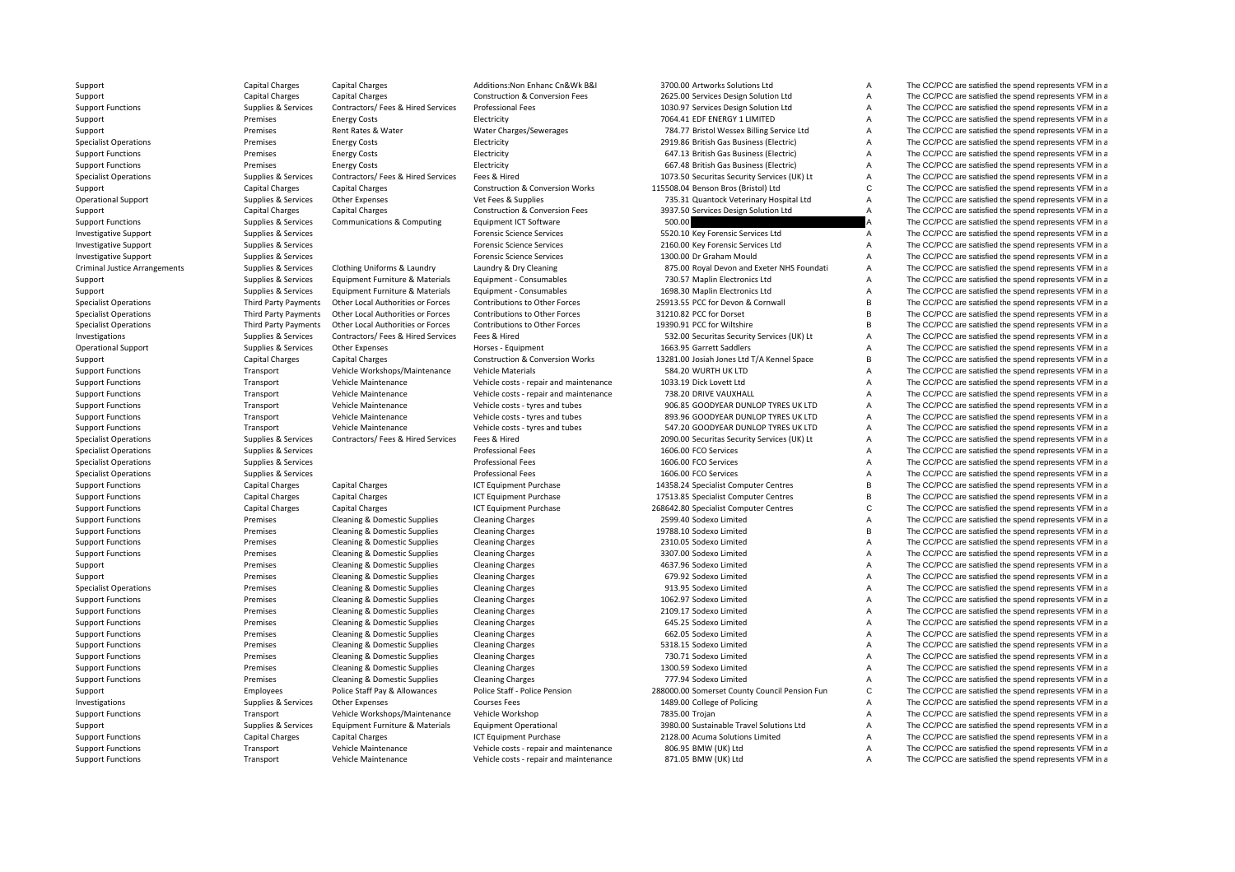Criminal Justice

Support Capital Charges Capital Charges Additions:Non Enhanc Cn&Wk B&I 3700.00 Artworks Solutions Ltd A The CC/PCC are satisfied the spend represents VFM in a

Support Capital Charges Capital Charges Capital Charges Construction & Conversion Fees 2625.00 Services Design Solution Ltd A The CC/PCC are satisfied the spend represents VFM in a<br>Support Functions Support Support Support Support Functions Supplies Services Contractors/ Fees & Hired Services Professional Fees 1030.97 Services Design Solution Ltd A The CC/PCC are satisfied the spend represents VFM in a Support Premises Energy Costs Electricity Electricity T064.41 EDF ENERGY 1 LIMITED A The CC/PCC are satisfied the spend represents VFM in a Support Premises Rent Rates & Water Water Charges/Sewerages 784.77 Bristol Wessex Billing Service Ltd A The CC/PCC are satisfied the spend represents VFM in a Specialist Operations **Energy Costs** Energy Costs Electricity Electricity 2919.86 British Gas Business (Electricity A The CC/PCC are satisfied the spend represents VFM in a Support Functions **Electricity** Energy Costs Energy Costs Electricity Electricity **647.13 British Gas Business (Electricity** A The CC/PCC are satisfied the spend represents VFM in a Support Functions **Electricity** Energy Costs Energy Costs Electricity Electricity **667.48 British Gas Business (Electricity** A The CC/PCC are satisfied the spend represents VFM in a Specialist Operations Supplies & Services Contractors/ Fees & Hired Services Fees & Hired 1073.50 Securitas Security Services (UK) Lt A The CC/PCC are satisfied the spend represents VFM in a Support Capital Charges Capital Charges Capital Charges Construction & Conversion Works 115508.04 Benson Bros (Bristol) Ltd C The CC/PCC are satisfied the spend represents VFM in a Operational Support Supplies & Services Other Expenses Vet Fees & Supplies 735.31 Quantock Veterinary Hospital Ltd A The CC/PCC are satisfied the spend represents VFM in a Support Capital Charges Capital Charges Capital Charges Construction & Conversion Fees 3937.50 Services Design Solution Ltd A The CC/PCC are satisfied the spend represents VFM in a Support Function & Conversion Fees Suppor Supplies & Services Communications & Computing Equipment ICT Software 500.00 500.00 A The CC/PCC are satisfied the spend represents VFM in a Investigative Support Support Supplies & Services Forensic Science Services Forensic Science Services Forensic Science Services Forensic Science Services 5520.10 Key Forensic Services Ltd A The CC/PCC are satisfied the spe Investigative Support Support Support Support Support Services Forensic Science Services 2160.00 Key Forensic Services A The CC/PCC are satisfied the spend represents VFM in a Investigative Support Support Support Support Support Services Forensic Science Services Forensic Science Services 1300.00 Dr Graham Mould A The CC/PCC are satisfied the spend represents VFM in a Supplies & Services Clothing Uniforms & Laundry Laundry & Dry Cleaning and the services and Exeter NHS Foundati A The CC/PCC are satisfied the spend represents VFM in a Support Supplies & Services Equipment Furniture & Materials Equipment - Consumables 730.57 Maplin Electronics Ltd A The CC/PCC are satisfied the spend represents VFM in a Support Supplies & Services Equipment Furniture & Materials Equipment - Consumables 1698.30 Maplin Electronics Ltd A The CC/PCC are satisfied the spend represents VFM in a Specialist Operations Third Party Payments Other Local Authorities or Forces Contributions to Other Forces 25913.55 PCC for Devon & Cornwall B The CC/PCC are satisfied the spend represents VFM in a Specialist Operations Third Party Payments Other Local Authorities or Forces Contributions to Other Forces 31210.82 PCC for Dorset B The CC/PCC are satisfied the spend represents VFM in a Specialist Operations Third Party Payments Other Local Authorities or Forces Contributions to Other Forces 19390.91 PCC for Wiltshire The CC/PCC are satisfied the spend represents VFM in a Investigations Supplies & Services Contractors/ Fees & Hired Services Fees & Hired Services Fees & Hired Services Salument Security Services (UK) Lt A The CC/PCC are satisfied the spend represents VFM in a Operational Support Supplies & Services Other Expenses Horses - Equipment Horses A The CC/PCC are satisfied the spend represents VFM in a Support Capital Charges Capital Charges Capital Charges Construction & Conversion Works 13281.00 Josiah Jones Ltd T/A Kennel Space B The CC/PCC are satisfied the spend represents VFM in a Support Vehicle Workshops/Maintena Support Functions Support Transport Vehicle Workshops/Maintenance Vehicle Materials 584.20 WURTH UK LTD A The CC/PCC are satisfied the spend represents VFM in a Support Functions Transport Vehicle Maintenance Vehicle costs ‐ repair and maintenance 1033.19 Dick Lovett Ltd A The CC/PCC are satisfied the spend represents VFM in a Support Vehicle Maintenance Vehicle Maintenance Vehicl Support Functions Transport Vehicle Maintenance Vehicle costs - repair and maintenance 738.20 DRIVE VAUXHALL A The CC/PCC are satisfied the spend represents VFM in a Support Functions Transport Vehicle Maintenance Vehicle costs - tyres and tubes 906.85 GOODYEAR DUNLOP TYRES UK LTD A The CC/PCC are satisfied the spend represents VFM in a Support Functions Transport Vehicle Maintenance Vehicle costs - tyres and tubes 893.96 GOODYEAR DUNLOP TYRES UK LTD A The CC/PCC are satisfied the spend represents VFM in a Support Functions Transport Vehicle Maintenance Vehicle costs - tyres and tubes 547.20 GOODYEAR DUNLOP TYRES UK LTD A The CC/PCC are satisfied the spend represents VFM in a Specialist Operations Supplies & Services Contractors/ Fees & Hired Services Fees & Hired 2090.00 Securitas Security Services (UK) Lt A The CC/PCC are satisfied the spend represents VFM in a Specialist Operations Supplies & Services Supplies & Services A The CC/PCC are satisfied the spend represents VFM in a Specialist Operations Supplies & Services Supplies & Services Professional Fees Professional Fees 1606.00 FCO Services A The CC/PCC are satisfied the spend represents VFM in a Specialist Operations Supplies & Services Supplies & Services A The CC/PCC are satisfied the spend represents VFM in a Support Functions Capital Charges Capital Charges Capital Charges ICT Equipment Purchase 14358.24 Specialist Computer Centres B The CC/PCC are satisfied the spend represents VFM in a Support Functions 
Support Functions

Capital Charges Capital Charges Capital Charges ICT Equipment Purchase 17513.85 Specialist Computer Centres B The CC/PCC are satisfied the spend represents VFM in a<br>
Support Functions Support Functions Capital Charges Capital Charges Capital Charges ICT Equipment Purchase 268642.80 Specialist Computer Centres C The CC/PCC are satisfied the spend represents VFM in a Support Functions **Premises** Cleaning & Domestic Supplies Cleaning Charges 2599.40 Sodexo Limited A The CC/PCC are satisfied the spend represents VFM in a Support Functions **Support Cleaning Access Cleaning & Domestic Supplies** Cleaning Charges 2012 and the Support Functions and the CC/PCC are satisfied the spend represents VFM in a Support Functions **Premises** Cleaning & Domestic Supplies Cleaning Charges 2310.05 Sodexo Limited A The CC/PCC are satisfied the spend represents VFM in a Support Functions Support Functions Premises Cleaning & Domestic Supplies Cleaning Charges Cleaning Charges Cleaning Charges Cleaning Charges Cleaning Charges Cleaning A The CC/PCC are satisfied the spend represents VFM in Support Premises Cleaning & Domestic Supplies Cleaning Charges A Cleaning Charges A Cleaning Charges A The CC/PCC are satisfied the spend represents VFM in a Support Premises Cleaning & Domestic Supplies Cleaning Charges Cleaning Charges 679.92 Sodexo Limited A The CC/PCC are satisfied the spend represents VFM in a Specialist Operations **Premises** Cleaning & Domestic Supplies Cleaning Charges 913.95 Sodexo Limited A The CC/PCC are satisfied the spend represents VFM in a Support Functions **Support Functions** Premises Cleaning & Domestic Supplies Cleaning Charges 2018 1062.97 Sodexo Limited A The CC/PCC are satisfied the spend represents VFM in a Support Functions **Premises** Cleaning & Domestic Supplies Cleaning Charges 2109.17 Sodexo Limited A The CC/PCC are satisfied the spend represents VFM in a Support Functions **Support Cleaning Access Cleaning & Domestic Supplies** Cleaning Charges Cleaning Charges 645.25 Sodexo Limited A The CC/PCC are satisfied the spend represents VFM in a Support Functions **Support Cleaning Access Cleaning Access** Cleaning Charges Cleaning Charges Cleaning Charges **662.05** Sodexo Limited A The CC/PCC are satisfied the spend represents VFM in a Support Functions **Support Functions** Premises Cleaning & Domestic Supplies Cleaning Charges Cleaning Charges 5318.15 Sodexo Limited A The CC/PCC are satisfied the spend represents VFM in a Support Functions **Premises** Cleaning & Domestic Supplies Cleaning Charges 730.71 Sodexo Limited A The CC/PCC are satisfied the spend represents VFM in a Support Functions **Premises** Cleaning & Domestic Supplies Cleaning Charges 1300.59 Sodexo Limited A The CC/PCC are satisfied the spend represents VFM in a Support Functions **Premises** Cleaning & Domestic Supplies Cleaning Charges 777.94 Sodexo Limited A The CC/PCC are satisfied the spend represents VFM in a Support Employees Police Staff Pay & Allowances Police Staff - Police Pension 288000.00 Somerset County Council Pension Fun C The CC/PCC are satisfied the spend represents VFM in a Investigations Supplies & Services Other Expenses Courses Fees Courses Fees 1489.00 College of Policing A The CC/PCC are satisfied the spend represents VFM in a Support Functions Transport Vehicle Workshops/Maintenance Vehicle Workshop Vehicle Workshop 7835.00 Trojan 7838.00 Trom Transport A The CC/PCC are satisfied the spend represents VFM in a Support Transport Vehicle Workshops Support Supplies & Services Equipment Furniture & Materials Equipment Operational 3980.00 Sustainable Travel Solutions Ltd A The CC/PCC are satisfied the spend represents VFM in a Support Functions Support Capital Charges Capital Charges Capital Charges ICT Equipment Purchase 2128.00 Acuma Solutions Limited A The CC/PCC are satisfied the spend represents VFM in a Support Transport Vehicle Maintenanc Support Functions Transport Vehicle Maintenance Vehicle costs ‐ repair and maintenance 806.95 BMW (UK) Ltd A The CC/PCC are satisfied the spend represents VFM in a Support Functions Transport Vehicle Maintenance Vehicle costs - repair and maintenance 871.05 BMW (UK) Ltd A The CC/PCC are satisfied the spend represents VFM in a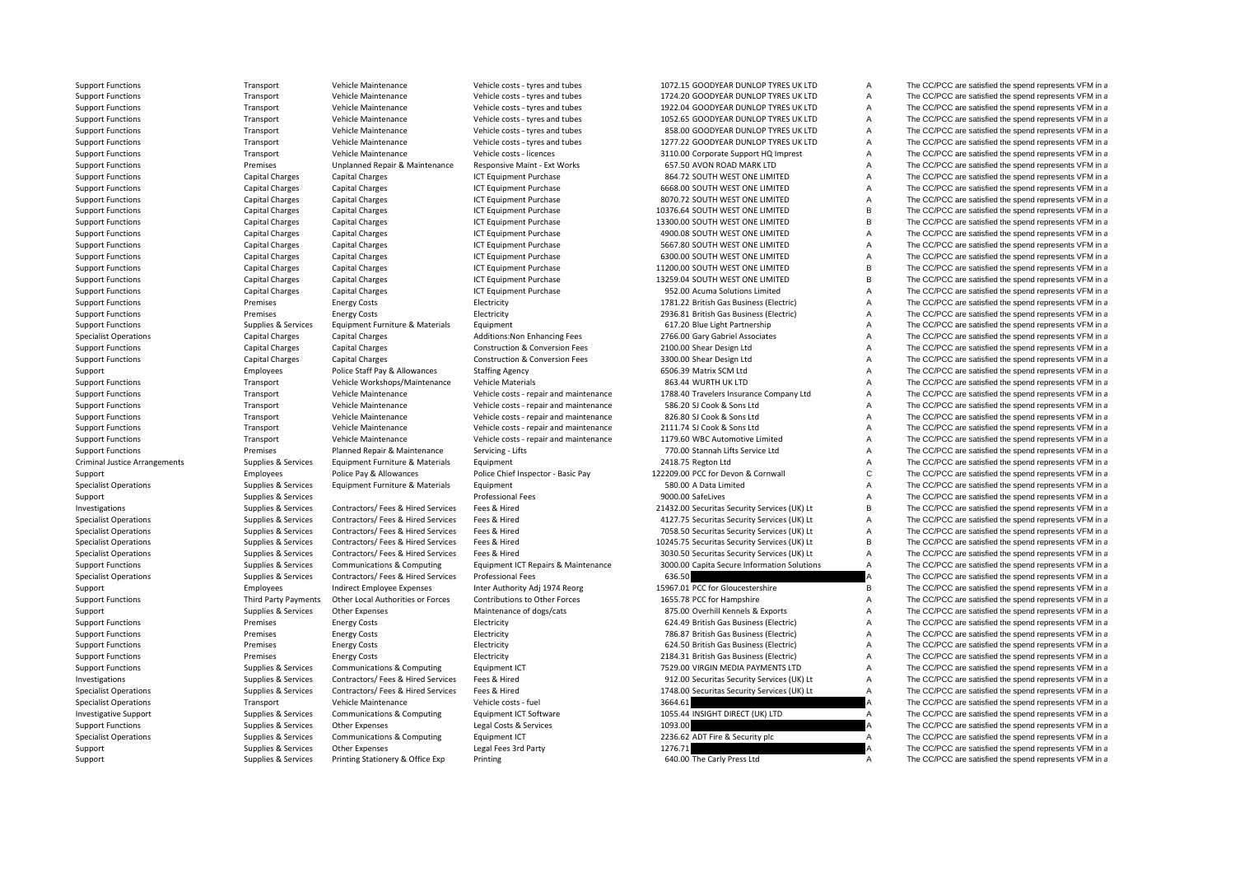Criminal Justice

Support Functions Transport Vehicle Maintenance Vehicle costs – tyres and tubes 1072.15 GOODYEAR DUNLOP TYRES UK LTD A The CC/PCC are satisfied the spend represents VFM in a

Support Functions Transport Vehicle Maintenance Vehicle costs – tyres and tubes 1724.20 GOODYEAR DUNLOP TYRES UK LTD A The CC/PCC are satisfied the spend represents VFM in a<br>Support Functions Transport Vehicle Maintenance Support Functions Transport Vehicle Maintenance Vehicle costs – tyres and tubes 1922.04 GOODYEAR DUNLOP TYRES UK LTD A The CC/PCC are satisfied the spend represents VFM in a Support Functions Transport Vehicle Maintenance Vehicle costs – tyres and tubes 1052.65 GOODYEAR DUNLOP TYRES UK LTD A The CC/PCC are satisfied the spend represents VFM in a Support Functions Transport Vehicle Maintenance Vehicle costs - tyres and tubes 858.00 GOODYEAR DUNLOP TYRES UK LTD A The CC/PCC are satisfied the spend represents VFM in a Support Functions Transport Vehicle Maintenance Vehicle costs – tyres and tubes 1277.22 GOODYEAR DUNLOP TYRES UK LTD A The CC/PCC are satisfied the spend represents VFM in a Support Functions Transport Vehicle Maintenance Vehicle costs - licences 3110.00 Corporate Support HQ Imprest A The CC/PCC are satisfied the spend represents VFM in a Support Functions external operations Premises Unplanned Repair & Maintenance Responsive Maint - Ext Works 657.50 AVON ROAD MARK LTD A The CC/PCC are satisfied the spend represents VFM in a Support Functions Capital Charges Capital Charges Capital Charges ICT Equipment Purchase 864.72 SOUTH WEST ONE LIMITED A The CC/PCC are satisfied the spend represents VFM in a Support Functions Capital Charges Capital Charges Capital Charges ICT Equipment Purchase 6668.00 SOUTH WEST ONE LIMITED A The CC/PCC are satisfied the spend represents VFM in a Support Functions Support Capital Charges Capital Charges Capital Charges Capital Charges Capital Charges Capital Charges ICT Equipment Purchase 8070.72 SOUTH WEST ONE LIMITED A The CC/PCC are satisfied the spend represent Support Functions 
Support Functions

Capital Charges Capital Charges Capital Charges 

Capital Charges Capital Charges 

Content Content Content Charges Capital Charges Capital Charges 

Content Content Content Content Support Functions Capital Charges Capital Charges Capital Charges ICT Equipment Purchase 13300.00 SOUTH WEST ONE LIMITED B The CC/PCC are satisfied the spend represents VFM in a Support Functions Capital Charges Capital Charges Capital Charges ICT Equipment Purchase 4900.08 SOUTH WEST ONE LIMITED A The CC/PCC are satisfied the spend represents VFM in a Support Functions Capital Charges Capital Charges Capital Charges ICT Foulinment Purchase 5667.80 SOUTH WEST ONE LIMITED A The CC/PCC are satisfied the spend represents VFM in a Support Functions Capital Charges Capital Charges Capital Charges ICT Foulthment Purchase 6300.00 SOUTH WEST ONE LIMITED A The CC/PCC are satisfied the spend represents VFM in a Support Functions Capital Charges Capital Charges Capital Charges ICT Equipment Purchase 11200.00 SOUTH WEST ONE LIMITED B The CC/PCC are satisfied the spend represents VFM in a Support Functions Capital Charges Capital Charges Capital Charges ICT Equipment Purchase 13259.04 SOUTH WEST ONE LIMITED B The CC/PCC are satisfied the spend represents VFM in a Support Functions Capital Charges Capital Charges Capital Charges ICT Equipment Purchase 952.00 Acuma Solutions Limited A The CC/PCC are satisfied the spend represents VFM in a Support Functions **Electricity** Energy Costs Energy Costs Electricity Electricity and the Support Electricity and the Support Functions and the CC/PCC are satisfied the spend represents VFM in a Support Functions **Electricity** Energy Costs Energy Costs Electricity Electricity 2936.81 British Gas Business (Electricity A The CC/PCC are satisfied the spend represents VFM in a Support Functions Supplies & Services Equipment Furniture & Materials Equipment Curriers Equipment Furniture & Materials Equipment A G17.20 Blue Light Partnership A The CC/PCC are satisfied the spend represents VFM in a Specialist Operations Capital Charges Capital Charges Additions:Non Enhancing Fees 2766.00 Gary Gabriel Associates A The CC/PCC are satisfied the spend represents VFM in a Support Functions Capital Charges Capital Charges Capital Charges Construction & Conversion Fees 2100.00 Shear Design Ltd A The CC/PCC are satisfied the spend represents VFM in a Support Functions Capital Charges Capital Charges Capital Charges Construction & Conversion Fees 3300.00 Shear Design Ltd A The CC/PCC are satisfied the spend represents VFM in a Support Employees Police Staff Pay & Allowances Staffing Agency 6506.39 Matrix SCM Ltd A The CC/PCC are satisfied the spend represents VFM in a Support Functions Transport Vehicle Workshops/Maintenance Vehicle Materials 863.44 WURTH UK LTD A The CC/PCC are satisfied the spend represents VFM in a<br>Support Functions Transport Vehicle Maintenance Vehicle Costs - renai Support Functions Transport Vehicle Maintenance Vehicle costs - repair and maintenance 1788.40 Travelers Insurance Company Ltd A The CC/PCC are satisfied the spend represents VFM in a Support Functions Transport Vehicle Maintenance Vehicle costs ‐ repair and maintenance 586.20 SJ Cook & Sons Ltd A The CC/PCC are satisfied the spend represents VFM in a Support Functions Transport Vehicle Maintenance Vehicle costs - repair and maintenance 826.80 SJ Cook & Sons Ltd A The CC/PCC are satisfied the spend represents VFM in a Support Functions Transport Vehicle Maintenance Vehicle costs - repair and maintenance 2111.74 SJ Cook & Sons Ltd A The CC/PCC are satisfied the spend represents VFM in a Support Functions Transport Vehicle Maintenance Vehicle costs - repair and maintenance 1179.60 WBC Automotive Limited A The CC/PCC are satisfied the spend represents VFM in a Support Functions Premises Planned Repair & Maintenance Servicing - Lifts 770.00 Stannah Lifts Service Ltd A The CC/PCC are satisfied the spend represents VFM in a Arrangements Supplies & Services Equipment Furniture & Materials Equipment 2418.75 Regton Ltd A The CC/PCC are satisfied the spend represents VFM in a Support Employees Police Pay & Allowances Police Chief Inspector - Basic Pay 122209.00 PCC for Devon & Cornwall C The CC/PCC are satisfied the spend represents VFM in a Specialist Operations Supplies & Services Equipment Furniture & Materials Equipment Furniture 3 Services A Services Equipment Furniture & Materials Equipment Furniture and A Services Services A Services A Services A Servic Support Supplies & Services entitled and the CC/PCC are satisfied the spend represents VFM in a Support of the Support of the Support of the Support of the Support of the Support of the Support of the Support of the Suppor Investigations Supplies & Services Contractors/ Fees & Hired Services Fees & Hired 21432.00 Securitas Security Services (UK) Lt B The CC/PCC are satisfied the spend represents VFM in a Specialist Operations Supplies & Services Contractors/ Fees & Hired Services Fees & Hired 4127.75 Securitas Security Services (UK) Lt A The CC/PCC are satisfied the spend represents VFM in a Specialist Operations Supplies & Services Contractors/ Fees & Hired Services Fees & Hired TOS8.50 Securitas Security Services (UK) Lt A The CC/PCC are satisfied the spend represents VFM in a Specialist Operations Supplies & Services Contractors/ Fees & Hired Services Fees & Hired 10245.75 Securitas Security Services (UK) Lt B The CC/PCC are satisfied the spend represents VFM in a Specialist Operations Supplies & Services Contractors/ Fees & Hired Services Fees & Hired Services Fees & Hired Services 3030.50 Securitas Security Services (UK) Lt A The CC/PCC are satisfied the spend represents VFM in a Support Functions Supplies & Services Communications & Computing Equipment ICT Repairs & Maintenance 3000.00 Capita Secure Information Solutions A The CC/PCC are satisfied the spend represents VFM in a Specialist Operations Supplies & Services Contractors/ Fees & Hired Services Professional Fees 636.50 636.50 A The CC/PCC are satisfied the spend represents VFM in a Support Employees Indirect Employee Expenses Inter Authority Adj 1974 Reorg 15967.01 PCC for Gloucestershire B The CC/PCC are satisfied the spend represents VFM in a Support Functions Third Party Payments Other Local Authorities or Forces Contributions to Other Forces 1655.78 PCC for Hampshire A The CC/PCC are satisfied the spend represents VFM in a Support Supplies & Services Other Expenses Maintenance of dogs/cats 875.00 Overhill Kennels & Exports A The CC/PCC are satisfied the spend represents VFM in a Support Functions **Electricity** Energy Costs Energy Costs Electricity Electricity **624.49 British Gas Business (Electricity** A The CC/PCC are satisfied the spend represents VFM in a Support Functions Premises Energy Costs Energy Costs Electricity Electricity 786.87 British Gas Business (Electricity A The CC/PCC are satisfied the spend represents VFM in a Support Functions **Electricity** Energy Costs Energy Costs Electricity Electricity **624.50 British Gas Business (Electricity** A The CC/PCC are satisfied the spend represents VFM in a Support Functions **Electricity** Energy Costs Energy Costs Electricity Electricity 2184.31 British Gas Business (Electricity A The CC/PCC are satisfied the spend represents VFM in a Support Functions Supplies & Services Communications & Computing Equipment ICT 7529.00 VIRGIN MEDIA PAYMENTS LTD A The CC/PCC are satisfied the spend represents VFM in a Investigations Supplies & Services Contractors/ Fees & Hired Services Fees & Hired Services Proves Fees & Hired Security Services Security Services (UK) Lt A The CC/PCC are satisfied the spend represents VFM in a Specialist Operations Supplies & Services Contractors/ Fees & Hired Services Fees & Hired 1748.00 Securitas Security Services (UK) Lt A The CC/PCC are satisfied the spend represents VFM in a Specialist Operations Transport Vehicle Maintenance Vehicle costs - fuel 3664.61 3664.61 A The CC/PCC are satisfied the spend represents VFM in a Investigative Support Support Supplies & Services Communications & Computing Equipment ICT Software 1055.44 INSIGHT DIRECT (UK) LTD A The CC/PCC are satisfied the spend represents VFM in a Support Functions Supplies A Services Other Expenses Legal Costs & Services 1093.00 A The CC/PCC are satisfied the spend represents VFM in a Specialist Operations Supplies & Services Communications & Computing Equipment ICT 2236.62 ADT Fire & Security plc A The CC/PCC are satisfied the spend represents VFM in a Support Supplies & Services Other Expenses Legal Fees 3rd Party 1276.71 1999 1276.71 A The CC/PCC are satisfied the spend represents VFM in a Support Supplies & Services Printing Stationery & Office Exp Printing Companies and Carly Press Ltd A The CC/PCC are satisfied the spend represents VFM in a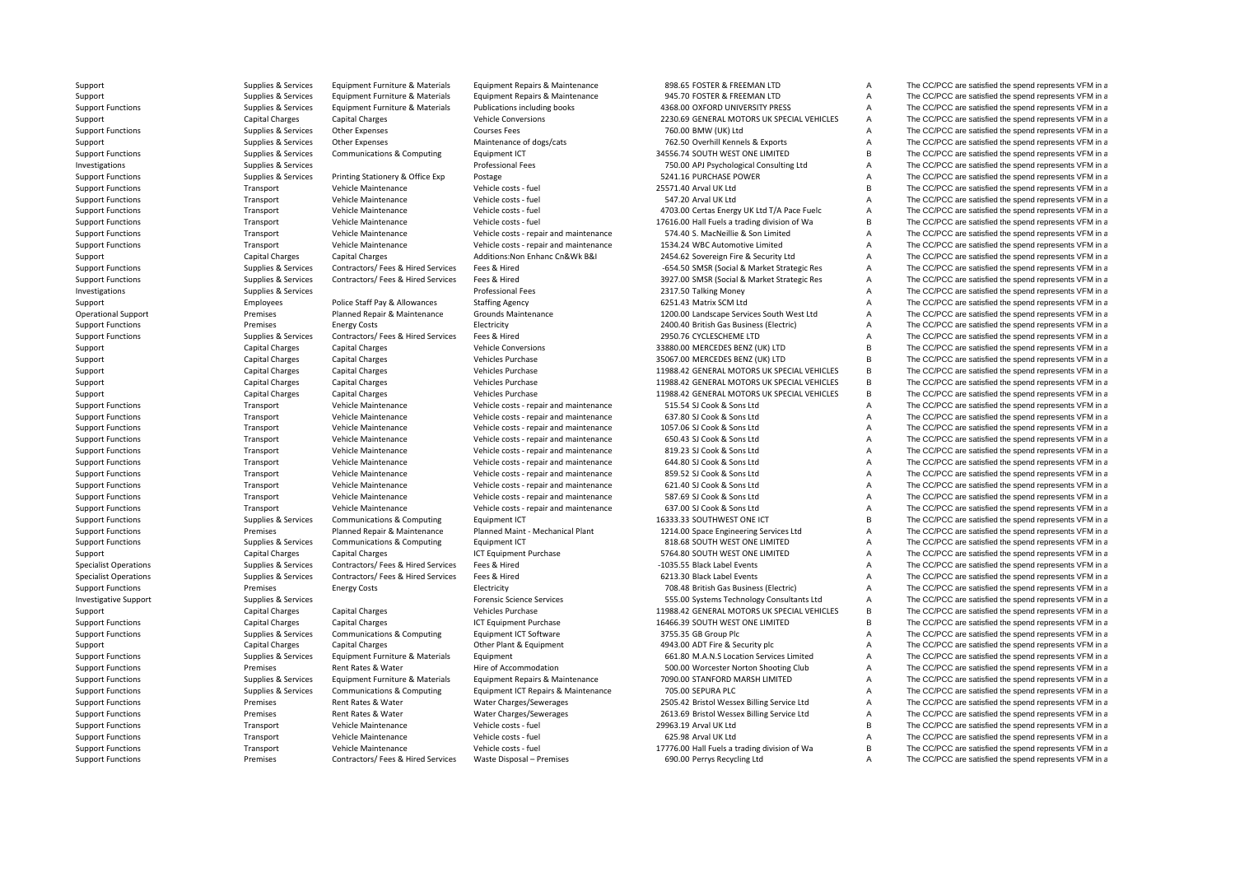Support Supplies & Services Equipment Furniture & Materials Equipment Repairs & Maintenance 898.65 FOSTER & FREEMAN LTD A The CC/PCC are satisfied the spend represents VFM in a Support Supplies Supplies & Services Equipment Furniture & Materials Equipment Repairs & Maintenance 945.70 FOSTER & FREEMAN LTD A The CC/PCC are satisfied the spend represents VFM in a Supplies & Services Faulipment Furni Support Functions Supplies & Services Faultoment Furniture & Materials Publications including books 4368.00 OXFORD UNIVERSITY PRESS A The CC/PCC are satisfied the spend represents VFM in a Support Capital Charges Capital Charges Vehicle Conversions 2230.69 GENERAL MOTORS UK SPECIAL VEHICLES A The CC/PCC are satisfied the spend represents VFM in a Support Functions Supplies A Services Other Expenses Courses Fees Courses Fees 760.00 BMW (UK) Ltd A The CC/PCC are satisfied the spend represents VFM in a Support Supplies & Services Other Expenses Maintenance of dogs/cats 762.50 Overhill Kennels & Exports A The CC/PCC are satisfied the spend represents VFM in a Support Functions Supplies & Services Communications & Computing Equipment ICT 34556.74 SOUTH WEST ONE LIMITED B The CC/PCC are satisfied the spend represents VFM in a Investigations Supplies Applies According Services Professional Fees Professional Fees The CO/PCC are satisfied the spend represents VFM in a very service of the Supplies According Supplies A Supplies According Supplies A Support Functions Supplies Supplies & Services Printing Stationery & Office Exp Postage 5241.16 PURCHASE POWER A The CC/PCC are satisfied the spend represents VFM in a Support Functions Transport Vehicle Maintenance Vehicle costs – fuel 25571.40 Arval UK Ltd B The CC/PCC are satisfied the spend represents VFM in a Support Transport Vehicle Maintenance Vehicle costs – fuel 25571.40 Arval Support Functions Transport Vehicle Maintenance Vehicle costs - fuel 547.20 Arval UK Ltd A The CC/PCC are satisfied the spend represents VFM in a Support Functions Transport Vehicle Maintenance Vehicle costs - fuel 4703.00 Certas Energy UK Ltd T/A Pace Fuelc A The CC/PCC are satisfied the spend represents VFM in a Support Vehicle Maintenance Vehicle Maintenance Vehi Transport Vehicle Maintenance Vehicle costs - fuel 17616.00 Hall Fuels a trading division of Wa B The CC/PCC are satisfied the spend represents VFM in a Support Functions Transport Vehicle Maintenance Vehicle costs - repair and maintenance 574.40 S. MacNeillie & Son Limited A The CC/PCC are satisfied the spend represents VFM in a Support Functions Transport Vehicle Maintenance Vehicle costs - repair and maintenance 1534.24 WBC Automotive Limited A The CC/PCC are satisfied the spend represents VFM in a Capital Charges Capital Charges Capital Charges Support Capital Charges Capital Charges Additions:Non Enhanc Cn&Wk B&I 2454.62 Sovereign Fire & Security Ltd A The CC/PCC are satisfied the spend represents VFM in a Support Functions Supplies A Services Contractors/ Fees & Hired Services Fees & Hired Contractors/ Fees & Hired Services Fees & Hired Services Fees & Hired Contractors/ Fees & Hired Services Fees & Hired Services Fees & Hi Support Functions Supplies & Services Contractors/ Fees & Hired Services Fees & Hired Services Pees & Hired Services Pees & Hired 3927.00 SMSR (Social & Market Strategic Res A The CC/PCC are satisfied the spend represents Investigations Supplies & Services entity of the CC/PCC are satisfied the spend represents VFM in a Professional Fees 2317.50 Talking Money A The CC/PCC are satisfied the spend represents VFM in a Support Employees Police Staff Pay & Allowances Staffing Agency 6251.43 Matrix SCM Ltd A The CC/PCC are satisfied the spend represents VFM in a Operational Support **Premises** Planned Repair & Maintenance Grounds Maintenance 1200.00 Landscape Services South West Ltd A The CC/PCC are satisfied the spend represents VFM in a Support Functions Premises Energy Costs Energy Costs Electricity Electricity 2400.40 British Gas Business (Electricity A The CC/PCC are satisfied the spend represents VFM in a Support Functions Supplies & Services Contractors/ Fees & Hired Services Fees & Hired Services Pees & Hired 2950.76 CYCLESCHEME LTD A The CC/PCC are satisfied the spend represents VFM in a Support Capital Charges Capital Charges Capital Charges Vehicle Conversions 33880.00 MERCEDES BENZ (UK) LTD B The CC/PCC are satisfied the spend represents VFM in a Support Capital Charges Capital Charges Capital Charges Vehicles Purchase Vehicles Purchase 35067.00 MERCEDES BENZ (UK) LTD B The CC/PCC are satisfied the spend represents VFM in a Support Capital Charges Capital Charges Vehicles Purchase Vehicles Purchase 11988.42 GENERAL MOTORS UK SPECIAL VEHICLES B The CC/PCC are satisfied the spend represents VFM in a Support Capital Charges Capital Charges Vehicles Purchase Vehicles Purchase 11988.42 GENERAL MOTORS UK SPECIAL VEHICLES B The CC/PCC are satisfied the spend represents VFM in a<br>Support Capital Charges Capital Charges Vehic Support Capital Charges Capital Charges Vehicles Purchase 11988.42 GENERAL MOTORS UK SPECIAL VEHICLES B The CC/PCC are satisfied the spend represents VFM in a Support Functions Transport Vehicle Maintenance Vehicle costs - repair and maintenance 515.54 SJ Cook & Sons Ltd A The CC/PCC are satisfied the spend represents VFM in a Support Functions Transport Vehicle Maintenance Vehicle costs - repair and maintenance 637.80 SJ Cook & Sons Ltd A The CC/PCC are satisfied the spend represents VFM in a Support Functions Transport Vehicle Maintenance Vehicle costs - repair and maintenance 1057.06 SJ Cook & Sons Ltd A The CC/PCC are satisfied the spend represents VFM in a Support Functions Transport Vehicle Maintenance Vehicle costs - repair and maintenance 650.43 SJ Cook & Sons Ltd A The CC/PCC are satisfied the spend represents VFM in a Support Vehicle Maintenance Vehicle Maintenance Vehi Support Functions Transport Vehicle Maintenance Vehicle costs - repair and maintenance 819.23 SJ Cook & Sons Ltd A The CC/PCC are satisfied the spend represents VFM in a Support Functions Transport Vehicle Maintenance Vehicle costs - repair and maintenance 644.80 SJ Cook & Sons Ltd A The CC/PCC are satisfied the spend represents VFM in a Support Functions Transport Vehicle Maintenance Vehicle costs - repair and maintenance 859.52 SJ Cook & Sons Ltd A The CC/PCC are satisfied the spend represents VFM in a Support Functions Transport Vehicle Maintenance Vehicle costs - repair and maintenance 621.40 SJ Cook & Sons Ltd A The CC/PCC are satisfied the spend represents VFM in a Support Functions Transport Vehicle Maintenance Vehicle costs ‐ repair and maintenance 587.69 SJ Cook & Sons Ltd A The CC/PCC are satisfied the spend represents VFM in a Support Functions Transport Vehicle Maintenance Vehicle costs - repair and maintenance 637.00 SJ Cook & Sons Ltd A The CC/PCC are satisfied the spend represents VFM in a Support Functions Supplies & Services Communications & Computing Equipment ICT 16333.33 SOUTHWEST ONE ICT B The CC/PCC are satisfied the spend represents VFM in a Support Functions Premises Planned Repair & Maintenance Planned Maint - Mechanical Plant 1214.00 Space Engineering Services Ltd A The CC/PCC are satisfied the spend represents VFM in a Support Functions Supplies & Services Communications & Computing Equipment ICT 818.68 SOUTH WEST ONE LIMITED A The CC/PCC are satisfied the spend represents VFM in a Support Capital Charges Capital Charges Capital Charges ICT Equipment Purchase 5764.80 SOUTH WEST ONE LIMITED A The CC/PCC are satisfied the spend represents VFM in a Supplies Supplies & Services Contractors/ Fees & Hired Services Fees & Hired Services Fees & Hired Contractors/ Fees & Hired Services Fees & Hired Services Fees & Hired Contractors/ Fees & Hired Services Fees & Hired Servi Supplies & Services Contractors/ Fees & Hired Services Fees & Hired Services Fees & Hired Contractors/ Fees & Hired Services Fees & Hired 6213.30 Black Label Events A The CC/PCC are satisfied the spend represents VFM in a Support Functions Premises Energy Costs Electricity 708.48 British Gas Business (Electric) A The CC/PCC are satisfied the spend represents VFM in a Investigative Support Support Support Support Support Support Support Support Support Support Support Support Support Support Support Support Support Support Support Support Support Support Support Support Support Support Support Capital Charges Capital Charges Vehicles Purchase Vehicles Purchase 11988.42 GENERAL MOTORS UK SPECIAL VEHICLES B The CC/PCC are satisfied the spend represents VFM in a Support Functions Capital Charges Capital Charges Capital Charges ICT Equipment Purchase 16466.39 SOUTH WEST ONE LIMITED B The CC/PCC are satisfied the spend represents VFM in a Support Functions Supplies A Services Communications & Computing Equipment ICT Software 3755.35 GB Group Plc A The CC/PCC are satisfied the spend represents VFM in a Support Capital Charges Capital Charges Capital Charges Other Plant & Foulnment 4943.00 ADT Fire & Security plc A The CC/PCC are satisfied the spend represents VFM in a Support Functions Supplies & Services Equipment Furniture & Materials Equipment Current Current Content Content Content Content Content Content Content Content Content Content Content of the Services Limited Support Functi Support Functions **Exercises** Premises Rent Rates & Water Hire of Accommodation 500.00 Worcester Norton Shooting Club A The CC/PCC are satisfied the spend represents VFM in a Support Functions Supplies & Services Equipment Furniture & Materials Equipment Repairs & Maintenance 7090.00 STANFORD MARSH LIMITED A The CC/PCC are satisfied the spend represents VFM in a Support Functions Supplies & Services Communications & Computing Equipment ICT Repairs & Maintenance 705.00 SEPURA PLC A The CC/PCC are satisfied the spend represents VFM in a Support Functions Premises Premises Rent Rates & Water Water Charges/Sewerages 2505.42 Bristol Wessex Billing Service Ltd A The CC/PCC are satisfied the spend represents VFM in a Support Functions **Premises** Premises Rent Rates & Water Water Charges/Sewerages 2613.69 Bristol Wessex Billing Service Ltd A The CC/PCC are satisfied the spend represents VFM in a Support Functions Transport Vehicle Maintenance Vehicle costs ‐ fuel 29963.19 Arval UK Ltd B The CC/PCC are satisfied the spend represents VFM in a Support Functions Support Transport Vehicle Maintenance Vehicle costs - fuel 625.98 Arval UK Ltd 625.98 Arval UK Ltd A The CC/PCC are satisfied the spend represents VFM in a Vehicle Maintenance Vehicle Maintenance Vehicle Support Functions Transport Vehicle Maintenance Vehicle costs - fuel 17776.00 Hall Fuels a trading division of Wa B The CC/PCC are satisfied the spend represents VFM in a Support Functions **Support Functions** Premises Contractors/ Fees & Hired Services Waste Disposal – Premises 690.00 Perrys Recycling Ltd A The CC/PCC are satisfied the spend represents VFM in a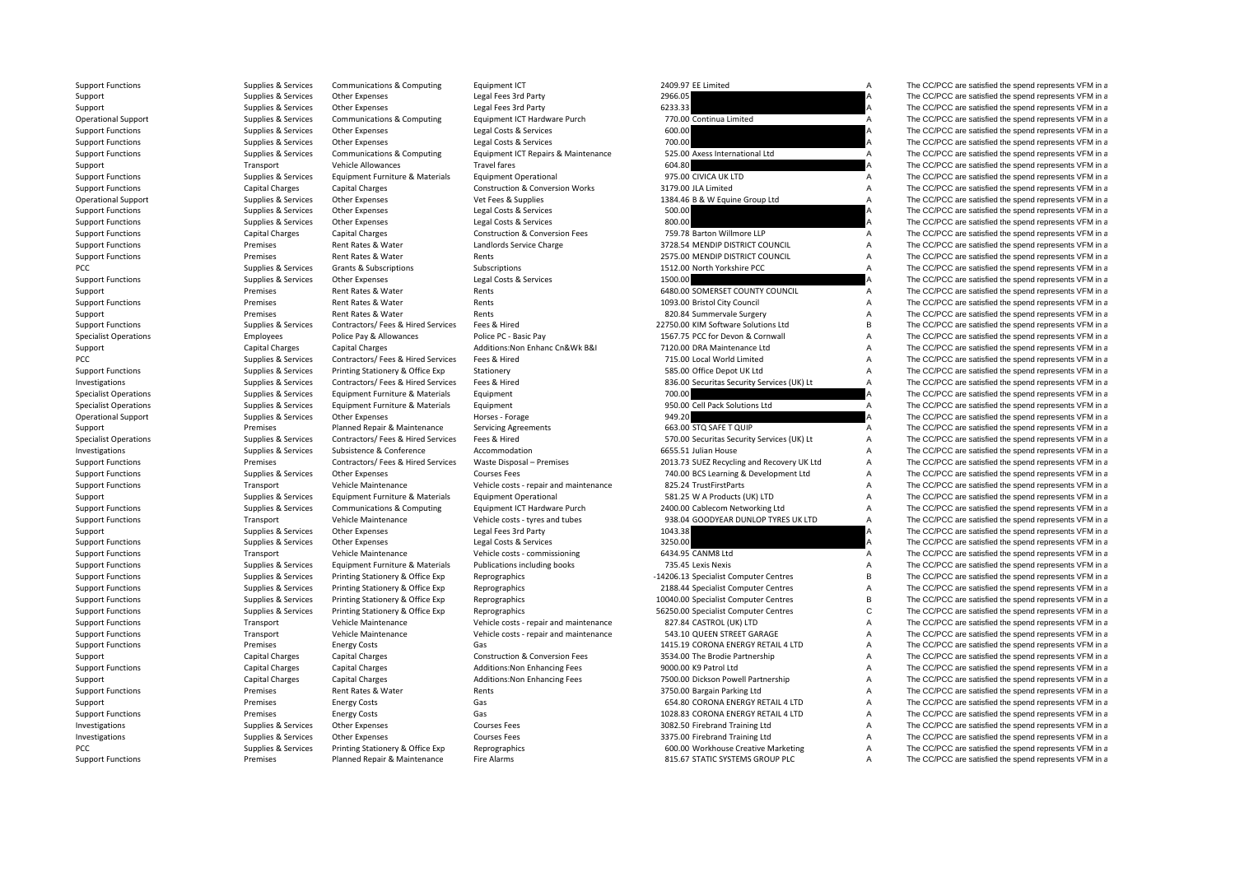| Support Functions            | Supplies & Services                        | Communications & Computing         | Equipment IC                               | 2409.97 EE LIMIted                                                 |                | The CC/PCC are satisfied the spend represents VFM in a |
|------------------------------|--------------------------------------------|------------------------------------|--------------------------------------------|--------------------------------------------------------------------|----------------|--------------------------------------------------------|
| Support                      | Supplies & Services                        | Other Expenses                     | Legal Fees 3rd Party                       | 2966.05                                                            | A              | The CC/PCC are satisfied the spend represents VFM in a |
| Support                      | Supplies & Services                        | <b>Other Expenses</b>              | Legal Fees 3rd Party                       | 6233.33                                                            |                | The CC/PCC are satisfied the spend represents VFM in a |
| <b>Operational Support</b>   | Supplies & Services                        | Communications & Computing         | Equipment ICT Hardware Purch               | 770.00 Continua Limited                                            | A              | The CC/PCC are satisfied the spend represents VFM in a |
| <b>Support Functions</b>     | Supplies & Services                        | Other Expenses                     | Legal Costs & Services                     | 600.00                                                             |                | The CC/PCC are satisfied the spend represents VFM in a |
| <b>Support Functions</b>     | Supplies & Services                        | Other Expenses                     | Legal Costs & Services                     | 700.00                                                             |                | The CC/PCC are satisfied the spend represents VFM in a |
| <b>Support Functions</b>     | Supplies & Services                        | Communications & Computing         | Equipment ICT Repairs & Maintenance        | 525.00 Axess International Ltd                                     | Α              | The CC/PCC are satisfied the spend represents VFM in a |
| Support                      | Transport                                  | <b>Vehicle Allowances</b>          | <b>Travel fares</b>                        | 604.80                                                             |                | The CC/PCC are satisfied the spend represents VFM in a |
| <b>Support Functions</b>     | Supplies & Services                        | Equipment Furniture & Materials    | <b>Equipment Operational</b>               | 975.00 CIVICA UK LTD                                               | A              | The CC/PCC are satisfied the spend represents VFM in a |
| <b>Support Functions</b>     | <b>Capital Charges</b>                     | <b>Capital Charges</b>             | <b>Construction &amp; Conversion Works</b> | 3179.00 JLA Limited                                                | A              | The CC/PCC are satisfied the spend represents VFM in a |
| <b>Operational Support</b>   | Supplies & Services                        | Other Expenses                     | Vet Fees & Supplies                        | 1384.46 B & W Equine Group Ltd                                     | $\overline{A}$ | The CC/PCC are satisfied the spend represents VFM in a |
| <b>Support Functions</b>     | Supplies & Services                        | <b>Other Expenses</b>              | Legal Costs & Services                     | 500.00                                                             |                | The CC/PCC are satisfied the spend represents VFM in a |
| <b>Support Functions</b>     | Supplies & Services                        | Other Expenses                     | Legal Costs & Services                     | 800.00                                                             |                | The CC/PCC are satisfied the spend represents VFM in a |
| <b>Support Functions</b>     | <b>Capital Charges</b>                     | <b>Capital Charges</b>             | <b>Construction &amp; Conversion Fees</b>  | 759.78 Barton Willmore LLP                                         | A              | The CC/PCC are satisfied the spend represents VFM in a |
| <b>Support Functions</b>     | Premises                                   | Rent Rates & Water                 | Landlords Service Charge                   | 3728.54 MENDIP DISTRICT COUNCIL                                    | Α              | The CC/PCC are satisfied the spend represents VFM in a |
| <b>Support Functions</b>     | Premises                                   | Rent Rates & Water                 | Rents                                      | 2575.00 MENDIP DISTRICT COUNCIL                                    | A              | The CC/PCC are satisfied the spend represents VFM in a |
| PCC                          | Supplies & Services                        | Grants & Subscriptions             | Subscriptions                              | 1512.00 North Yorkshire PCC                                        | A              | The CC/PCC are satisfied the spend represents VFM in a |
| <b>Support Functions</b>     | Supplies & Services                        | Other Expenses                     | Legal Costs & Services                     | 1500.00                                                            |                | The CC/PCC are satisfied the spend represents VFM in a |
| Support                      | Premises                                   | Rent Rates & Water                 | Rents                                      | 6480.00 SOMERSET COUNTY COUNCIL                                    | A              | The CC/PCC are satisfied the spend represents VFM in a |
| <b>Support Functions</b>     | Premises                                   | Rent Rates & Water                 | Rents                                      | 1093.00 Bristol City Council                                       | Α              | The CC/PCC are satisfied the spend represents VFM in a |
| Support                      | Premises                                   | Rent Rates & Water                 | Rents                                      | 820.84 Summervale Surgery                                          | Α              | The CC/PCC are satisfied the spend represents VFM in a |
| <b>Support Functions</b>     | Supplies & Services                        | Contractors/ Fees & Hired Services | Fees & Hired                               | 22750.00 KIM Software Solutions Ltd                                | B              | The CC/PCC are satisfied the spend represents VFM in a |
| <b>Specialist Operations</b> | Employees                                  | Police Pay & Allowances            | Police PC - Basic Pay                      | 1567.75 PCC for Devon & Cornwall                                   | A              | The CC/PCC are satisfied the spend represents VFM in a |
| Support                      | Capital Charges                            | Capital Charges                    | Additions: Non Enhanc Cn&Wk B&I            | 7120.00 DRA Maintenance Ltd                                        | A              | The CC/PCC are satisfied the spend represents VFM in a |
| PCC                          | Supplies & Services                        | Contractors/ Fees & Hired Services | Fees & Hired                               | 715.00 Local World Limited                                         | A              | The CC/PCC are satisfied the spend represents VFM in a |
| <b>Support Functions</b>     | Supplies & Services                        | Printing Stationery & Office Exp   | Stationery                                 | 585.00 Office Depot UK Ltd                                         | A              | The CC/PCC are satisfied the spend represents VFM in a |
| Investigations               | Supplies & Services                        | Contractors/ Fees & Hired Services | Fees & Hired                               | 836.00 Securitas Security Services (UK) Lt                         | A              | The CC/PCC are satisfied the spend represents VFM in a |
| <b>Specialist Operations</b> | Supplies & Services                        | Equipment Furniture & Materials    | Equipment                                  | 700.00                                                             |                | The CC/PCC are satisfied the spend represents VFM in a |
| <b>Specialist Operations</b> | Supplies & Services                        | Equipment Furniture & Materials    | Equipment                                  | 950.00 Cell Pack Solutions Ltd                                     | $\overline{A}$ | The CC/PCC are satisfied the spend represents VFM in a |
| <b>Operational Support</b>   | Supplies & Services                        | Other Expenses                     | Horses - Forage                            | 949.20                                                             |                | The CC/PCC are satisfied the spend represents VFM in a |
|                              | Premises                                   | Planned Repair & Maintenance       | <b>Servicing Agreements</b>                | 663.00 STQ SAFE T QUIP                                             | Α              | The CC/PCC are satisfied the spend represents VFM in a |
| Support                      |                                            | Contractors/ Fees & Hired Services | Fees & Hired                               |                                                                    | Α              | The CC/PCC are satisfied the spend represents VFM in a |
| <b>Specialist Operations</b> | Supplies & Services<br>Supplies & Services | Subsistence & Conference           | Accommodation                              | 570.00 Securitas Security Services (UK) Lt<br>6655.51 Julian House | Α              | The CC/PCC are satisfied the spend represents VFM in a |
| Investigations               |                                            |                                    |                                            |                                                                    | A              |                                                        |
| <b>Support Functions</b>     | Premises                                   | Contractors/ Fees & Hired Services | Waste Disposal - Premises                  | 2013.73 SUEZ Recycling and Recovery UK Ltd                         | A              | The CC/PCC are satisfied the spend represents VFM in a |
| <b>Support Functions</b>     | Supplies & Services                        | Other Expenses                     | <b>Courses Fees</b>                        | 740.00 BCS Learning & Development Ltd                              |                | The CC/PCC are satisfied the spend represents VFM in a |
| <b>Support Functions</b>     | Transport                                  | Vehicle Maintenance                | Vehicle costs - repair and maintenance     | 825.24 TrustFirstParts                                             | A              | The CC/PCC are satisfied the spend represents VFM in a |
| Support                      | Supplies & Services                        | Equipment Furniture & Materials    | <b>Equipment Operational</b>               | 581.25 W A Products (UK) LTD                                       | A              | The CC/PCC are satisfied the spend represents VFM in a |
| <b>Support Functions</b>     | Supplies & Services                        | Communications & Computing         | Equipment ICT Hardware Purch               | 2400.00 Cablecom Networking Ltd                                    | Α              | The CC/PCC are satisfied the spend represents VFM in a |
| <b>Support Functions</b>     | Transport                                  | Vehicle Maintenance                | Vehicle costs - tyres and tubes            | 938.04 GOODYEAR DUNLOP TYRES UK LTD                                | A              | The CC/PCC are satisfied the spend represents VFM in a |
| Support                      | Supplies & Services                        | <b>Other Expenses</b>              | Legal Fees 3rd Party                       | 1043.38                                                            |                | The CC/PCC are satisfied the spend represents VFM in a |
| <b>Support Functions</b>     | Supplies & Services                        | Other Expenses                     | Legal Costs & Services                     | 3250.00                                                            |                | The CC/PCC are satisfied the spend represents VFM in a |
| <b>Support Functions</b>     | Transport                                  | Vehicle Maintenance                | Vehicle costs - commissioning              | 6434.95 CANM8 Ltd                                                  | Α              | The CC/PCC are satisfied the spend represents VFM in a |
| <b>Support Functions</b>     | Supplies & Services                        | Equipment Furniture & Materials    | Publications including books               | 735.45 Lexis Nexis                                                 | Α              | The CC/PCC are satisfied the spend represents VFM in a |
| <b>Support Functions</b>     | Supplies & Services                        | Printing Stationery & Office Exp   | Reprographics                              | -14206.13 Specialist Computer Centres                              | B              | The CC/PCC are satisfied the spend represents VFM in a |
| <b>Support Functions</b>     | Supplies & Services                        | Printing Stationery & Office Exp   | Reprographics                              | 2188.44 Specialist Computer Centres                                | Α              | The CC/PCC are satisfied the spend represents VFM in a |
| <b>Support Functions</b>     | Supplies & Services                        | Printing Stationery & Office Exp   | Reprographics                              | 10040.00 Specialist Computer Centres                               | B              | The CC/PCC are satisfied the spend represents VFM in a |
| <b>Support Functions</b>     | Supplies & Services                        | Printing Stationery & Office Exp   | Reprographics                              | 56250.00 Specialist Computer Centres                               | $\mathbf{C}$   | The CC/PCC are satisfied the spend represents VFM in a |
| <b>Support Functions</b>     | Transport                                  | Vehicle Maintenance                | Vehicle costs - repair and maintenance     | 827.84 CASTROL (UK) LTD                                            | A              | The CC/PCC are satisfied the spend represents VFM in a |
| <b>Support Functions</b>     | Transport                                  | Vehicle Maintenance                | Vehicle costs - repair and maintenance     | 543.10 QUEEN STREET GARAGE                                         | A              | The CC/PCC are satisfied the spend represents VFM in a |
| <b>Support Functions</b>     | Premises                                   | <b>Energy Costs</b>                | Gas                                        | 1415.19 CORONA ENERGY RETAIL 4 LTD                                 | A              | The CC/PCC are satisfied the spend represents VFM in a |
| Support                      | <b>Capital Charges</b>                     | <b>Capital Charges</b>             | <b>Construction &amp; Conversion Fees</b>  | 3534.00 The Brodie Partnership                                     | A              | The CC/PCC are satisfied the spend represents VFM in a |
| <b>Support Functions</b>     | <b>Capital Charges</b>                     | <b>Capital Charges</b>             | Additions: Non Enhancing Fees              | 9000.00 K9 Patrol Ltd                                              | Α              | The CC/PCC are satisfied the spend represents VFM in a |
| Support                      | Capital Charges                            | <b>Capital Charges</b>             | Additions: Non Enhancing Fees              | 7500.00 Dickson Powell Partnership                                 | A              | The CC/PCC are satisfied the spend represents VFM in a |
| <b>Support Functions</b>     | Premises                                   | Rent Rates & Water                 | Rents                                      | 3750.00 Bargain Parking Ltd                                        | A              | The CC/PCC are satisfied the spend represents VFM in a |
| Support                      | Premises                                   | <b>Energy Costs</b>                | Gas                                        | 654.80 CORONA ENERGY RETAIL 4 LTD                                  | A              | The CC/PCC are satisfied the spend represents VFM in a |
| <b>Support Functions</b>     | Premises                                   | <b>Energy Costs</b>                | Gas                                        | 1028.83 CORONA ENERGY RETAIL 4 LTD                                 | A              | The CC/PCC are satisfied the spend represents VFM in a |
| Investigations               | Supplies & Services                        | Other Expenses                     | <b>Courses Fees</b>                        | 3082.50 Firebrand Training Ltd                                     | Α              | The CC/PCC are satisfied the spend represents VFM in a |
| Investigations               | Supplies & Services                        | Other Expenses                     | <b>Courses Fees</b>                        | 3375.00 Firebrand Training Ltd                                     | A              | The CC/PCC are satisfied the spend represents VFM in a |
| PCC                          | Supplies & Services                        | Printing Stationery & Office Exp   | Reprographics                              | 600.00 Workhouse Creative Marketing                                | A              | The CC/PCC are satisfied the spend represents VFM in a |
| Sunnort Functions            | Promises                                   | Planned Renair & Maintenance       | Fire Alarme                                | 815 67 STATIC SYSTEMS GROUP PLC                                    |                | The CC/PCC are satisfied the snend represents VEM in a |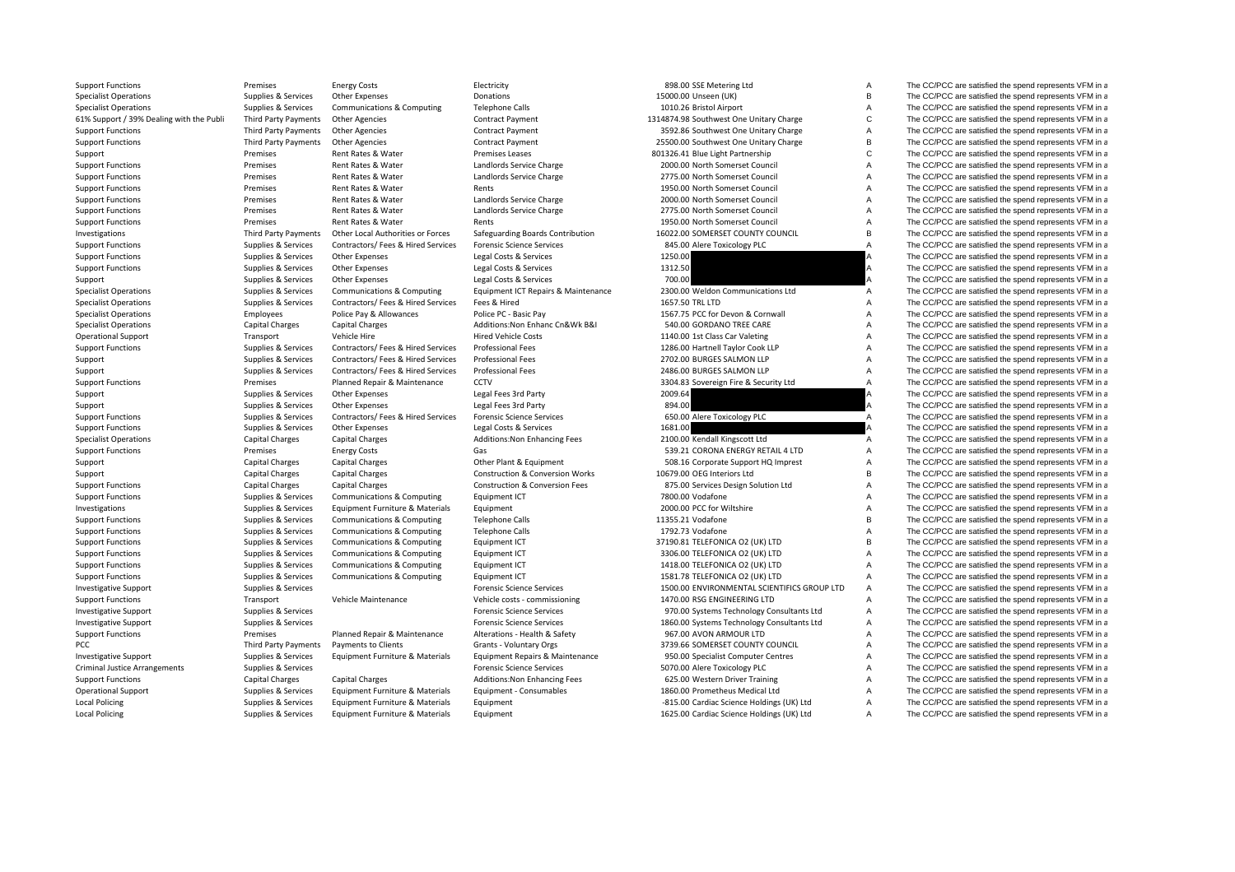61% Sunnort / 39% Dealing with the Publi PCC Third Party Payments Criminal JusticeLocal**Local Policing** 

Support Functions **Energy Costs** Energy Costs Electricity Electricity and a Sea and Electricity and the Sea and The CC/PCC are satisfied the spend represents VFM in a Policing Supplies & Services Equipment Furniture & Materials Equipment 1625.00 Cardiac Science Holdings (UK) Ltd A The CC/PCC are satisfied the spend represents VFM in a

|         | <b>BOOTOO SOL INICIALITIE LIM</b>                                           |
|---------|-----------------------------------------------------------------------------|
|         | 15000.00 Unseen (UK)                                                        |
|         | 1010.26 Bristol Airport                                                     |
|         | 314874.98 Southwest One Unitary Charge                                      |
|         | 3592.86 Southwest One Unitary Charge                                        |
|         | 25500.00 Southwest One Unitary Charge                                       |
|         | 801326.41 Blue Light Partnership                                            |
|         | 2000.00 North Somerset Council                                              |
|         | 2775.00 North Somerset Council                                              |
|         | 1950.00 North Somerset Council                                              |
|         | 2000.00 North Somerset Council                                              |
|         | 2775.00 North Somerset Council                                              |
|         | 1950.00 North Somerset Council                                              |
|         | 16022.00 SOMERSET COUNTY COUNCIL                                            |
|         | 845.00 Alere Toxicology PLC                                                 |
| 1250.00 |                                                                             |
| 1312.50 |                                                                             |
| 700.00  |                                                                             |
|         | 2300.00 Weldon Communications Ltd                                           |
|         | 1657.50 TRL LTD                                                             |
|         | 1567.75 PCC for Devon & Cornwall                                            |
|         | 540.00 GORDANO TREE CARE                                                    |
|         | 1140.00 1st Class Car Valeting                                              |
|         | 1286.00 Hartnell Taylor Cook LLP                                            |
|         | 2702.00 BURGES SALMON LLP                                                   |
|         | 2486.00 BURGES SALMON LLP                                                   |
|         | 3304.83 Sovereign Fire & Security Ltd                                       |
| 2009.64 |                                                                             |
|         |                                                                             |
|         |                                                                             |
| 894.00  |                                                                             |
|         | 650.00 Alere Toxicology PLC                                                 |
| 1681.00 |                                                                             |
|         | 2100.00 Kendall Kingscott Ltd                                               |
|         | 539.21 CORONA ENERGY RETAIL 4 LTD                                           |
|         | 508.16 Corporate Support HQ Imprest                                         |
|         | 10679.00 OEG Interiors Ltd                                                  |
|         | 875.00 Services Design Solution Ltd                                         |
|         | 7800.00 Vodafone                                                            |
|         | 2000.00 PCC for Wiltshire                                                   |
|         | 11355.21 Vodafone                                                           |
|         | 1792.73 Vodafone                                                            |
|         | 37190.81 TELEFONICA O2 (UK) LTD                                             |
|         | 3306.00 TELEFONICA O2 (UK) LTD                                              |
|         | 1418.00 TELEFONICA O2 (UK) LTD                                              |
|         | 1581.78 TELEFONICA O2 (UK) LTD                                              |
|         | 1500.00 ENVIRONMENTAL SCIENTIFICS GROUP LTD                                 |
|         | 1470.00 RSG ENGINEERING LTD                                                 |
|         | 970.00 Systems Technology Consultants Ltd                                   |
|         | 1860.00 Systems Technology Consultants Ltd                                  |
|         | 967.00 AVON ARMOUR LTD                                                      |
|         | 3739.66 SOMERSET COUNTY COUNCIL                                             |
|         | 950.00 Specialist Computer Centres                                          |
|         | 5070.00 Alere Toxicology PLC                                                |
|         | 625.00 Western Driver Training                                              |
|         | 1860.00 Prometheus Medical Ltd<br>-815.00 Cardiac Science Holdings (UK) Ltd |

Specialist Operations Supplies & Services Other Expenses Donations Donations Donations 15000.00 Unseen (UK) B The CC/PCC are satisfied the spend represents VFM in a Specialist Operations Supplies & Services Communications & Computing Telephone Calls 1010.26 Bristol Airport A The CC/PCC are satisfied the spend represents VFM in a Third Party Payments Other Agencies Contract Payment Contract Payment 1314874.98 Southwest One Unitary Charge C The CC/PCC are satisfied the spend represents VFM in a Support Functions Third Party Payments Other Agencies Contract Payment Contract Payment 3592.86 Southwest One Unitary Charge A The CC/PCC are satisfied the spend represents VFM in a Support Functions Third Party Payments Other Agencies Contract Payment 25500.00 Southwest One Unitary Charge B The CC/PCC are satisfied the spend represents VFM in a Support Premises Rent Rates & Water Premises Leases 801326.41 Blue Light Partnership C The CC/PCC are satisfied the spend represents VFM in a Support Functions **Exercice Premises** Rent Rates & Water Landlords Service Charge 2000.00 North Somerset Council A The CC/PCC are satisfied the spend represents VFM in a Support Functions Premises Premises Rent Rates & Water Landlords Service Charge 2775.00 North Somerset Council A The CC/PCC are satisfied the spend represents VFM in a Support Functions **Support Rent Rent Rent Rent Rent Rent Rents** Rents Rents Rents 1950.00 North Somerset Council A The CC/PCC are satisfied the spend represents VFM in a Support Functions **Support Rent Rates Addator** Premises Rent Rates & Water Landlords Service Charge 2000.00 North Somerset Council A The CC/PCC are satisfied the spend represents VFM in a Support Functions 2008 Support Functions Premises Rent Rates & Water Landlords Service Charge 2775.00 North Somerset Council A The CC/PCC are satisfied the spend represents VFM in a<br>Support Functions Service Services Servi Support Functions Premises Rent Rates & Water Rents Rents Rents Rents 1950.00 North Somerset Council A The CC/PCC are satisfied the spend represents VFM in a Investigations Third Party Payments Other Local Authorities or Forces Safeguarding Boards Contribution 16022.00 SOMERSET COUNTY COUNCIL B The CC/PCC are satisfied the spend represents VFM in a Support Functions Supplies Services Contractors/ Fees & Hired Services Forensic Science Services 845.00 Alere Toxicology PLC A The CC/PCC are satisfied the spend represents VFM in a Support Functions Supplies Supplies & Services Other Expenses Legal Costs & Services 1250.00 A The CC/PCC are satisfied the spend represents VFM in a Support Functions Supplies Asservices Other Expenses Legal Costs & Services 1312.50 A The CC/PCC are satisfied the spend represents VFM in a Support Supplies & Services Other Expenses Legal Costs & Services 700.00 700.00 A The CC/PCC are satisfied the spend represents VFM in a Specialist Operations Supplies & Services Communications & Computing Equipment ICT Repairs & Maintenance 2300.00 Weldon Communications Ltd A The CC/PCC are satisfied the spend represents VFM in a Specialist Operations Supplies & Services Contractors/ Fees & Hired Services Fees & Hired Services Fees & Hired 1657.50 TRL LTD A The CC/PCC are satisfied the spend represents VFM in a Specialist Operations Specialist Operations Employees Police Pay & Allowances Police PC - Basic Pay 1567.75 PCC for Devon & Cornwall A The CC/PCC are satisfied the spend represents VFM in a Specialist Operations Capital Charges Capital Charges Additions:Non Enhanc Cn&Wk B&I 540.00 GORDANO TREE CARE A The CC/PCC are satisfied the spend represents VFM in a Operational Support Transport Vehicle Hire Hire Hired Vehicle Costs 1140.00 1st Class Car Valeting A The CC/PCC are satisfied the spend represents VFM in a Support Functions Supplies A Services Contractors/ Fees & Hired Services Professional Fees 1286.00 Hartnell Taylor Cook LLP A The CC/PCC are satisfied the spend represents VFM in a Support Supplies & Services Contractors/ Fees & Hired Services Professional Fees 2702.00 BURGES SALMON LLP A The CC/PCC are satisfied the spend represents VFM in a Support Supplies & Services Contractors/ Fees & Hired Services Professional Fees 2486.00 BURGES SALMON LLP A The CC/PCC are satisfied the spend represents VFM in a Support Functions **Premises** Planned Repair & Maintenance CCTV 3304.83 Sovereign Fire & Security Ltd A The CC/PCC are satisfied the spend represents VFM in a Support Supplies & Services Other Expenses Legal Fees 3rd Party 2009.64 2009.64 A The CC/PCC are satisfied the spend represents VFM in a Support Supplies & Services Other Expenses Legal Fees 3rd Party 894.00 894.00 A The CC/PCC are satisfied the spend represents VFM in a Support Functions Supplies Services Contractors/ Fees & Hired Services Forensic Science Services 650.00 Alere Toxicology PLC A The CC/PCC are satisfied the spend represents VFM in a Support Functions Supplies A Services Other Expenses Legal Costs & Services 1681.00 A The CC/PCC are satisfied the spend represents VFM in a Specialist Operations Capital Charges Capital Charges Additions:Non Enhancing Fees 2100.00 Kendall Kingscott Ltd A The CC/PCC are satisfied the spend represents VFM in a Support Functions energy Costs Energy Costs Gas Gas Cases Energy Costs Gas S39.21 CORONA ENERGY RETAIL 4 LTD A The CC/PCC are satisfied the spend represents VFM in a Support Capital Charges Capital Charges Capital Charges Other Plant & Equipment 508.16 Corporate Support HQ Imprest A The CC/PCC are satisfied the spend represents VFM in a Support Capital Charges Capital Charges Capital Charges Construction & Conversion Works 10679.00 OEG Interiors Ltd B The CC/PCC are satisfied the spend represents VFM in a Support Functions Capital Charges Capital Charges Capital Charges Construction & Conversion Fees 875.00 Services Design Solution Ltd A The CC/PCC are satisfied the spend represents VFM in a Support Functions Supplies Supplies & Services Communications & Computing Equipment ICT 7800.00 Vodafone 7800.00 Vodafone A The CC/PCC are satisfied the spend represents VFM in a Investigations Supplies & Services Equipment Furniture & Materials Equipment Equipment 2000.00 PCC for Wiltshire A The CC/PCC are satisfied the spend represents VFM in a Support Functions Supplies & Services Communications & Computing Telephone Calls 11355.21 Vodafone 11355.21 Vodafone B The CC/PCC are satisfied the spend represents VFM in a Support Functions Supplies A Services Communications & Computing Telephone Calls 1792.73 Vodafone 1992.73 Vodafone A The CC/PCC are satisfied the spend represents VFM in a Support Functions Supplies & Services Communications & Computing Equipment ICT 37190.81 TELEFONICA O2 (UK) LTD B The CC/PCC are satisfied the spend represents VFM in a Support Functions Supplies & Services Communications & Computing Equipment ICT 3306.00 TELEFONICA O2 (UK) LTD A The CC/PCC are satisfied the spend represents VFM in a Support Functions Supplies & Services Communications & Computing Equipment ICT 1418.00 TELEFONICA O2 (UK) LTD A The CC/PCC are satisfied the spend represents VFM in a Support Functions Supplies A Services Communications & Computing Equipment ICT 1581.78 TELEFONICA O2 (UK) LTD A The CC/PCC are satisfied the spend represents VFM in a Investigative Support Support Support Support Services Services Forensic Science Services Forensic Science Services 1500.00 ENVIRONMENTAL SCIENTIFICS GROUP LTD A The CC/PCC are satisfied the spend represents VFM in a Support Functions Transport Vehicle Maintenance Vehicle costs – commissioning 1470.00 RSG ENGINEERING LTD A The CC/PCC are satisfied the spend represents VFM in a Investigative Support Support Support Support Support Support Support Support Support Support Support Support Support Support Support Support Support Support Support Support Support Support Support Support Support Support Investigative Support Support Supplies & Services Forensic Science Services Forensic Science Services Forensic Science Services and Support and the Science Services of the CC/PCC are satisfied the spend represents VFM in a Support Functions Premises Planned Repair & Maintenance Alterations - Health & Safety 967.00 AVON ARMOUR LTD A The CC/PCC are satisfied the spend represents VFM in a Payments to Clients Scrants - Voluntary Orgs 3739.66 SOMERSET COUNTY COUNCIL A The CC/PCC are satisfied the spend represents VFM in a Investigative Support Support Supplies & Services Equipment Furniture & Materials Equipment Repairs & Maintenance 950.00 Specialist Computer Centres A The CC/PCC are satisfied the spend represents VFM in a Supplies & Services exacts of the CC/PCC are satisfied the spend represents VFM in a The CC/PCC are satisfied the spend represents VFM in a Support Functions Capital Charges Capital Charges Additions:Non Enhancing Fees 625.00 Western Driver Training A The CC/PCC are satisfied the spend represents VFM in a Operational Support Supplies & Services Equipment Furniture & Materials Equipment - Consumables 1860.00 Prometheus Medical Ltd A The CC/PCC are satisfied the spend represents VFM in a Policing Supplies & Services Equipment Furniture & Materials Equipment ‐815.00 Cardiac Science Holdings (UK) Ltd A The CC/PCC are satisfied the spend represents VFM in a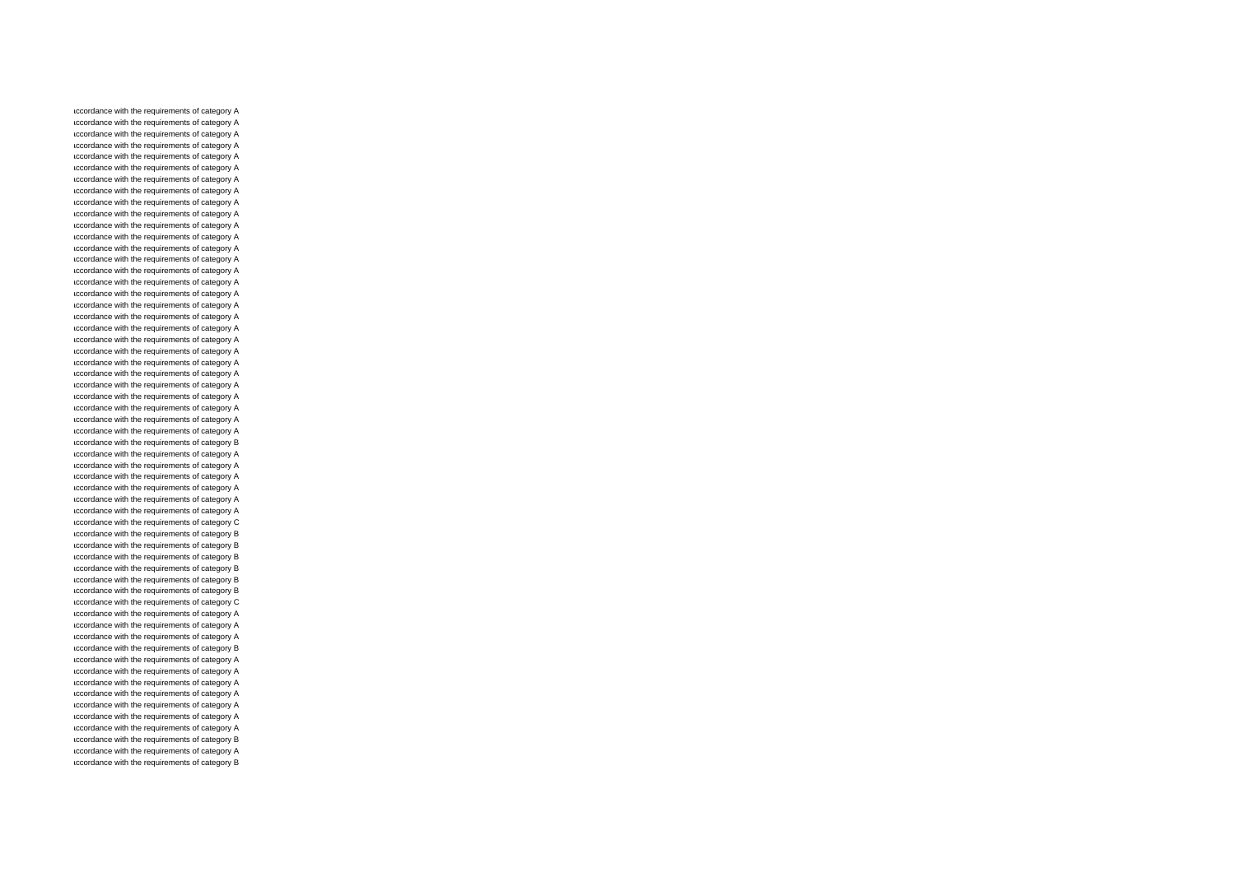accordance with the requirements of category A accordance with the requirements of category A accordance with the requirements of category A accordance with the requirements of category A accordance with the requirements of category A accordance with the requirements of category A accordance with the requirements of category A accordance with the requirements of category A accordance with the requirements of category A accordance with the requirements of category A accordance with the requirements of category A accordance with the requirements of category A accordance with the requirements of category A accordance with the requirements of category A accordance with the requirements of category A accordance with the requirements of category A accordance with the requirements of category A accordance with the requirements of category A accordance with the requirements of category A accordance with the requirements of category A accordance with the requirements of category A accordance with the requirements of category A accordance with the requirements of category A accordance with the requirements of category A accordance with the requirements of category A accordance with the requirements of category A accordance with the requirements of category A accordance with the requirements of category A accordance with the requirements of category A accordance with the requirements of category B accordance with the requirements of category A accordance with the requirements of category A accordance with the requirements of category A accordance with the requirements of category A accordance with the requirements of category A accordance with the requirements of category A accordance with the requirements of category C accordance with the requirements of category B accordance with the requirements of category B accordance with the requirements of category B accordance with the requirements of category B accordance with the requirements of category B accordance with the requirements of category B accordance with the requirements of category C accordance with the requirements of category A accordance with the requirements of category A accordance with the requirements of category A accordance with the requirements of category B accordance with the requirements of category A accordance with the requirements of category A accordance with the requirements of category A accordance with the requirements of category A accordance with the requirements of category A accordance with the requirements of category A accordance with the requirements of category A accordance with the requirements of category B accordance with the requirements of category A accordance with the requirements of category B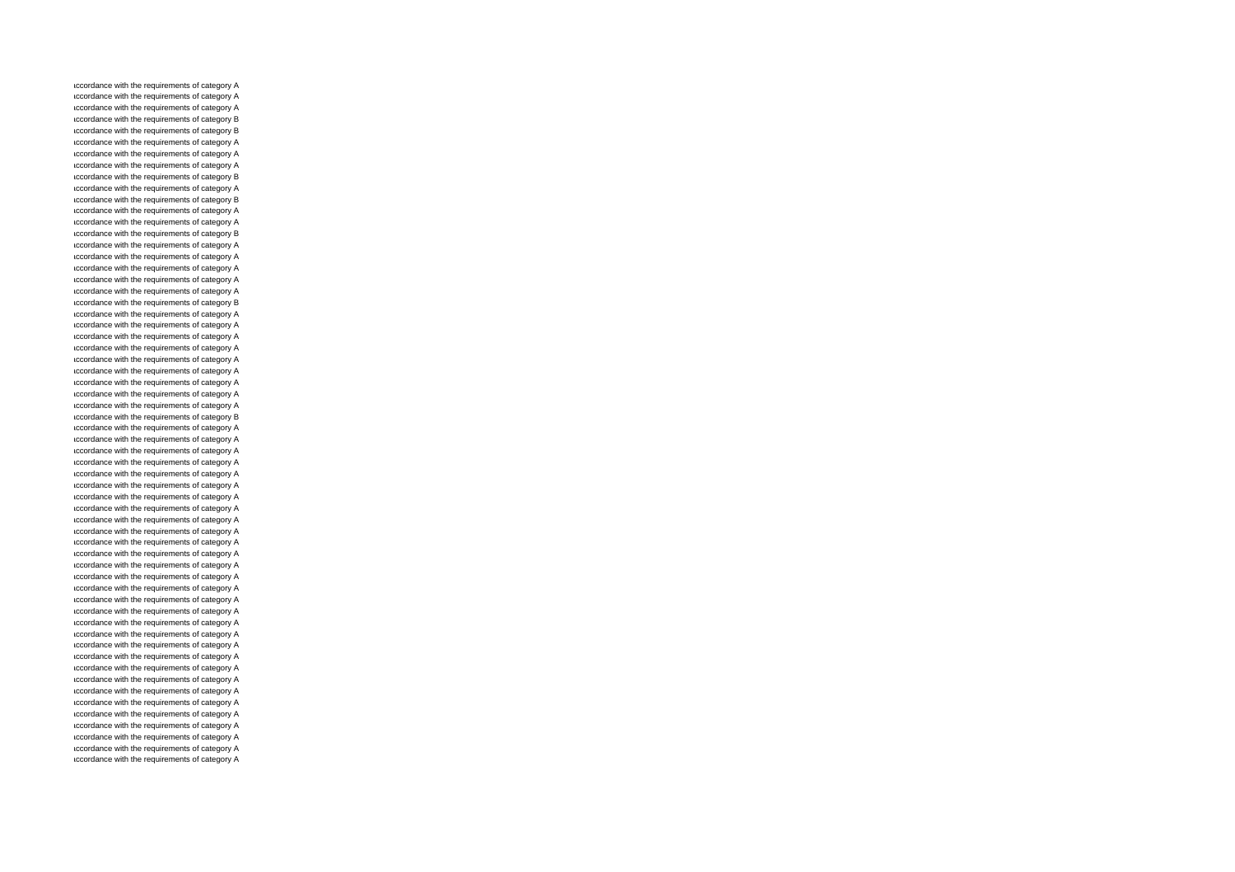accordance with the requirements of category A accordance with the requirements of category A accordance with the requirements of category A accordance with the requirements of category B accordance with the requirements of category B accordance with the requirements of category A accordance with the requirements of category A accordance with the requirements of category A accordance with the requirements of category B accordance with the requirements of category A accordance with the requirements of category B accordance with the requirements of category A accordance with the requirements of category A accordance with the requirements of category B accordance with the requirements of category A accordance with the requirements of category A accordance with the requirements of category A accordance with the requirements of category A accordance with the requirements of category A accordance with the requirements of category B accordance with the requirements of category A accordance with the requirements of category A accordance with the requirements of category A accordance with the requirements of category A accordance with the requirements of category A accordance with the requirements of category A accordance with the requirements of category A accordance with the requirements of category A accordance with the requirements of category A accordance with the requirements of category B accordance with the requirements of category A accordance with the requirements of category A accordance with the requirements of category A accordance with the requirements of category A accordance with the requirements of category A accordance with the requirements of category A accordance with the requirements of category A accordance with the requirements of category A accordance with the requirements of category A accordance with the requirements of category A accordance with the requirements of category A accordance with the requirements of category A accordance with the requirements of category A accordance with the requirements of category A accordance with the requirements of category A accordance with the requirements of category A accordance with the requirements of category A accordance with the requirements of category A accordance with the requirements of category A accordance with the requirements of category A accordance with the requirements of category A accordance with the requirements of category A accordance with the requirements of category A accordance with the requirements of category A accordance with the requirements of category A accordance with the requirements of category A accordance with the requirements of category A accordance with the requirements of category A accordance with the requirements of category A accordance with the requirements of category A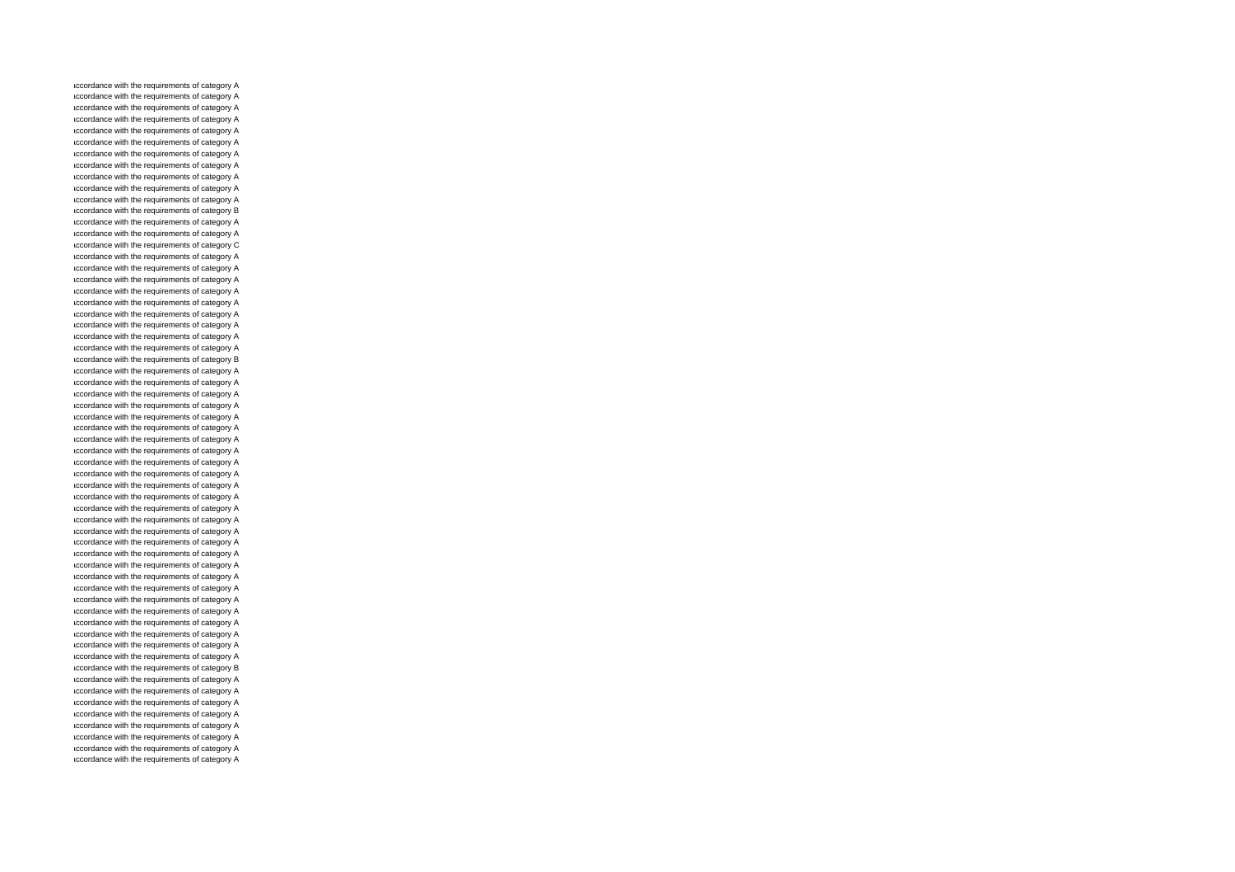accordance with the requirements of category A accordance with the requirements of category A accordance with the requirements of category A accordance with the requirements of category A accordance with the requirements of category A accordance with the requirements of category A accordance with the requirements of category A accordance with the requirements of category A accordance with the requirements of category A accordance with the requirements of category A accordance with the requirements of category A accordance with the requirements of category B accordance with the requirements of category A accordance with the requirements of category A accordance with the requirements of category C accordance with the requirements of category A accordance with the requirements of category A accordance with the requirements of category A accordance with the requirements of category A accordance with the requirements of category A accordance with the requirements of category A accordance with the requirements of category A accordance with the requirements of category A accordance with the requirements of category A accordance with the requirements of category B accordance with the requirements of category A accordance with the requirements of category A accordance with the requirements of category A accordance with the requirements of category A accordance with the requirements of category A accordance with the requirements of category A accordance with the requirements of category A accordance with the requirements of category A accordance with the requirements of category A accordance with the requirements of category A accordance with the requirements of category A accordance with the requirements of category A accordance with the requirements of category A accordance with the requirements of category A accordance with the requirements of category A accordance with the requirements of category A accordance with the requirements of category A accordance with the requirements of category A accordance with the requirements of category A accordance with the requirements of category A accordance with the requirements of category A accordance with the requirements of category A accordance with the requirements of category A accordance with the requirements of category A accordance with the requirements of category A accordance with the requirements of category A accordance with the requirements of category B accordance with the requirements of category A accordance with the requirements of category A accordance with the requirements of category A accordance with the requirements of category A accordance with the requirements of category A accordance with the requirements of category A accordance with the requirements of category A accordance with the requirements of category A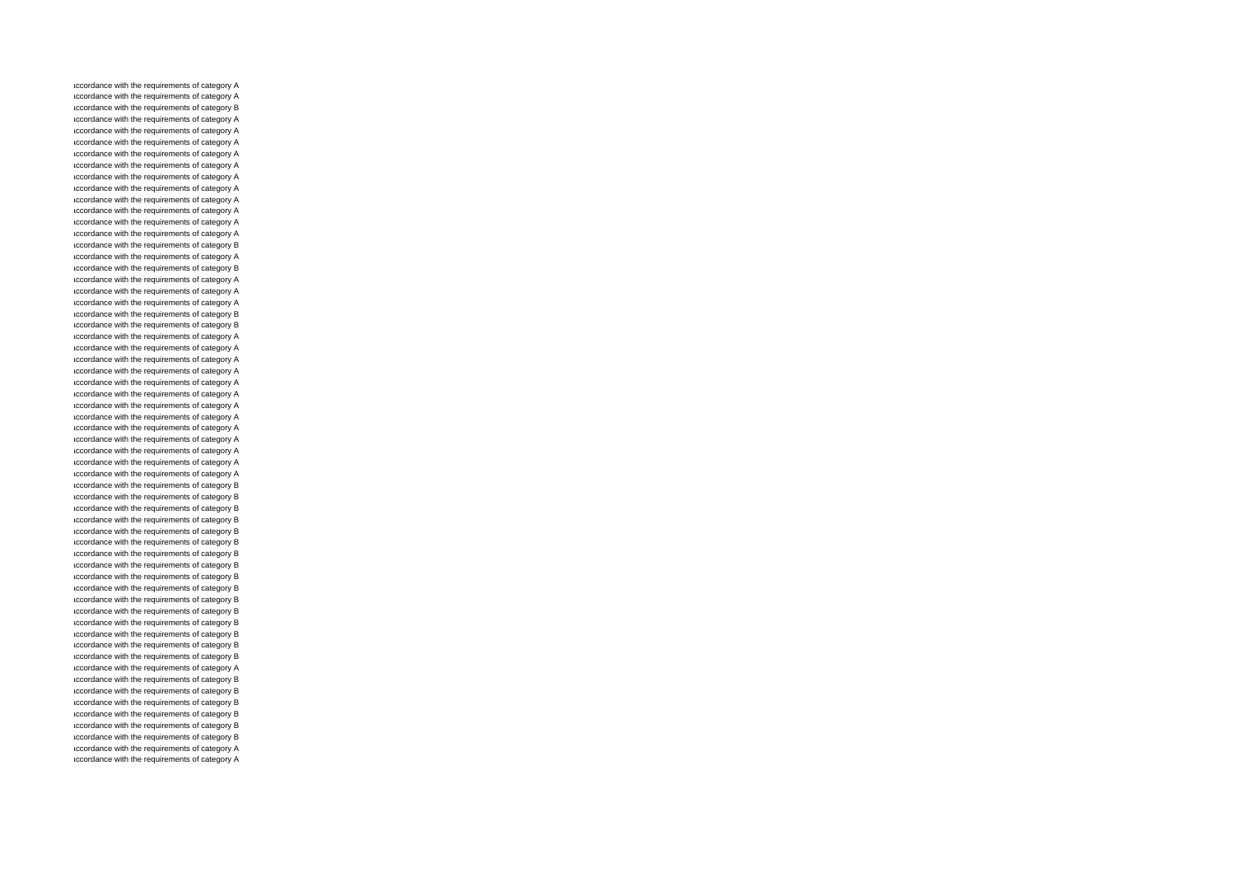accordance with the requirements of category A accordance with the requirements of category A accordance with the requirements of category B accordance with the requirements of category A accordance with the requirements of category A accordance with the requirements of category A accordance with the requirements of category A accordance with the requirements of category A accordance with the requirements of category A accordance with the requirements of category A accordance with the requirements of category A accordance with the requirements of category A accordance with the requirements of category A accordance with the requirements of category A accordance with the requirements of category B accordance with the requirements of category A accordance with the requirements of category B accordance with the requirements of category A accordance with the requirements of category A accordance with the requirements of category A accordance with the requirements of category B accordance with the requirements of category B accordance with the requirements of category A accordance with the requirements of category A accordance with the requirements of category A accordance with the requirements of category A accordance with the requirements of category A accordance with the requirements of category A accordance with the requirements of category A accordance with the requirements of category A accordance with the requirements of category A accordance with the requirements of category A accordance with the requirements of category A accordance with the requirements of category A accordance with the requirements of category A accordance with the requirements of category B accordance with the requirements of category B accordance with the requirements of category B accordance with the requirements of category B accordance with the requirements of category B accordance with the requirements of category B accordance with the requirements of category B accordance with the requirements of category B accordance with the requirements of category B accordance with the requirements of category B accordance with the requirements of category B accordance with the requirements of category B accordance with the requirements of category B accordance with the requirements of category B accordance with the requirements of category B accordance with the requirements of category B accordance with the requirements of category A accordance with the requirements of category B accordance with the requirements of category B accordance with the requirements of category B accordance with the requirements of category B accordance with the requirements of category B accordance with the requirements of category B accordance with the requirements of category A accordance with the requirements of category A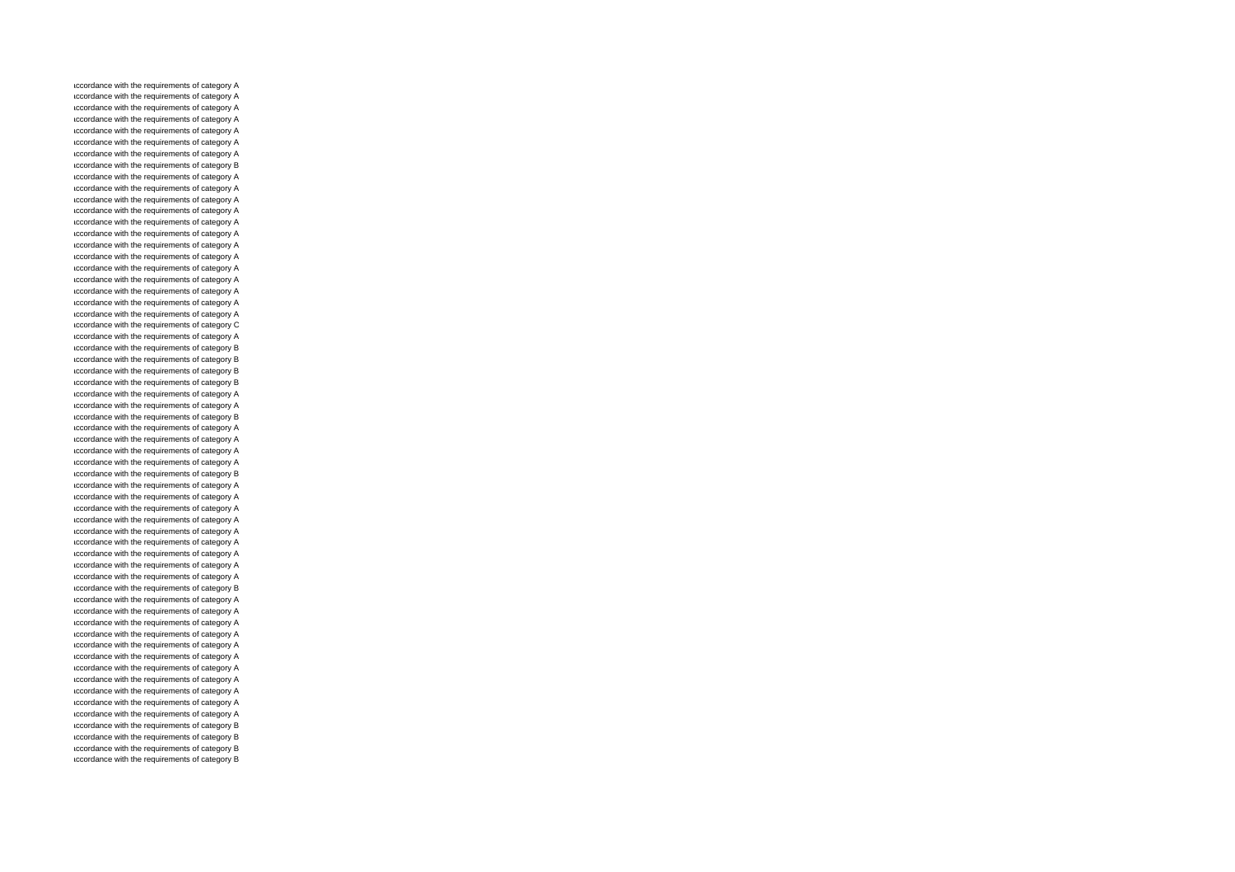accordance with the requirements of category A accordance with the requirements of category A accordance with the requirements of category A accordance with the requirements of category A accordance with the requirements of category A accordance with the requirements of category A accordance with the requirements of category A accordance with the requirements of category B accordance with the requirements of category A accordance with the requirements of category A accordance with the requirements of category A accordance with the requirements of category A accordance with the requirements of category A accordance with the requirements of category A accordance with the requirements of category A accordance with the requirements of category A accordance with the requirements of category A accordance with the requirements of category A accordance with the requirements of category A accordance with the requirements of category A accordance with the requirements of category A accordance with the requirements of category C accordance with the requirements of category A accordance with the requirements of category B accordance with the requirements of category B accordance with the requirements of category B accordance with the requirements of category B accordance with the requirements of category A accordance with the requirements of category A accordance with the requirements of category B accordance with the requirements of category A accordance with the requirements of category A accordance with the requirements of category A accordance with the requirements of category A accordance with the requirements of category B accordance with the requirements of category A accordance with the requirements of category A accordance with the requirements of category A accordance with the requirements of category A accordance with the requirements of category A accordance with the requirements of category A accordance with the requirements of category A accordance with the requirements of category A accordance with the requirements of category A accordance with the requirements of category B accordance with the requirements of category A accordance with the requirements of category A accordance with the requirements of category A accordance with the requirements of category A accordance with the requirements of category A accordance with the requirements of category A accordance with the requirements of category A accordance with the requirements of category A accordance with the requirements of category A accordance with the requirements of category A accordance with the requirements of category A accordance with the requirements of category B accordance with the requirements of category B accordance with the requirements of category B accordance with the requirements of category B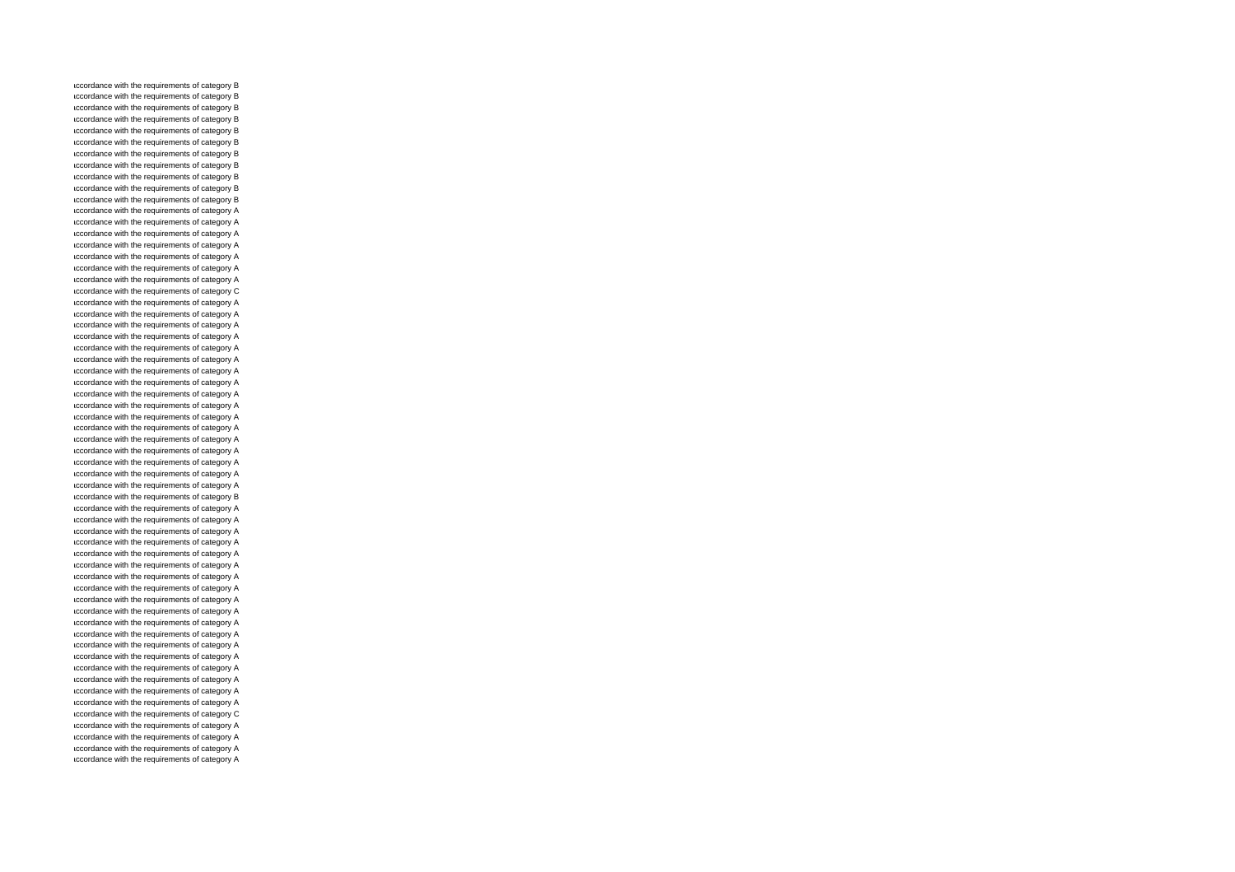accordance with the requirements of category B accordance with the requirements of category B accordance with the requirements of category B accordance with the requirements of category B accordance with the requirements of category B accordance with the requirements of category B accordance with the requirements of category B accordance with the requirements of category B accordance with the requirements of category B accordance with the requirements of category B accordance with the requirements of category B accordance with the requirements of category A accordance with the requirements of category A accordance with the requirements of category A accordance with the requirements of category A accordance with the requirements of category A accordance with the requirements of category A accordance with the requirements of category A accordance with the requirements of category C accordance with the requirements of category A accordance with the requirements of category A accordance with the requirements of category A accordance with the requirements of category A accordance with the requirements of category A accordance with the requirements of category A accordance with the requirements of category A accordance with the requirements of category A accordance with the requirements of category A accordance with the requirements of category A accordance with the requirements of category A accordance with the requirements of category A accordance with the requirements of category A accordance with the requirements of category A accordance with the requirements of category A accordance with the requirements of category A accordance with the requirements of category A accordance with the requirements of category B accordance with the requirements of category A accordance with the requirements of category A accordance with the requirements of category A accordance with the requirements of category A accordance with the requirements of category A accordance with the requirements of category A accordance with the requirements of category A accordance with the requirements of category A accordance with the requirements of category A accordance with the requirements of category A accordance with the requirements of category A accordance with the requirements of category A accordance with the requirements of category A accordance with the requirements of category A accordance with the requirements of category A accordance with the requirements of category A accordance with the requirements of category A accordance with the requirements of category A accordance with the requirements of category C accordance with the requirements of category A accordance with the requirements of category A accordance with the requirements of category A accordance with the requirements of category A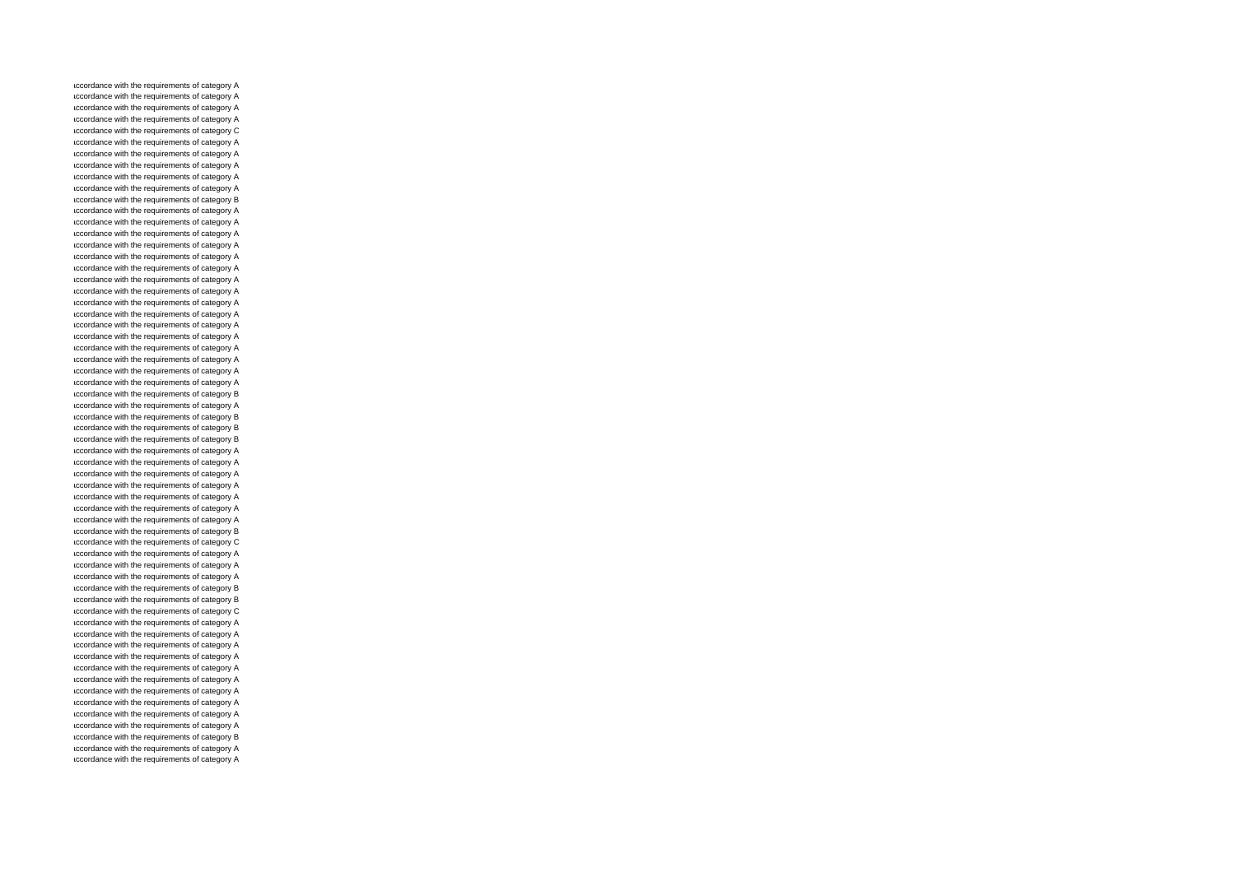accordance with the requirements of category A accordance with the requirements of category A accordance with the requirements of category A accordance with the requirements of category A accordance with the requirements of category C accordance with the requirements of category A accordance with the requirements of category A accordance with the requirements of category A accordance with the requirements of category A accordance with the requirements of category A accordance with the requirements of category B accordance with the requirements of category A accordance with the requirements of category A accordance with the requirements of category A accordance with the requirements of category A accordance with the requirements of category A accordance with the requirements of category A accordance with the requirements of category A accordance with the requirements of category A accordance with the requirements of category A accordance with the requirements of category A accordance with the requirements of category A accordance with the requirements of category A accordance with the requirements of category A accordance with the requirements of category A accordance with the requirements of category A accordance with the requirements of category A accordance with the requirements of category B accordance with the requirements of category A accordance with the requirements of category B accordance with the requirements of category B accordance with the requirements of category B accordance with the requirements of category A accordance with the requirements of category A accordance with the requirements of category A accordance with the requirements of category A accordance with the requirements of category A accordance with the requirements of category A accordance with the requirements of category A accordance with the requirements of category B accordance with the requirements of category C accordance with the requirements of category A accordance with the requirements of category A accordance with the requirements of category A accordance with the requirements of category B accordance with the requirements of category B accordance with the requirements of category C accordance with the requirements of category A accordance with the requirements of category A accordance with the requirements of category A accordance with the requirements of category A accordance with the requirements of category A accordance with the requirements of category A accordance with the requirements of category A accordance with the requirements of category A accordance with the requirements of category A accordance with the requirements of category A accordance with the requirements of category B accordance with the requirements of category A accordance with the requirements of category A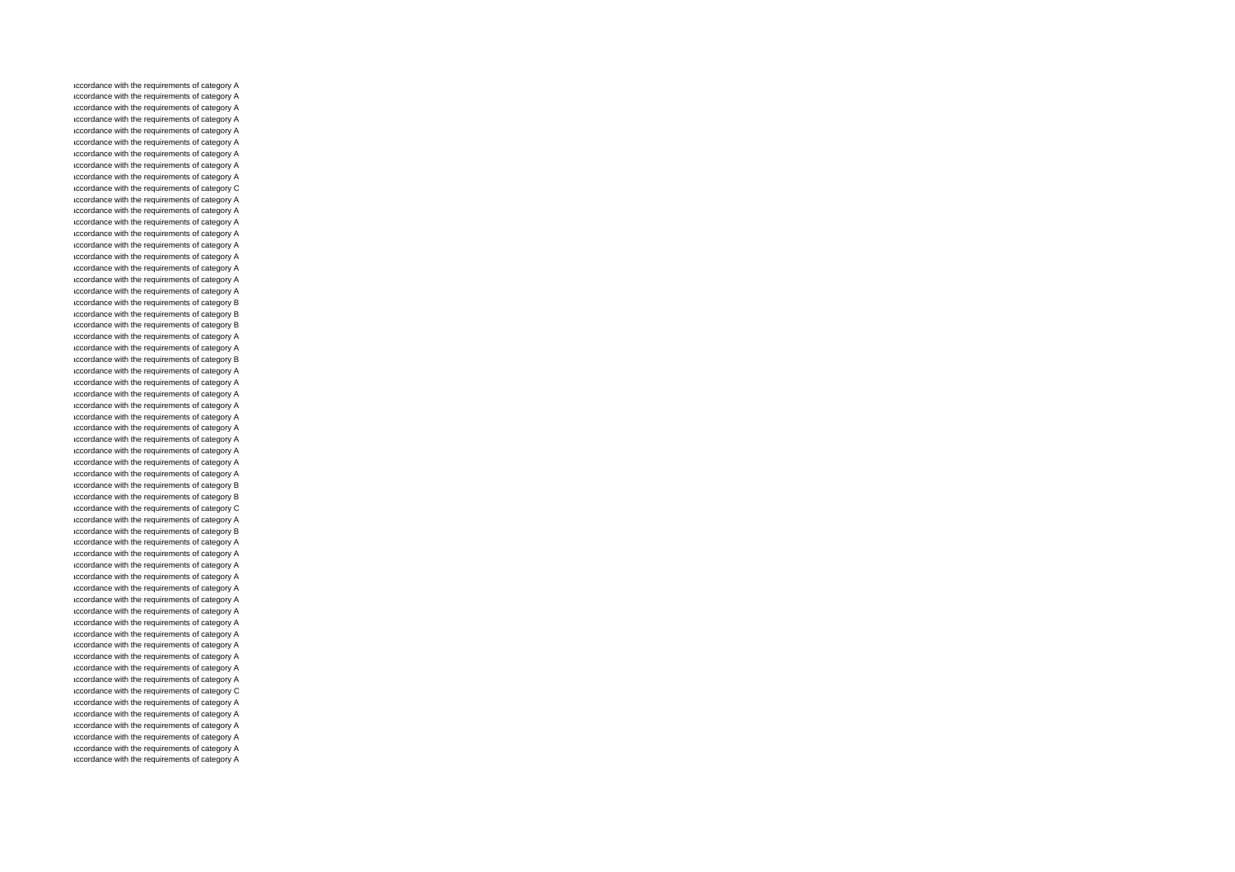accordance with the requirements of category A accordance with the requirements of category A accordance with the requirements of category A accordance with the requirements of category A accordance with the requirements of category A accordance with the requirements of category A accordance with the requirements of category A accordance with the requirements of category A accordance with the requirements of category A accordance with the requirements of category C accordance with the requirements of category A accordance with the requirements of category A accordance with the requirements of category A accordance with the requirements of category A accordance with the requirements of category A accordance with the requirements of category A accordance with the requirements of category A accordance with the requirements of category A accordance with the requirements of category A accordance with the requirements of category B accordance with the requirements of category B accordance with the requirements of category B accordance with the requirements of category A accordance with the requirements of category A accordance with the requirements of category B accordance with the requirements of category A accordance with the requirements of category A accordance with the requirements of category A accordance with the requirements of category A accordance with the requirements of category A accordance with the requirements of category A accordance with the requirements of category A accordance with the requirements of category A accordance with the requirements of category A accordance with the requirements of category A accordance with the requirements of category B accordance with the requirements of category B accordance with the requirements of category C accordance with the requirements of category A accordance with the requirements of category B accordance with the requirements of category A accordance with the requirements of category A accordance with the requirements of category A accordance with the requirements of category A accordance with the requirements of category A accordance with the requirements of category A accordance with the requirements of category A accordance with the requirements of category A accordance with the requirements of category A accordance with the requirements of category A accordance with the requirements of category A accordance with the requirements of category A accordance with the requirements of category A accordance with the requirements of category C accordance with the requirements of category A accordance with the requirements of category A accordance with the requirements of category A accordance with the requirements of category A accordance with the requirements of category A accordance with the requirements of category A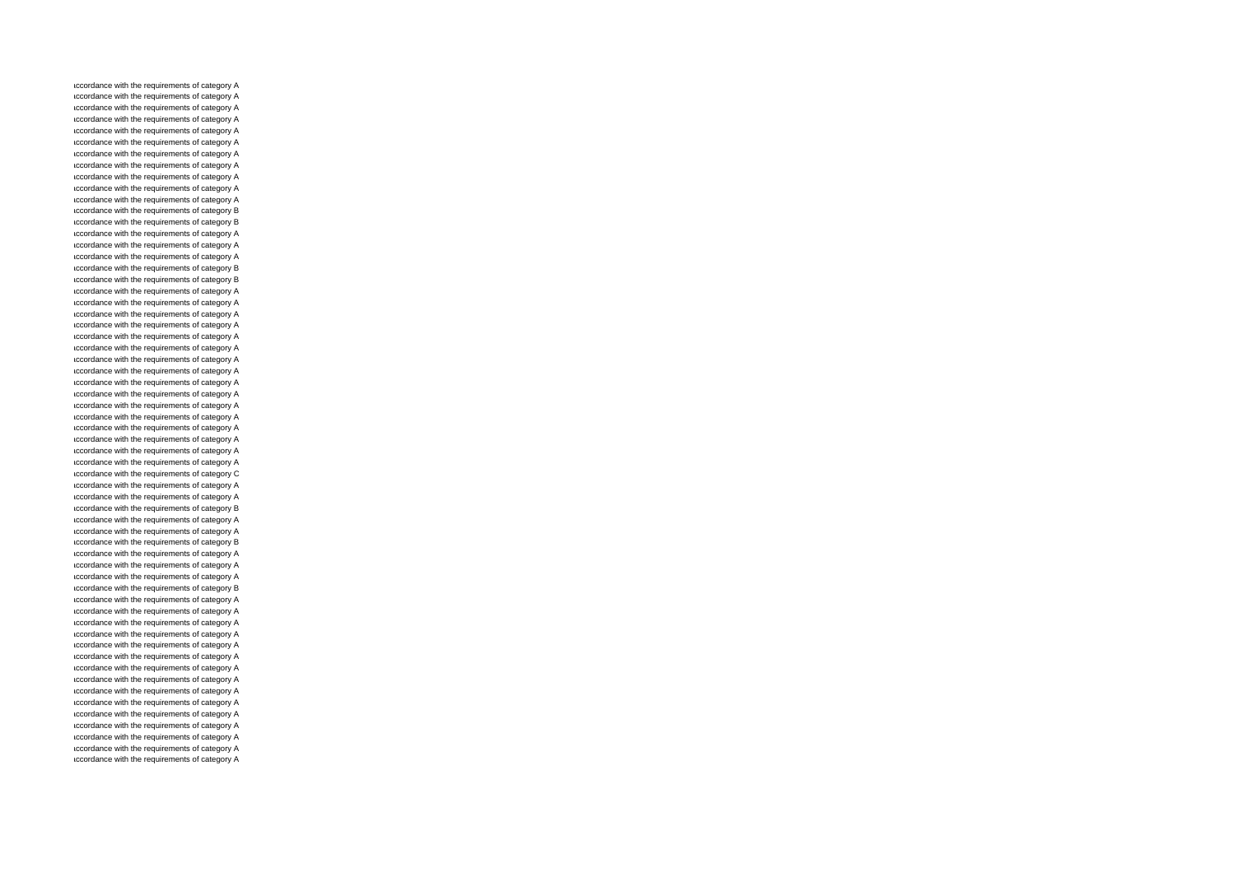accordance with the requirements of category A accordance with the requirements of category A accordance with the requirements of category A accordance with the requirements of category A accordance with the requirements of category A accordance with the requirements of category A accordance with the requirements of category A accordance with the requirements of category A accordance with the requirements of category A accordance with the requirements of category A accordance with the requirements of category A accordance with the requirements of category B accordance with the requirements of category B accordance with the requirements of category A accordance with the requirements of category A accordance with the requirements of category A accordance with the requirements of category B accordance with the requirements of category B accordance with the requirements of category A accordance with the requirements of category A accordance with the requirements of category A accordance with the requirements of category A accordance with the requirements of category A accordance with the requirements of category A accordance with the requirements of category A accordance with the requirements of category A accordance with the requirements of category A accordance with the requirements of category A accordance with the requirements of category A accordance with the requirements of category A accordance with the requirements of category A accordance with the requirements of category A accordance with the requirements of category A accordance with the requirements of category A accordance with the requirements of category C accordance with the requirements of category A accordance with the requirements of category A accordance with the requirements of category B accordance with the requirements of category A accordance with the requirements of category A accordance with the requirements of category B accordance with the requirements of category A accordance with the requirements of category A accordance with the requirements of category A accordance with the requirements of category B accordance with the requirements of category A accordance with the requirements of category A accordance with the requirements of category A accordance with the requirements of category A accordance with the requirements of category A accordance with the requirements of category A accordance with the requirements of category A accordance with the requirements of category A accordance with the requirements of category A accordance with the requirements of category A accordance with the requirements of category A accordance with the requirements of category A accordance with the requirements of category A accordance with the requirements of category A accordance with the requirements of category A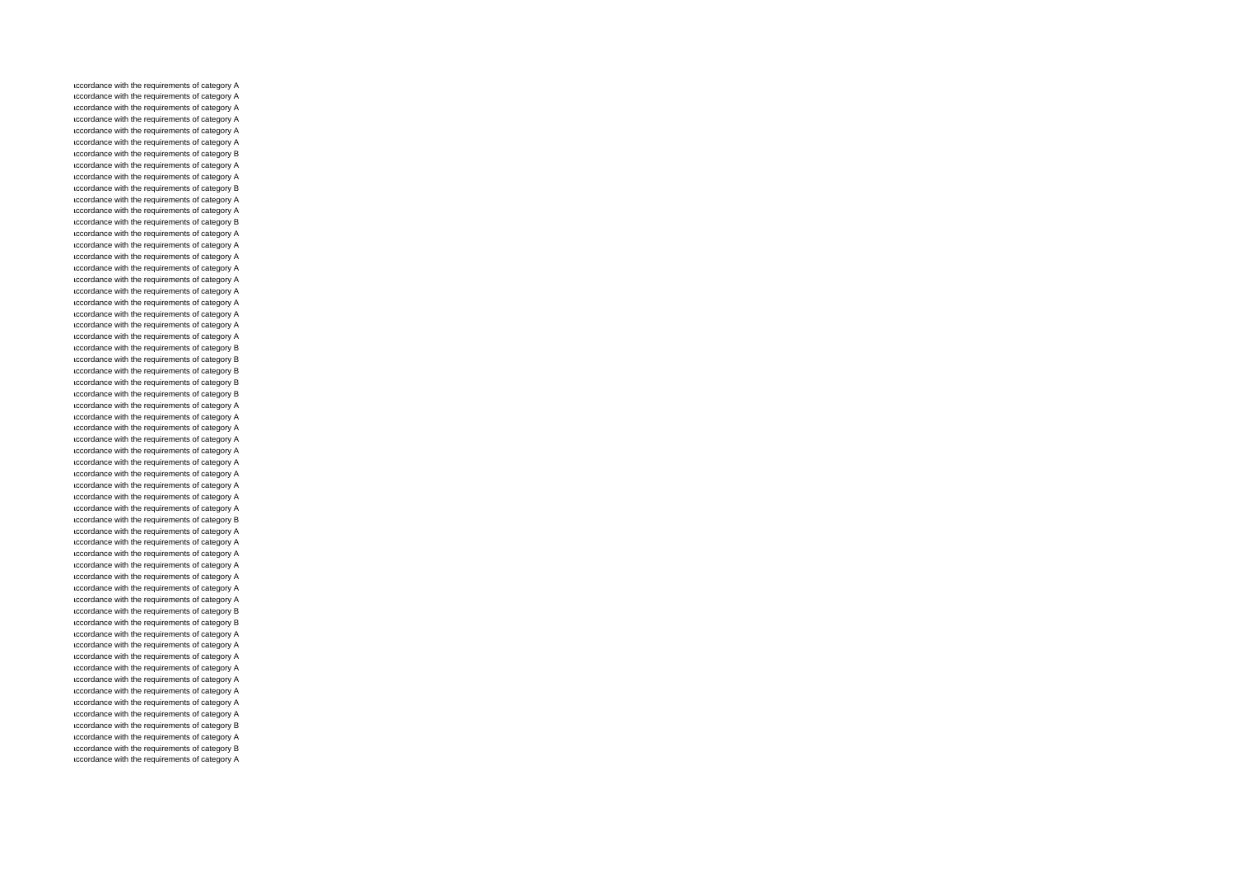accordance with the requirements of category A accordance with the requirements of category A accordance with the requirements of category A accordance with the requirements of category A accordance with the requirements of category A accordance with the requirements of category A accordance with the requirements of category B accordance with the requirements of category A accordance with the requirements of category A accordance with the requirements of category B accordance with the requirements of category A accordance with the requirements of category A accordance with the requirements of category B accordance with the requirements of category A accordance with the requirements of category A accordance with the requirements of category A accordance with the requirements of category A accordance with the requirements of category A accordance with the requirements of category A accordance with the requirements of category A accordance with the requirements of category A accordance with the requirements of category A accordance with the requirements of category A accordance with the requirements of category B accordance with the requirements of category B accordance with the requirements of category B accordance with the requirements of category B accordance with the requirements of category B accordance with the requirements of category A accordance with the requirements of category A accordance with the requirements of category A accordance with the requirements of category A accordance with the requirements of category A accordance with the requirements of category A accordance with the requirements of category A accordance with the requirements of category A accordance with the requirements of category A accordance with the requirements of category A accordance with the requirements of category B accordance with the requirements of category A accordance with the requirements of category A accordance with the requirements of category A accordance with the requirements of category A accordance with the requirements of category A accordance with the requirements of category A accordance with the requirements of category A accordance with the requirements of category B accordance with the requirements of category B accordance with the requirements of category A accordance with the requirements of category A accordance with the requirements of category A accordance with the requirements of category A accordance with the requirements of category A accordance with the requirements of category A accordance with the requirements of category A accordance with the requirements of category A accordance with the requirements of category B accordance with the requirements of category A accordance with the requirements of category B accordance with the requirements of category A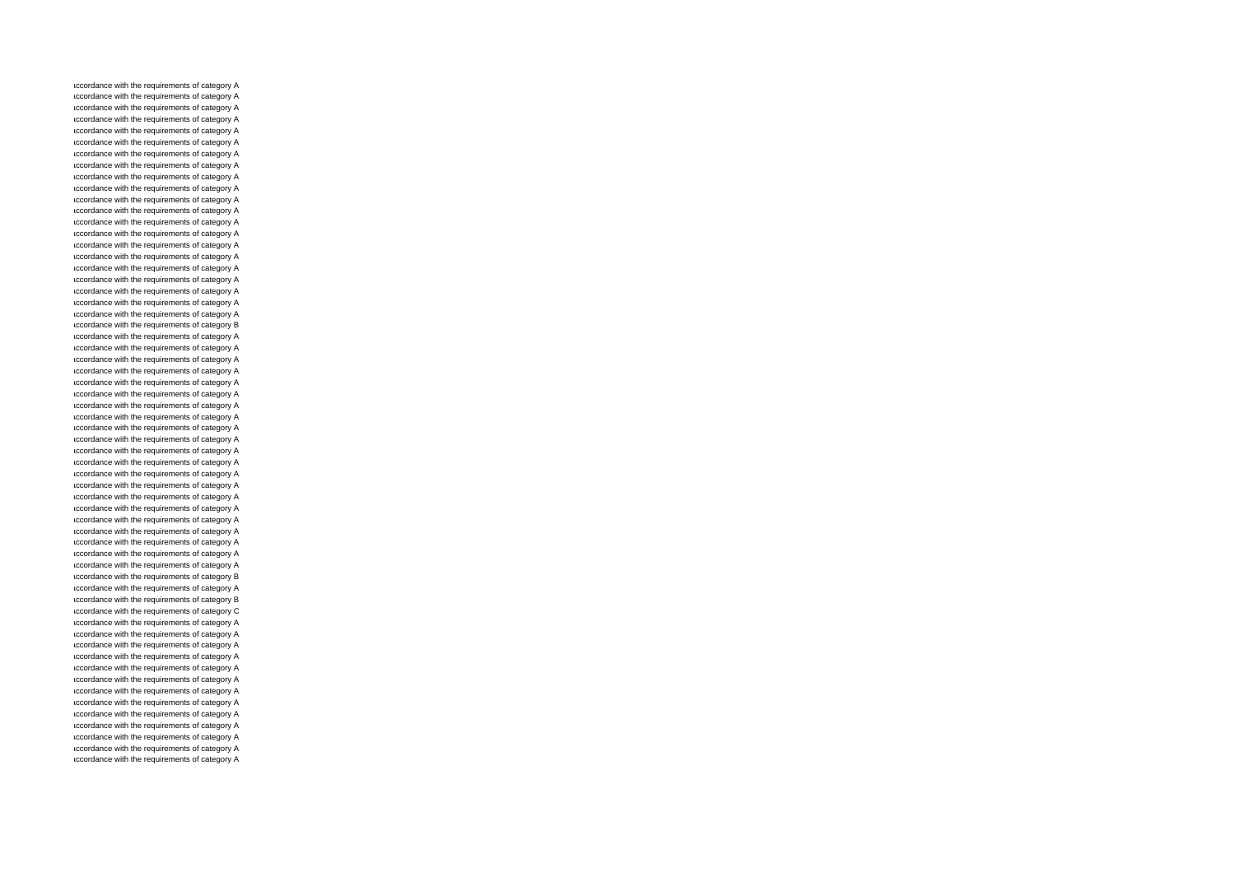accordance with the requirements of category A accordance with the requirements of category A accordance with the requirements of category A accordance with the requirements of category A accordance with the requirements of category A accordance with the requirements of category A accordance with the requirements of category A accordance with the requirements of category A accordance with the requirements of category A accordance with the requirements of category A accordance with the requirements of category A accordance with the requirements of category A accordance with the requirements of category A accordance with the requirements of category A accordance with the requirements of category A accordance with the requirements of category A accordance with the requirements of category A accordance with the requirements of category A accordance with the requirements of category A accordance with the requirements of category A accordance with the requirements of category A accordance with the requirements of category B accordance with the requirements of category A accordance with the requirements of category A accordance with the requirements of category A accordance with the requirements of category A accordance with the requirements of category A accordance with the requirements of category A accordance with the requirements of category A accordance with the requirements of category A accordance with the requirements of category A accordance with the requirements of category A accordance with the requirements of category A accordance with the requirements of category A accordance with the requirements of category A accordance with the requirements of category A accordance with the requirements of category A accordance with the requirements of category A accordance with the requirements of category A accordance with the requirements of category A accordance with the requirements of category A accordance with the requirements of category A accordance with the requirements of category A accordance with the requirements of category B accordance with the requirements of category A accordance with the requirements of category B accordance with the requirements of category C accordance with the requirements of category A accordance with the requirements of category A accordance with the requirements of category A accordance with the requirements of category A accordance with the requirements of category A accordance with the requirements of category A accordance with the requirements of category A accordance with the requirements of category A accordance with the requirements of category A accordance with the requirements of category A accordance with the requirements of category A accordance with the requirements of category A accordance with the requirements of category A